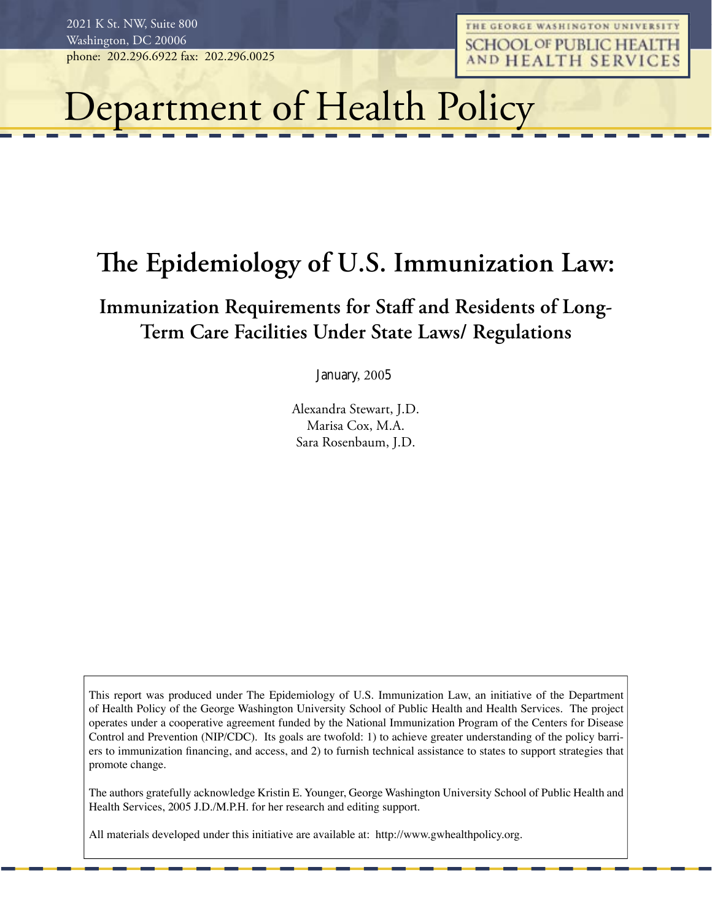THE GEORGE WASHINGTON UNIVERSITY **SCHOOL OF PUBLIC HEALTH** AND HEALTH SERVICES

# Department of Health Policy

# The Epidemiology of U.S. Immunization Law:

# Immunization Requirements for Staff and Residents of Long-Term Care Facilities Under State Laws/ Regulations

January, 2005

Alexandra Stewart, J.D. Marisa Cox, M.A. Sara Rosenbaum, J.D.

This report was produced under The Epidemiology of U.S. Immunization Law, an initiative of the Department of Health Policy of the George Washington University School of Public Health and Health Services. The project operates under a cooperative agreement funded by the National Immunization Program of the Centers for Disease Control and Prevention (NIP/CDC). Its goals are twofold: 1) to achieve greater understanding of the policy barriers to immunization financing, and access, and 2) to furnish technical assistance to states to support strategies that promote change.

The authors gratefully acknowledge Kristin E. Younger, George Washington University School of Public Health and Health Services, 2005 J.D./M.P.H. for her research and editing support.

All materials developed under this initiative are available at: http://www.gwhealthpolicy.org.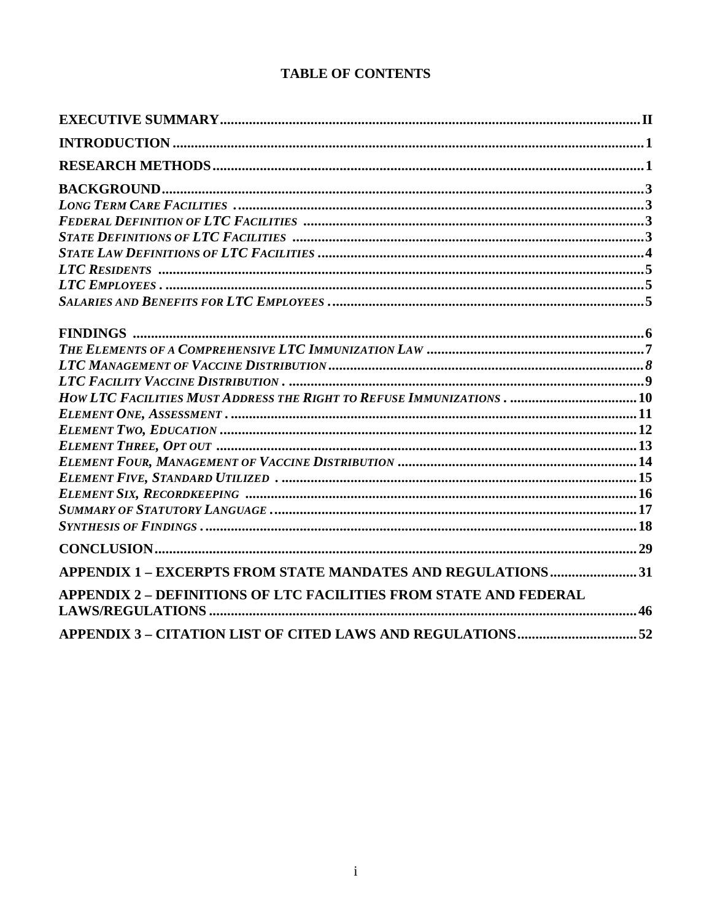# **TABLE OF CONTENTS**

| HOW LTC FACILITIES MUST ADDRESS THE RIGHT TO REFUSE IMMUNIZATIONS 10 |  |
|----------------------------------------------------------------------|--|
|                                                                      |  |
|                                                                      |  |
|                                                                      |  |
|                                                                      |  |
|                                                                      |  |
|                                                                      |  |
|                                                                      |  |
|                                                                      |  |
|                                                                      |  |
| APPENDIX 1 – EXCERPTS FROM STATE MANDATES AND REGULATIONS31          |  |
| APPENDIX 2 - DEFINITIONS OF LTC FACILITIES FROM STATE AND FEDERAL    |  |
|                                                                      |  |
|                                                                      |  |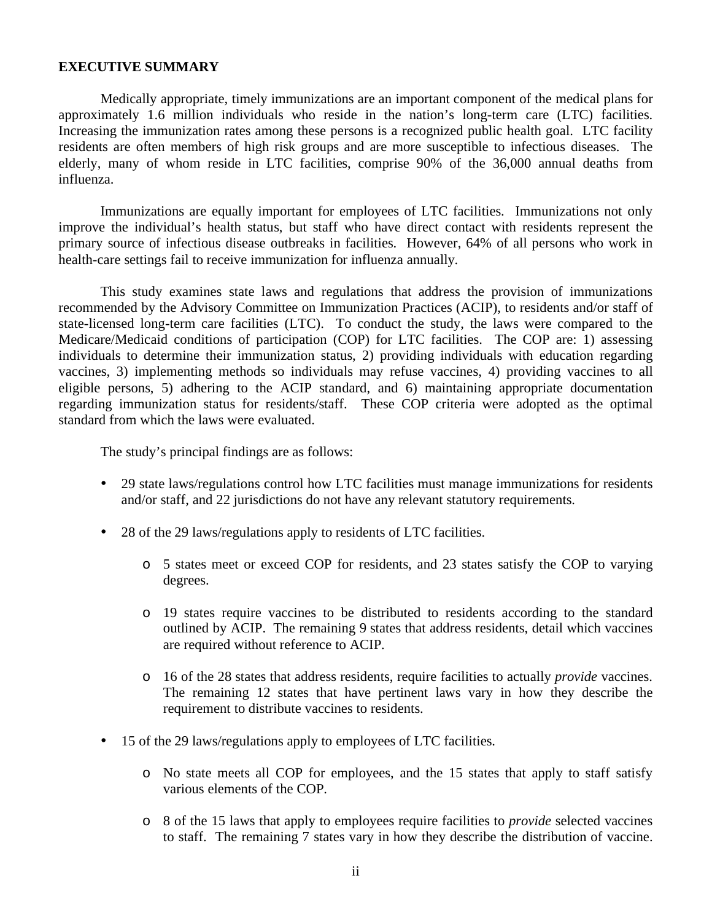# **EXECUTIVE SUMMARY**

Medically appropriate, timely immunizations are an important component of the medical plans for approximately 1.6 million individuals who reside in the nation's long-term care (LTC) facilities. Increasing the immunization rates among these persons is a recognized public health goal. LTC facility residents are often members of high risk groups and are more susceptible to infectious diseases. The elderly, many of whom reside in LTC facilities, comprise 90% of the 36,000 annual deaths from influenza.

Immunizations are equally important for employees of LTC facilities. Immunizations not only improve the individual's health status, but staff who have direct contact with residents represent the primary source of infectious disease outbreaks in facilities. However, 64% of all persons who work in health-care settings fail to receive immunization for influenza annually.

This study examines state laws and regulations that address the provision of immunizations recommended by the Advisory Committee on Immunization Practices (ACIP), to residents and/or staff of state-licensed long-term care facilities (LTC). To conduct the study, the laws were compared to the Medicare/Medicaid conditions of participation (COP) for LTC facilities. The COP are: 1) assessing individuals to determine their immunization status, 2) providing individuals with education regarding vaccines, 3) implementing methods so individuals may refuse vaccines, 4) providing vaccines to all eligible persons, 5) adhering to the ACIP standard, and 6) maintaining appropriate documentation regarding immunization status for residents/staff. These COP criteria were adopted as the optimal standard from which the laws were evaluated.

The study's principal findings are as follows:

- 29 state laws/regulations control how LTC facilities must manage immunizations for residents and/or staff, and 22 jurisdictions do not have any relevant statutory requirements.
- 28 of the 29 laws/regulations apply to residents of LTC facilities.
	- o 5 states meet or exceed COP for residents, and 23 states satisfy the COP to varying degrees.
	- o 19 states require vaccines to be distributed to residents according to the standard outlined by ACIP. The remaining 9 states that address residents, detail which vaccines are required without reference to ACIP.
	- o 16 of the 28 states that address residents, require facilities to actually *provide* vaccines. The remaining 12 states that have pertinent laws vary in how they describe the requirement to distribute vaccines to residents.
- 15 of the 29 laws/regulations apply to employees of LTC facilities.
	- o No state meets all COP for employees, and the 15 states that apply to staff satisfy various elements of the COP.
	- o 8 of the 15 laws that apply to employees require facilities to *provide* selected vaccines to staff. The remaining 7 states vary in how they describe the distribution of vaccine.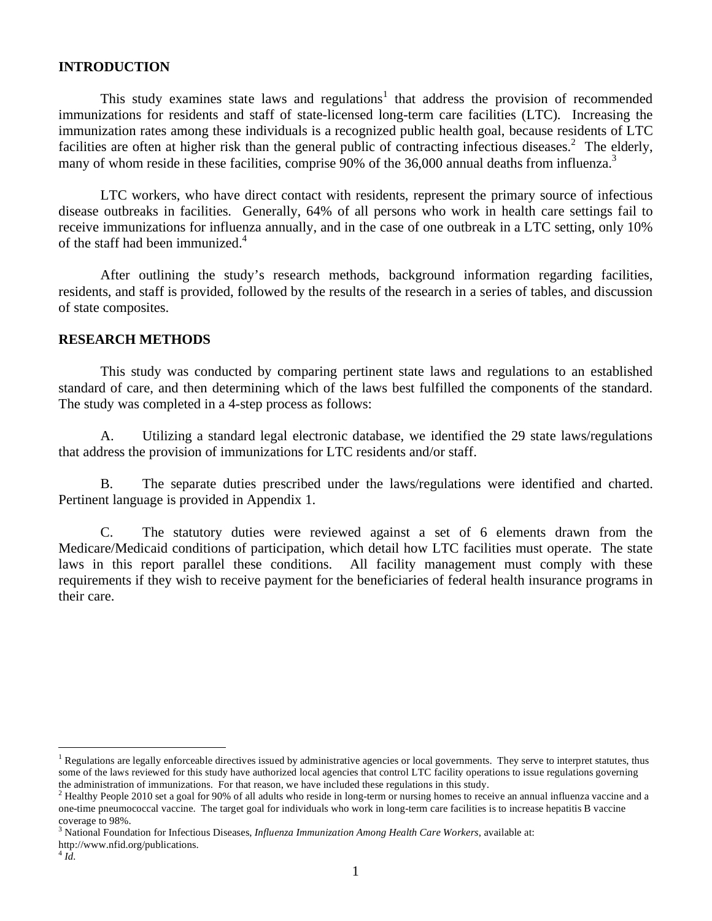# **INTRODUCTION**

This study examines state laws and regulations<sup>1</sup> that address the provision of recommended immunizations for residents and staff of state-licensed long-term care facilities (LTC). Increasing the immunization rates among these individuals is a recognized public health goal, because residents of LTC facilities are often at higher risk than the general public of contracting infectious diseases.<sup>2</sup> The elderly, many of whom reside in these facilities, comprise 90% of the 36,000 annual deaths from influenza.<sup>3</sup>

LTC workers, who have direct contact with residents, represent the primary source of infectious disease outbreaks in facilities. Generally, 64% of all persons who work in health care settings fail to receive immunizations for influenza annually, and in the case of one outbreak in a LTC setting, only 10% of the staff had been immunized.4

After outlining the study's research methods, background information regarding facilities, residents, and staff is provided, followed by the results of the research in a series of tables, and discussion of state composites.

# **RESEARCH METHODS**

This study was conducted by comparing pertinent state laws and regulations to an established standard of care, and then determining which of the laws best fulfilled the components of the standard. The study was completed in a 4-step process as follows:

A. Utilizing a standard legal electronic database, we identified the 29 state laws/regulations that address the provision of immunizations for LTC residents and/or staff.

B. The separate duties prescribed under the laws/regulations were identified and charted. Pertinent language is provided in Appendix 1.

C. The statutory duties were reviewed against a set of 6 elements drawn from the Medicare/Medicaid conditions of participation, which detail how LTC facilities must operate. The state laws in this report parallel these conditions. All facility management must comply with these requirements if they wish to receive payment for the beneficiaries of federal health insurance programs in their care.

 $\overline{a}$ 

<sup>1</sup> Regulations are legally enforceable directives issued by administrative agencies or local governments. They serve to interpret statutes, thus some of the laws reviewed for this study have authorized local agencies that control LTC facility operations to issue regulations governing the administration of immunizations. For that reason, we have included these regulations in this study.

<sup>&</sup>lt;sup>2</sup> Healthy People 2010 set a goal for 90% of all adults who reside in long-term or nursing homes to receive an annual influenza vaccine and a one-time pneumococcal vaccine. The target goal for individuals who work in long-term care facilities is to increase hepatitis B vaccine coverage to 98%.

<sup>3</sup> National Foundation for Infectious Diseases, *Influenza Immunization Among Health Care Workers*, available at:

http://www.nfid.org/publications.

 $^{4}$ *Id.*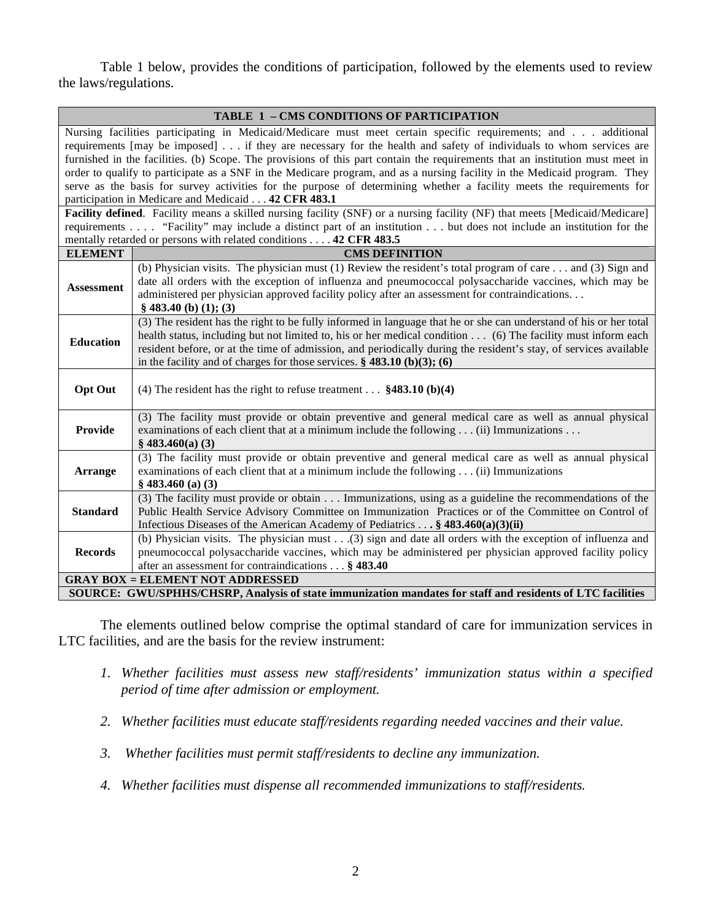Table 1 below, provides the conditions of participation, followed by the elements used to review the laws/regulations.

|                   | TABLE 1 - CMS CONDITIONS OF PARTICIPATION                                                                                     |  |  |  |  |  |  |
|-------------------|-------------------------------------------------------------------------------------------------------------------------------|--|--|--|--|--|--|
|                   | Nursing facilities participating in Medicaid/Medicare must meet certain specific requirements; and additional                 |  |  |  |  |  |  |
|                   | requirements [may be imposed] if they are necessary for the health and safety of individuals to whom services are             |  |  |  |  |  |  |
|                   | furnished in the facilities. (b) Scope. The provisions of this part contain the requirements that an institution must meet in |  |  |  |  |  |  |
|                   | order to qualify to participate as a SNF in the Medicare program, and as a nursing facility in the Medicaid program. They     |  |  |  |  |  |  |
|                   | serve as the basis for survey activities for the purpose of determining whether a facility meets the requirements for         |  |  |  |  |  |  |
|                   | participation in Medicare and Medicaid 42 CFR 483.1                                                                           |  |  |  |  |  |  |
|                   | Facility defined. Facility means a skilled nursing facility (SNF) or a nursing facility (NF) that meets [Medicaid/Medicare]   |  |  |  |  |  |  |
|                   | requirements "Facility" may include a distinct part of an institution but does not include an institution for the             |  |  |  |  |  |  |
|                   | mentally retarded or persons with related conditions 42 CFR 483.5                                                             |  |  |  |  |  |  |
| <b>ELEMENT</b>    | <b>CMS DEFINITION</b>                                                                                                         |  |  |  |  |  |  |
|                   | (b) Physician visits. The physician must (1) Review the resident's total program of care $\dots$ and (3) Sign and             |  |  |  |  |  |  |
| <b>Assessment</b> | date all orders with the exception of influenza and pneumococcal polysaccharide vaccines, which may be                        |  |  |  |  |  |  |
|                   | administered per physician approved facility policy after an assessment for contraindications                                 |  |  |  |  |  |  |
|                   | $§$ 483.40 (b) (1); (3)                                                                                                       |  |  |  |  |  |  |
|                   | (3) The resident has the right to be fully informed in language that he or she can understand of his or her total             |  |  |  |  |  |  |
| Education         | health status, including but not limited to, his or her medical condition (6) The facility must inform each                   |  |  |  |  |  |  |
|                   | resident before, or at the time of admission, and periodically during the resident's stay, of services available              |  |  |  |  |  |  |
|                   | in the facility and of charges for those services. $\S$ 483.10 (b)(3); (6)                                                    |  |  |  |  |  |  |
|                   |                                                                                                                               |  |  |  |  |  |  |
| <b>Opt Out</b>    | (4) The resident has the right to refuse treatment $$483.10$ (b)(4)                                                           |  |  |  |  |  |  |
|                   |                                                                                                                               |  |  |  |  |  |  |
|                   | (3) The facility must provide or obtain preventive and general medical care as well as annual physical                        |  |  |  |  |  |  |
| Provide           | examinations of each client that at a minimum include the following (ii) Immunizations                                        |  |  |  |  |  |  |
|                   | $§$ 483.460(a) (3)                                                                                                            |  |  |  |  |  |  |
|                   | (3) The facility must provide or obtain preventive and general medical care as well as annual physical                        |  |  |  |  |  |  |
| <b>Arrange</b>    | examinations of each client that at a minimum include the following (ii) Immunizations                                        |  |  |  |  |  |  |
|                   | $§$ 483.460 (a) (3)                                                                                                           |  |  |  |  |  |  |
|                   | (3) The facility must provide or obtain Immunizations, using as a guideline the recommendations of the                        |  |  |  |  |  |  |
| <b>Standard</b>   | Public Health Service Advisory Committee on Immunization Practices or of the Committee on Control of                          |  |  |  |  |  |  |
|                   | Infectious Diseases of the American Academy of Pediatrics $\dots$ § 483.460(a)(3)(ii)                                         |  |  |  |  |  |  |
|                   | (b) Physician visits. The physician must $\ldots$ (3) sign and date all orders with the exception of influenza and            |  |  |  |  |  |  |
| <b>Records</b>    | pneumococcal polysaccharide vaccines, which may be administered per physician approved facility policy                        |  |  |  |  |  |  |
|                   | after an assessment for contraindications § 483.40                                                                            |  |  |  |  |  |  |
|                   | <b>GRAY BOX = ELEMENT NOT ADDRESSED</b>                                                                                       |  |  |  |  |  |  |
|                   | SOURCE: GWU/SPHHS/CHSRP, Analysis of state immunization mandates for staff and residents of LTC facilities                    |  |  |  |  |  |  |

The elements outlined below comprise the optimal standard of care for immunization services in LTC facilities, and are the basis for the review instrument:

- *1. Whether facilities must assess new staff/residents' immunization status within a specified period of time after admission or employment.*
- *2. Whether facilities must educate staff/residents regarding needed vaccines and their value.*
- *3. Whether facilities must permit staff/residents to decline any immunization.*
- *4. Whether facilities must dispense all recommended immunizations to staff/residents.*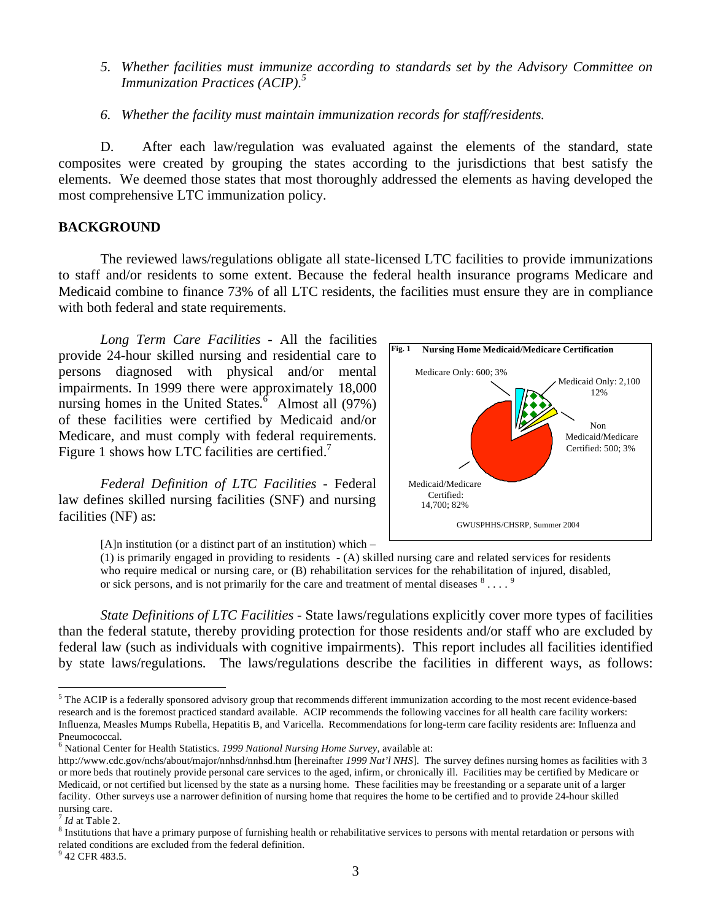*5. Whether facilities must immunize according to standards set by the Advisory Committee on Immunization Practices (ACIP).5*

*6. Whether the facility must maintain immunization records for staff/residents.* 

D. After each law/regulation was evaluated against the elements of the standard, state composites were created by grouping the states according to the jurisdictions that best satisfy the elements. We deemed those states that most thoroughly addressed the elements as having developed the most comprehensive LTC immunization policy.

# **BACKGROUND**

The reviewed laws/regulations obligate all state-licensed LTC facilities to provide immunizations to staff and/or residents to some extent. Because the federal health insurance programs Medicare and Medicaid combine to finance 73% of all LTC residents, the facilities must ensure they are in compliance with both federal and state requirements.

 provide 24-hour skilled nursing and residential care to *Long Term Care Facilities* - All the facilities persons diagnosed with physical and/or mental impairments. In 1999 there were approximately 18,000 nursing homes in the United States.<sup>6</sup> Almost all  $(97%)$ of these facilities were certified by Medicaid and/or Medicare, and must comply with federal requirements. Figure 1 shows how LTC facilities are certified.<sup>7</sup>

*Federal Definition of LTC Facilities* - Federal law defines skilled nursing facilities (SNF) and nursing facilities (NF) as:



[A]n institution (or a distinct part of an institution) which –

(1) is primarily engaged in providing to residents - (A) skilled nursing care and related services for residents who require medical or nursing care, or (B) rehabilitation services for the rehabilitation of injured, disabled, or sick persons, and is not primarily for the care and treatment of mental diseases  $8 \ldots$ .

*State Definitions of LTC Facilities* - State laws/regulations explicitly cover more types of facilities than the federal statute, thereby providing protection for those residents and/or staff who are excluded by federal law (such as individuals with cognitive impairments). This report includes all facilities identified by state laws/regulations. The laws/regulations describe the facilities in different ways, as follows:

 $\overline{a}$ 

<sup>&</sup>lt;sup>5</sup> The ACIP is a federally sponsored advisory group that recommends different immunization according to the most recent evidence-based research and is the foremost practiced standard available. ACIP recommends the following vaccines for all health care facility workers: Influenza, Measles Mumps Rubella, Hepatitis B, and Varicella. Recommendations for long-term care facility residents are: Influenza and Pneumococcal.

<sup>6</sup> National Center for Health Statistics. *1999 National Nursing Home Survey*, available at:

http://www.cdc.gov/nchs/about/major/nnhsd/nnhsd.htm [hereinafter *1999 Nat'l NHS*]*.* The survey defines nursing homes as facilities with 3 or more beds that routinely provide personal care services to the aged, infirm, or chronically ill. Facilities may be certified by Medicare or Medicaid, or not certified but licensed by the state as a nursing home. These facilities may be freestanding or a separate unit of a larger facility. Other surveys use a narrower definition of nursing home that requires the home to be certified and to provide 24-hour skilled nursing care.

 $<sup>7</sup>$  *Id* at Table 2.</sup>

 $8$  Institutions that have a primary purpose of furnishing health or rehabilitative services to persons with mental retardation or persons with related conditions are excluded from the federal definition.

<sup>&</sup>lt;sup>9</sup> 42 CFR 483.5.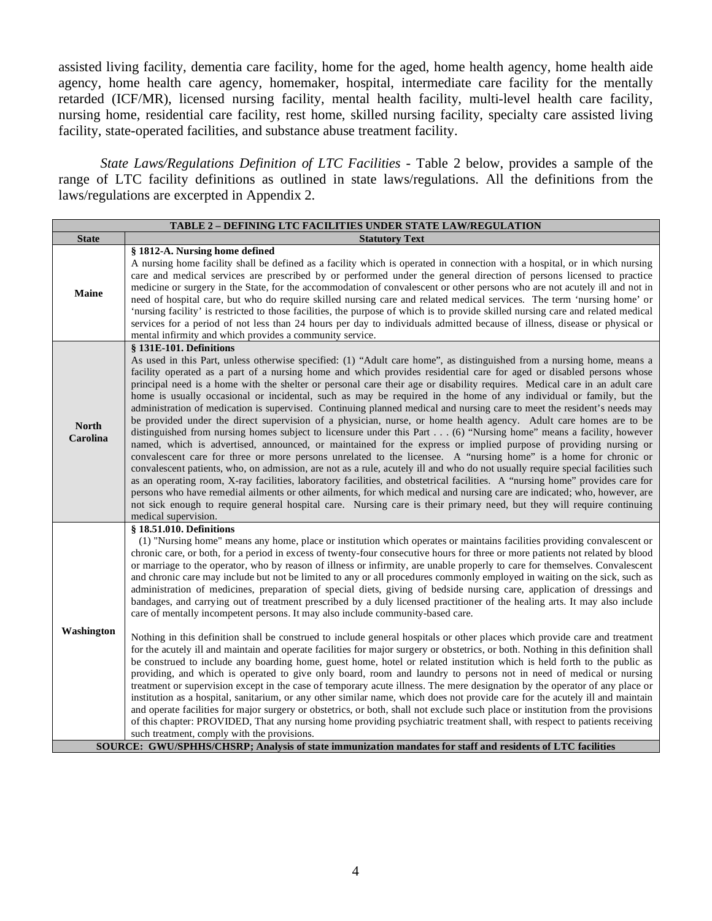assisted living facility, dementia care facility, home for the aged, home health agency, home health aide agency, home health care agency, homemaker, hospital, intermediate care facility for the mentally retarded (ICF/MR), licensed nursing facility, mental health facility, multi-level health care facility, nursing home, residential care facility, rest home, skilled nursing facility, specialty care assisted living facility, state-operated facilities, and substance abuse treatment facility.

*State Laws/Regulations Definition of LTC Facilities -* Table 2 below, provides a sample of the range of LTC facility definitions as outlined in state laws/regulations. All the definitions from the laws/regulations are excerpted in Appendix 2.

|                          | TABLE 2 - DEFINING LTC FACILITIES UNDER STATE LAW/REGULATION                                                                                                                                                                                                                                                                                                                                                                                                                                                                                                                                                                                                                                                                                                                                                                                                                                                                                                                                                                                                                                                                                                                                                                                                                                                                                                                                                                                                                                                                                                                                                                                                                                                                                                                                                                                                                                                                                                                                                                                                                                                              |
|--------------------------|---------------------------------------------------------------------------------------------------------------------------------------------------------------------------------------------------------------------------------------------------------------------------------------------------------------------------------------------------------------------------------------------------------------------------------------------------------------------------------------------------------------------------------------------------------------------------------------------------------------------------------------------------------------------------------------------------------------------------------------------------------------------------------------------------------------------------------------------------------------------------------------------------------------------------------------------------------------------------------------------------------------------------------------------------------------------------------------------------------------------------------------------------------------------------------------------------------------------------------------------------------------------------------------------------------------------------------------------------------------------------------------------------------------------------------------------------------------------------------------------------------------------------------------------------------------------------------------------------------------------------------------------------------------------------------------------------------------------------------------------------------------------------------------------------------------------------------------------------------------------------------------------------------------------------------------------------------------------------------------------------------------------------------------------------------------------------------------------------------------------------|
| <b>State</b>             | <b>Statutory Text</b>                                                                                                                                                                                                                                                                                                                                                                                                                                                                                                                                                                                                                                                                                                                                                                                                                                                                                                                                                                                                                                                                                                                                                                                                                                                                                                                                                                                                                                                                                                                                                                                                                                                                                                                                                                                                                                                                                                                                                                                                                                                                                                     |
| Maine                    | § 1812-A. Nursing home defined<br>A nursing home facility shall be defined as a facility which is operated in connection with a hospital, or in which nursing<br>care and medical services are prescribed by or performed under the general direction of persons licensed to practice<br>medicine or surgery in the State, for the accommodation of convalescent or other persons who are not acutely ill and not in<br>need of hospital care, but who do require skilled nursing care and related medical services. The term 'nursing home' or<br>'nursing facility' is restricted to those facilities, the purpose of which is to provide skilled nursing care and related medical<br>services for a period of not less than 24 hours per day to individuals admitted because of illness, disease or physical or<br>mental infirmity and which provides a community service.                                                                                                                                                                                                                                                                                                                                                                                                                                                                                                                                                                                                                                                                                                                                                                                                                                                                                                                                                                                                                                                                                                                                                                                                                                            |
| <b>North</b><br>Carolina | § 131E-101. Definitions<br>As used in this Part, unless otherwise specified: (1) "Adult care home", as distinguished from a nursing home, means a<br>facility operated as a part of a nursing home and which provides residential care for aged or disabled persons whose<br>principal need is a home with the shelter or personal care their age or disability requires. Medical care in an adult care<br>home is usually occasional or incidental, such as may be required in the home of any individual or family, but the<br>administration of medication is supervised. Continuing planned medical and nursing care to meet the resident's needs may<br>be provided under the direct supervision of a physician, nurse, or home health agency. Adult care homes are to be<br>distinguished from nursing homes subject to licensure under this Part (6) "Nursing home" means a facility, however<br>named, which is advertised, announced, or maintained for the express or implied purpose of providing nursing or<br>convalescent care for three or more persons unrelated to the licensee. A "nursing home" is a home for chronic or<br>convalescent patients, who, on admission, are not as a rule, acutely ill and who do not usually require special facilities such<br>as an operating room, X-ray facilities, laboratory facilities, and obstetrical facilities. A "nursing home" provides care for<br>persons who have remedial ailments or other ailments, for which medical and nursing care are indicated; who, however, are<br>not sick enough to require general hospital care. Nursing care is their primary need, but they will require continuing<br>medical supervision.                                                                                                                                                                                                                                                                                                                                                                                                                            |
| Washington               | § 18.51.010. Definitions<br>(1) "Nursing home" means any home, place or institution which operates or maintains facilities providing convalescent or<br>chronic care, or both, for a period in excess of twenty-four consecutive hours for three or more patients not related by blood<br>or marriage to the operator, who by reason of illness or infirmity, are unable properly to care for themselves. Convalescent<br>and chronic care may include but not be limited to any or all procedures commonly employed in waiting on the sick, such as<br>administration of medicines, preparation of special diets, giving of bedside nursing care, application of dressings and<br>bandages, and carrying out of treatment prescribed by a duly licensed practitioner of the healing arts. It may also include<br>care of mentally incompetent persons. It may also include community-based care.<br>Nothing in this definition shall be construed to include general hospitals or other places which provide care and treatment<br>for the acutely ill and maintain and operate facilities for major surgery or obstetrics, or both. Nothing in this definition shall<br>be construed to include any boarding home, guest home, hotel or related institution which is held forth to the public as<br>providing, and which is operated to give only board, room and laundry to persons not in need of medical or nursing<br>treatment or supervision except in the case of temporary acute illness. The mere designation by the operator of any place or<br>institution as a hospital, sanitarium, or any other similar name, which does not provide care for the acutely ill and maintain<br>and operate facilities for major surgery or obstetrics, or both, shall not exclude such place or institution from the provisions<br>of this chapter: PROVIDED, That any nursing home providing psychiatric treatment shall, with respect to patients receiving<br>such treatment, comply with the provisions.<br>SOURCE: GWU/SPHHS/CHSRP; Analysis of state immunization mandates for staff and residents of LTC facilities |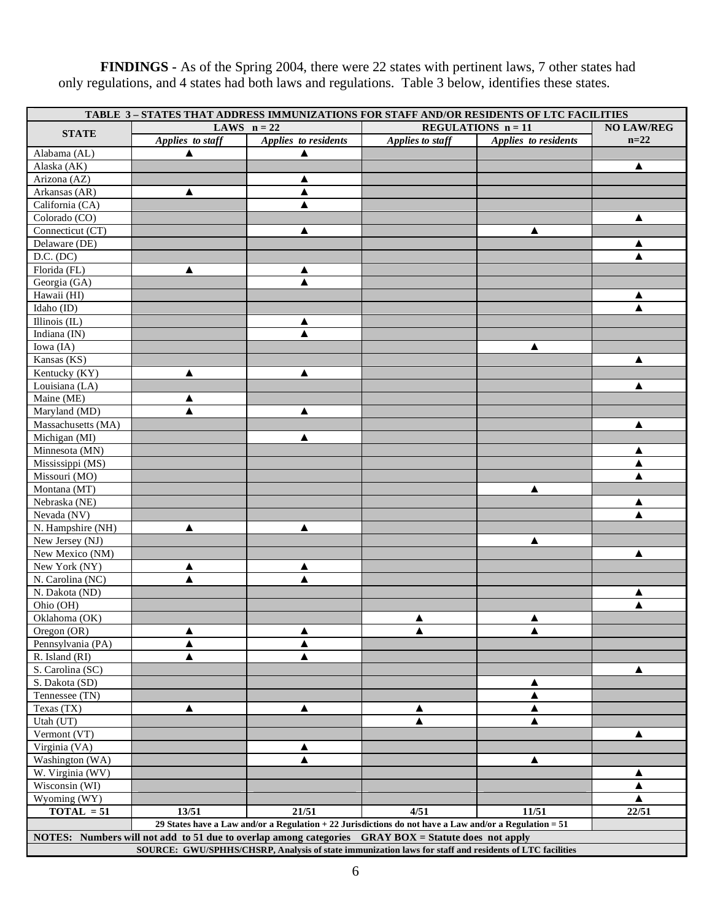**FINDINGS -** As of the Spring 2004, there were 22 states with pertinent laws, 7 other states had only regulations, and 4 states had both laws and regulations. Table 3 below, identifies these states.

|                    |                  | TABLE 3-STATES THAT ADDRESS IMMUNIZATIONS FOR STAFF AND/OR RESIDENTS OF LTC FACILITIES                   |                  |                      |        |
|--------------------|------------------|----------------------------------------------------------------------------------------------------------|------------------|----------------------|--------|
| <b>STATE</b>       |                  | LAWS $n = 22$<br><b>REGULATIONS</b> $n = 11$                                                             |                  |                      |        |
|                    | Applies to staff | Applies to residents                                                                                     | Applies to staff | Applies to residents | $n=22$ |
| Alabama (AL)       | ▲                |                                                                                                          |                  |                      |        |
| Alaska (AK)        |                  |                                                                                                          |                  |                      | ▲      |
| Arizona (AZ)       |                  | ▲                                                                                                        |                  |                      |        |
| Arkansas (AR)      | ▲                | ▲                                                                                                        |                  |                      |        |
| California (CA)    |                  | ▲                                                                                                        |                  |                      |        |
| Colorado (CO)      |                  |                                                                                                          |                  |                      | ▲      |
| Connecticut (CT)   |                  | ▲                                                                                                        |                  | ▲                    |        |
| Delaware (DE)      |                  |                                                                                                          |                  |                      |        |
| D.C. (DC)          |                  |                                                                                                          |                  |                      |        |
| Florida (FL)       | ▲                | ▲                                                                                                        |                  |                      |        |
| Georgia (GA)       |                  |                                                                                                          |                  |                      |        |
| Hawaii (HI)        |                  |                                                                                                          |                  |                      | ▲      |
| Idaho (ID)         |                  |                                                                                                          |                  |                      | ▲      |
| Illinois (IL)      |                  | ▲                                                                                                        |                  |                      |        |
| Indiana (IN)       |                  |                                                                                                          |                  |                      |        |
| Iowa (IA)          |                  |                                                                                                          |                  | ▲                    |        |
| Kansas (KS)        |                  |                                                                                                          |                  |                      | ▲      |
| Kentucky (KY)      | ▲                | ▲                                                                                                        |                  |                      |        |
| Louisiana (LA)     |                  |                                                                                                          |                  |                      | ▲      |
| Maine (ME)         | ▲                |                                                                                                          |                  |                      |        |
| Maryland (MD)      |                  | ▲                                                                                                        |                  |                      |        |
| Massachusetts (MA) |                  |                                                                                                          |                  |                      | ▲      |
| Michigan (MI)      |                  | ▲                                                                                                        |                  |                      |        |
| Minnesota (MN)     |                  |                                                                                                          |                  |                      | ▲      |
| Mississippi (MS)   |                  |                                                                                                          |                  |                      |        |
| Missouri (MO)      |                  |                                                                                                          |                  |                      |        |
| Montana (MT)       |                  |                                                                                                          |                  | ▲                    |        |
| Nebraska (NE)      |                  |                                                                                                          |                  |                      | ▲      |
| Nevada (NV)        |                  |                                                                                                          |                  |                      |        |
| N. Hampshire (NH)  | ▲                | ▲                                                                                                        |                  |                      |        |
| New Jersey (NJ)    |                  |                                                                                                          |                  | ▲                    |        |
| New Mexico (NM)    |                  |                                                                                                          |                  |                      | ▲      |
| New York (NY)      | ▲                | ▲                                                                                                        |                  |                      |        |
| N. Carolina (NC)   | ▲                | ▲                                                                                                        |                  |                      |        |
| N. Dakota (ND)     |                  |                                                                                                          |                  |                      |        |
| Ohio (OH)          |                  |                                                                                                          |                  |                      |        |
| Oklahoma (OK)      |                  |                                                                                                          | ▲                | ▲                    |        |
| Oregon (OR)        | ▲                | ▲                                                                                                        | ▲                | ▲                    |        |
| Pennsylvania (PA)  | ▲                | ▲                                                                                                        |                  |                      |        |
| R. Island (RI)     | ▲                | ▲                                                                                                        |                  |                      |        |
| S. Carolina (SC)   |                  |                                                                                                          |                  |                      | ▲      |
| S. Dakota (SD)     |                  |                                                                                                          |                  | ▲                    |        |
| Tennessee (TN)     |                  |                                                                                                          |                  | ▲                    |        |
| Texas (TX)         | ▲                | ▲                                                                                                        | ▲                | ▲                    |        |
| Utah (UT)          |                  |                                                                                                          | ▲                | ▲                    |        |
| Vermont (VT)       |                  |                                                                                                          |                  |                      | ▲      |
| Virginia (VA)      |                  | ▲                                                                                                        |                  |                      |        |
| Washington (WA)    |                  | ▲                                                                                                        |                  | ▲                    |        |
| W. Virginia (WV)   |                  |                                                                                                          |                  |                      | ▲      |
| Wisconsin (WI)     |                  |                                                                                                          |                  |                      | ▲      |
| Wyoming (WY)       |                  |                                                                                                          |                  |                      | ▲      |
| $TOTAL = 51$       | 13/51            | 21/51                                                                                                    | 4/51             | 11/51                | 22/51  |
|                    |                  | 29 States have a Law and/or a Regulation + 22 Jurisdictions do not have a Law and/or a Regulation = $51$ |                  |                      |        |
|                    |                  | NOTES: Numbers will not add to 51 due to overlap among categories GRAY BOX = Statute does not apply      |                  |                      |        |
|                    |                  | SOURCE: GWU/SPHHS/CHSRP, Analysis of state immunization laws for staff and residents of LTC facilities   |                  |                      |        |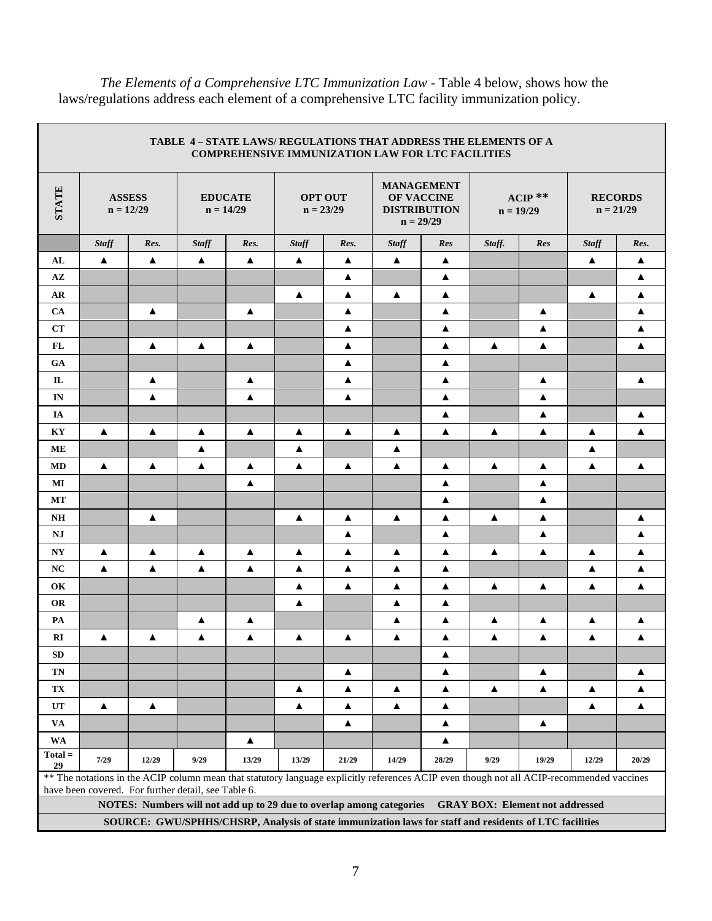The Elements of a Comprehensive LTC Immunization Law - Table 4 below, shows how the laws/regulations address each element of a comprehensive LTC facility immunization policy.

|                                                                                                        |                              |                  | TABLE 4 - STATE LAWS/ REGULATIONS THAT ADDRESS THE ELEMENTS OF A     |                  |                  |                                                                                                               | <b>COMPREHENSIVE IMMUNIZATION LAW FOR LTC FACILITIES</b> |                  |                                                           |                                                                                                                                           |              |                  |
|--------------------------------------------------------------------------------------------------------|------------------------------|------------------|----------------------------------------------------------------------|------------------|------------------|---------------------------------------------------------------------------------------------------------------|----------------------------------------------------------|------------------|-----------------------------------------------------------|-------------------------------------------------------------------------------------------------------------------------------------------|--------------|------------------|
| <b>STATE</b>                                                                                           | <b>ASSESS</b><br>$n = 12/29$ |                  | <b>EDUCATE</b><br>$n = 14/29$                                        |                  |                  | <b>MANAGEMENT</b><br><b>OPT OUT</b><br><b>OF VACCINE</b><br>$n = 23/29$<br><b>DISTRIBUTION</b><br>$n = 29/29$ |                                                          |                  | $ACIP$ **<br><b>RECORDS</b><br>$n = 21/29$<br>$n = 19/29$ |                                                                                                                                           |              |                  |
|                                                                                                        | <b>Staff</b>                 | Res.             | <b>Staff</b>                                                         | Res.             | <b>Staff</b>     | Res.                                                                                                          | <b>Staff</b>                                             | Res              | Staff.                                                    | Res                                                                                                                                       | <b>Staff</b> | Res.             |
| AL                                                                                                     | $\blacktriangle$             | $\blacktriangle$ | $\blacktriangle$                                                     | $\blacktriangle$ | $\blacktriangle$ | ▲                                                                                                             | $\blacktriangle$                                         | $\blacktriangle$ |                                                           |                                                                                                                                           | ▲            | ▲                |
| $\mathbf{A}\mathbf{Z}$                                                                                 |                              |                  |                                                                      |                  |                  | ▲                                                                                                             |                                                          | ▲                |                                                           |                                                                                                                                           |              | $\blacktriangle$ |
| AR                                                                                                     |                              |                  |                                                                      |                  | $\blacktriangle$ | $\blacktriangle$                                                                                              | $\blacktriangle$                                         | $\blacktriangle$ |                                                           |                                                                                                                                           | ▲            | $\blacktriangle$ |
| <b>CA</b>                                                                                              |                              | ▲                |                                                                      | ▲                |                  | ▲                                                                                                             |                                                          | ▲                |                                                           | ▲                                                                                                                                         |              | ▲                |
| CT                                                                                                     |                              |                  |                                                                      |                  |                  | ▲                                                                                                             |                                                          | ▲                |                                                           | ▲                                                                                                                                         |              | ▲                |
| FL                                                                                                     |                              | ▲                | $\blacktriangle$                                                     | ▲                |                  | ▲                                                                                                             |                                                          | ▲                | ▲                                                         | ▲                                                                                                                                         |              | ▲                |
| <b>GA</b>                                                                                              |                              |                  |                                                                      |                  |                  | ▲                                                                                                             |                                                          | ▲                |                                                           |                                                                                                                                           |              |                  |
| IL                                                                                                     |                              | ▲                |                                                                      | ▲                |                  | ▲                                                                                                             |                                                          | ▲                |                                                           | ▲                                                                                                                                         |              | ▲                |
| IN                                                                                                     |                              | ▲                |                                                                      | ▲                |                  | ▲                                                                                                             |                                                          | ▲                |                                                           | ▲                                                                                                                                         |              |                  |
| IA                                                                                                     |                              |                  |                                                                      |                  |                  |                                                                                                               |                                                          | ▲                |                                                           | ▲                                                                                                                                         |              | ▲                |
| KY                                                                                                     | ▲                            | ▲                | ▲                                                                    | ▲                | ▲                | ▲                                                                                                             | ▲                                                        | ▲                | ▲                                                         | ▲                                                                                                                                         | ▲            | ▲                |
| ME                                                                                                     |                              |                  | ▲                                                                    |                  | $\blacktriangle$ |                                                                                                               | ▲                                                        |                  |                                                           |                                                                                                                                           | ▲            |                  |
| MD                                                                                                     | $\blacktriangle$             | ▲                | $\blacktriangle$                                                     | $\blacktriangle$ | $\blacktriangle$ | $\blacktriangle$                                                                                              | ▲                                                        | ▲                | $\blacktriangle$                                          | ▲                                                                                                                                         | ▲            | $\blacktriangle$ |
| МI                                                                                                     |                              |                  |                                                                      | $\blacktriangle$ |                  |                                                                                                               |                                                          | $\blacktriangle$ |                                                           | ▲                                                                                                                                         |              |                  |
| MT                                                                                                     |                              |                  |                                                                      |                  |                  |                                                                                                               |                                                          | ▲                |                                                           | ▲                                                                                                                                         |              |                  |
| <b>NH</b>                                                                                              |                              | ▲                |                                                                      |                  | $\blacktriangle$ | ▲                                                                                                             | $\blacktriangle$                                         | ▲                | $\blacktriangle$                                          | $\blacktriangle$                                                                                                                          |              | ▲                |
| NJ                                                                                                     |                              |                  |                                                                      |                  |                  | ▲                                                                                                             |                                                          | ▲                |                                                           | ▲                                                                                                                                         |              | ▲                |
| N <sub>Y</sub>                                                                                         | $\blacktriangle$             | ▲                | ▲                                                                    | $\blacktriangle$ | $\blacktriangle$ | ▲                                                                                                             | ▲                                                        | ▲                | $\blacktriangle$                                          | $\blacktriangle$                                                                                                                          | ▲            | ▲                |
| NC                                                                                                     | ▲                            | ▲                | ▲                                                                    | ▲                | ▲                | ▲                                                                                                             | ▲                                                        | ▲                |                                                           |                                                                                                                                           | ▲            | ▲                |
| OK                                                                                                     |                              |                  |                                                                      |                  | $\blacktriangle$ | $\blacktriangle$                                                                                              | $\blacktriangle$                                         | $\blacktriangle$ | ▲                                                         | ▲                                                                                                                                         | ▲            | $\blacktriangle$ |
| <b>OR</b>                                                                                              |                              |                  |                                                                      |                  | ▲                |                                                                                                               | ▲                                                        | ▲                |                                                           |                                                                                                                                           |              |                  |
| PA                                                                                                     |                              |                  | ▲                                                                    | ▲                |                  |                                                                                                               | ▲                                                        | ▲                | ▲                                                         | ▲                                                                                                                                         | ▲            | ▲                |
| RI                                                                                                     | ▲                            | ▲                | $\blacktriangle$                                                     | ▲                | $\blacktriangle$ | ▲                                                                                                             | ▲                                                        | $\blacktriangle$ | ▲                                                         | $\blacktriangle$                                                                                                                          | ▲            | ▲                |
| SD                                                                                                     |                              |                  |                                                                      |                  |                  |                                                                                                               |                                                          | ▲                |                                                           |                                                                                                                                           |              |                  |
| <b>TN</b>                                                                                              |                              |                  |                                                                      |                  |                  | ▲                                                                                                             |                                                          | ▲                |                                                           | $\blacktriangle$                                                                                                                          |              | ▲                |
| $\mathbf{T}\mathbf{X}$                                                                                 |                              |                  |                                                                      |                  | $\blacktriangle$ | ▲                                                                                                             | $\blacktriangle$                                         | ▲                | $\blacktriangle$                                          | $\blacktriangle$                                                                                                                          | ▲            | $\blacktriangle$ |
| UT                                                                                                     | $\blacktriangle$             | $\blacktriangle$ |                                                                      |                  | $\blacktriangle$ | $\blacktriangle$                                                                                              | $\blacktriangle$                                         | $\blacktriangle$ |                                                           |                                                                                                                                           | ▲            | $\blacktriangle$ |
| VA                                                                                                     |                              |                  |                                                                      |                  |                  | ▲                                                                                                             |                                                          | ▲                |                                                           | ▲                                                                                                                                         |              |                  |
| <b>WA</b>                                                                                              |                              |                  |                                                                      | $\blacktriangle$ |                  |                                                                                                               |                                                          | ▲                |                                                           |                                                                                                                                           |              |                  |
| $Total =$<br>29                                                                                        | 7/29                         | 12/29            | 9/29                                                                 | 13/29            | 13/29            | 21/29                                                                                                         | 14/29                                                    | 28/29            | 9/29                                                      | 19/29                                                                                                                                     | 12/29        | 20/29            |
|                                                                                                        |                              |                  | have been covered. For further detail, see Table 6.                  |                  |                  |                                                                                                               |                                                          |                  |                                                           | ** The notations in the ACIP column mean that statutory language explicitly references ACIP even though not all ACIP-recommended vaccines |              |                  |
|                                                                                                        |                              |                  | NOTES: Numbers will not add up to 29 due to overlap among categories |                  |                  |                                                                                                               |                                                          |                  |                                                           | <b>GRAY BOX: Element not addressed</b>                                                                                                    |              |                  |
|                                                                                                        |                              |                  |                                                                      |                  |                  |                                                                                                               |                                                          |                  |                                                           |                                                                                                                                           |              |                  |
| SOURCE: GWU/SPHHS/CHSRP, Analysis of state immunization laws for staff and residents of LTC facilities |                              |                  |                                                                      |                  |                  |                                                                                                               |                                                          |                  |                                                           |                                                                                                                                           |              |                  |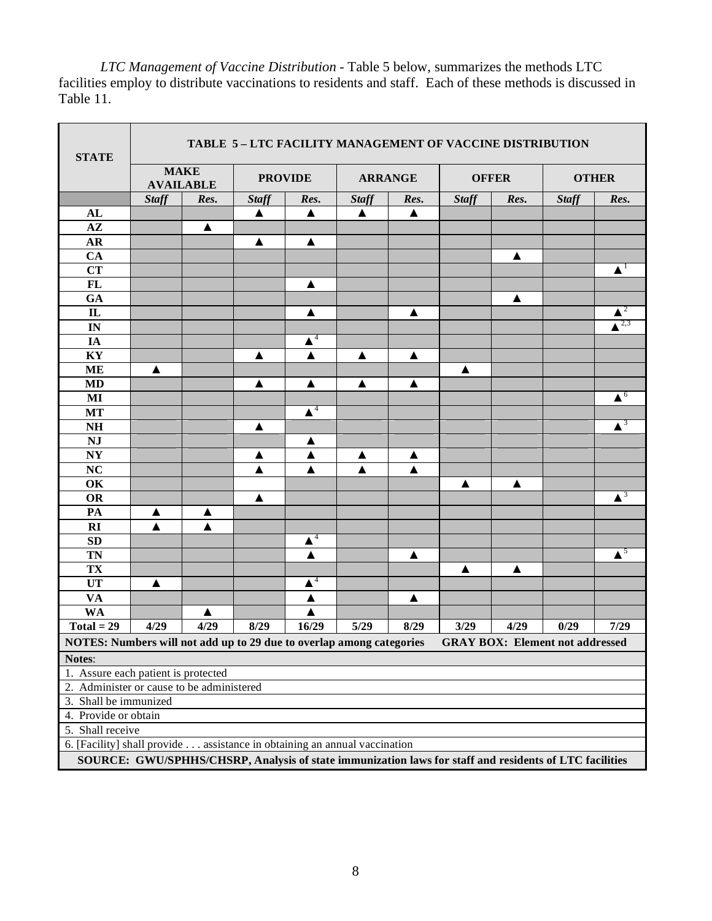*LTC Management of Vaccine Distribution -* Table 5 below, summarizes the methods LTC facilities employ to distribute vaccinations to residents and staff. Each of these methods is discussed in Table 11.

r.

| <b>STATE</b>                                                                                           | TABLE 5-LTC FACILITY MANAGEMENT OF VACCINE DISTRIBUTION |      |                  |                    |                |      |              |                  |                                        |                               |
|--------------------------------------------------------------------------------------------------------|---------------------------------------------------------|------|------------------|--------------------|----------------|------|--------------|------------------|----------------------------------------|-------------------------------|
|                                                                                                        | <b>MAKE</b><br><b>AVAILABLE</b>                         |      | <b>PROVIDE</b>   |                    | <b>ARRANGE</b> |      | <b>OFFER</b> |                  | <b>OTHER</b>                           |                               |
|                                                                                                        | <b>Staff</b>                                            | Res. | <b>Staff</b>     | Res.               | <b>Staff</b>   | Res. | <b>Staff</b> | Res.             | <b>Staff</b>                           | Res.                          |
| AL                                                                                                     |                                                         |      | ▲                | ▲                  | ▲              | ▲    |              |                  |                                        |                               |
| $A\mathbf{Z}$                                                                                          |                                                         | ▲    |                  |                    |                |      |              |                  |                                        |                               |
| AR                                                                                                     |                                                         |      | $\blacktriangle$ | ▲                  |                |      |              |                  |                                        |                               |
| CA                                                                                                     |                                                         |      |                  |                    |                |      |              | ▲                |                                        |                               |
| <b>CT</b>                                                                                              |                                                         |      |                  |                    |                |      |              |                  |                                        | $\blacktriangle^1$            |
| FL                                                                                                     |                                                         |      |                  | ▲                  |                |      |              |                  |                                        |                               |
| GA                                                                                                     |                                                         |      |                  |                    |                |      |              | $\blacktriangle$ |                                        |                               |
| $\mathbf{IL}$                                                                                          |                                                         |      |                  | ▲                  |                | ▲    |              |                  |                                        | $\blacktriangle^2$            |
| IN                                                                                                     |                                                         |      |                  |                    |                |      |              |                  |                                        | $\triangle^{2,3}$             |
| IA                                                                                                     |                                                         |      |                  | $\blacktriangle^4$ |                |      |              |                  |                                        |                               |
| KY                                                                                                     |                                                         |      | ▲                | $\blacktriangle$   | ▲              | ▲    |              |                  |                                        |                               |
| <b>ME</b>                                                                                              | ▲                                                       |      |                  |                    |                |      | ▲            |                  |                                        |                               |
| <b>MD</b>                                                                                              |                                                         |      | ▲                | ▲                  | ▲              | ▲    |              |                  |                                        |                               |
| $\bf{MI}$                                                                                              |                                                         |      |                  |                    |                |      |              |                  |                                        | $\triangle^6$                 |
| <b>MT</b>                                                                                              |                                                         |      |                  | $\blacktriangle^4$ |                |      |              |                  |                                        |                               |
| $\mathbf{N} \mathbf{H}$                                                                                |                                                         |      | ▲                |                    |                |      |              |                  |                                        | $\blacktriangle^3$            |
| NJ                                                                                                     |                                                         |      |                  | ▲                  |                |      |              |                  |                                        |                               |
| $\mathbf{N}\mathbf{Y}$                                                                                 |                                                         |      | ▲                | ▲                  | ▲              | ▲    |              |                  |                                        |                               |
| <b>NC</b>                                                                                              |                                                         |      | ▲                | ▲                  | ▲              | ▲    |              |                  |                                        |                               |
| OK                                                                                                     |                                                         |      |                  |                    |                |      | ▲            | ▲                |                                        |                               |
| <b>OR</b>                                                                                              |                                                         |      | $\blacktriangle$ |                    |                |      |              |                  |                                        | $\blacktriangle^3$            |
| PA                                                                                                     | ▲                                                       | ▲    |                  |                    |                |      |              |                  |                                        |                               |
| RI                                                                                                     | ▲                                                       | ▲    |                  |                    |                |      |              |                  |                                        |                               |
| SD                                                                                                     |                                                         |      |                  | $\blacktriangle^4$ |                |      |              |                  |                                        |                               |
| TN                                                                                                     |                                                         |      |                  | ▲                  |                | ▲    |              |                  |                                        | $\overline{\blacktriangle}^5$ |
| TX                                                                                                     |                                                         |      |                  |                    |                |      | ▲            | ▲                |                                        |                               |
| <b>UT</b>                                                                                              | $\blacktriangle$                                        |      |                  | $\blacktriangle^4$ |                |      |              |                  |                                        |                               |
| <b>VA</b>                                                                                              |                                                         |      |                  | ▲                  |                | ▲    |              |                  |                                        |                               |
| <b>WA</b>                                                                                              |                                                         | ▲    |                  | ▲                  |                |      |              |                  |                                        |                               |
| $Total = 29$                                                                                           | 4/29                                                    | 4/29 | 8/29             | 16/29              | 5/29           | 8/29 | 3/29         | 4/29             | 0/29                                   | 7/29                          |
| NOTES: Numbers will not add up to 29 due to overlap among categories                                   |                                                         |      |                  |                    |                |      |              |                  | <b>GRAY BOX: Element not addressed</b> |                               |
| Notes:                                                                                                 |                                                         |      |                  |                    |                |      |              |                  |                                        |                               |
| 1. Assure each patient is protected                                                                    |                                                         |      |                  |                    |                |      |              |                  |                                        |                               |
| 2. Administer or cause to be administered                                                              |                                                         |      |                  |                    |                |      |              |                  |                                        |                               |
| 3. Shall be immunized                                                                                  |                                                         |      |                  |                    |                |      |              |                  |                                        |                               |
|                                                                                                        | 4. Provide or obtain                                    |      |                  |                    |                |      |              |                  |                                        |                               |
| 5. Shall receive                                                                                       |                                                         |      |                  |                    |                |      |              |                  |                                        |                               |
| 6. [Facility] shall provide assistance in obtaining an annual vaccination                              |                                                         |      |                  |                    |                |      |              |                  |                                        |                               |
| SOURCE: GWU/SPHHS/CHSRP, Analysis of state immunization laws for staff and residents of LTC facilities |                                                         |      |                  |                    |                |      |              |                  |                                        |                               |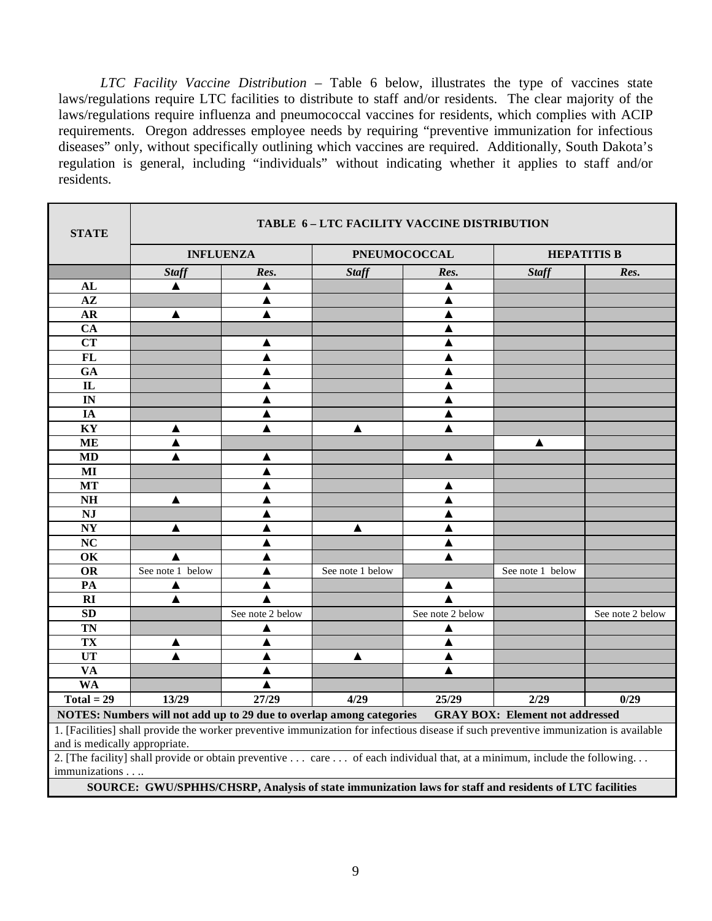*LTC Facility Vaccine Distribution* – Table 6 below, illustrates the type of vaccines state laws/regulations require LTC facilities to distribute to staff and/or residents. The clear majority of the laws/regulations require influenza and pneumococcal vaccines for residents, which complies with ACIP requirements. Oregon addresses employee needs by requiring "preventive immunization for infectious diseases" only, without specifically outlining which vaccines are required. Additionally, South Dakota's regulation is general, including "individuals" without indicating whether it applies to staff and/or residents.

r

| <b>STATE</b>                                                                                                                                                          |                                                                                                                          |                  |                  | TABLE 6-LTC FACILITY VACCINE DISTRIBUTION |                                        |                    |
|-----------------------------------------------------------------------------------------------------------------------------------------------------------------------|--------------------------------------------------------------------------------------------------------------------------|------------------|------------------|-------------------------------------------|----------------------------------------|--------------------|
|                                                                                                                                                                       | <b>INFLUENZA</b>                                                                                                         |                  |                  | <b>PNEUMOCOCCAL</b>                       |                                        | <b>HEPATITIS B</b> |
|                                                                                                                                                                       | <b>Staff</b>                                                                                                             | Res.             | <b>Staff</b>     | Res.                                      | <b>Staff</b>                           | Res.               |
| AL                                                                                                                                                                    | $\blacktriangle$                                                                                                         | ▲                |                  | ▲                                         |                                        |                    |
| $A\mathbf{Z}$                                                                                                                                                         |                                                                                                                          | ▲                |                  | ▲                                         |                                        |                    |
| AR                                                                                                                                                                    | ▲                                                                                                                        | ▲                |                  | ▲                                         |                                        |                    |
| <b>CA</b>                                                                                                                                                             |                                                                                                                          |                  |                  | ▲                                         |                                        |                    |
| <b>CT</b>                                                                                                                                                             |                                                                                                                          | ▲                |                  | ▲                                         |                                        |                    |
| $\overline{FL}$                                                                                                                                                       |                                                                                                                          |                  |                  |                                           |                                        |                    |
| GA                                                                                                                                                                    |                                                                                                                          |                  |                  |                                           |                                        |                    |
| $\mathbf{L}$                                                                                                                                                          |                                                                                                                          | ▲                |                  | ▲                                         |                                        |                    |
| IN                                                                                                                                                                    |                                                                                                                          |                  |                  | ▲                                         |                                        |                    |
| IA                                                                                                                                                                    |                                                                                                                          |                  |                  | ▲                                         |                                        |                    |
| KY                                                                                                                                                                    | ▲                                                                                                                        |                  | ▲                |                                           |                                        |                    |
| <b>ME</b>                                                                                                                                                             | ▲                                                                                                                        |                  |                  |                                           | ▲                                      |                    |
| <b>MD</b>                                                                                                                                                             | ▲                                                                                                                        | ▲                |                  | ▲                                         |                                        |                    |
| MI                                                                                                                                                                    |                                                                                                                          | ▲                |                  |                                           |                                        |                    |
| <b>MT</b>                                                                                                                                                             |                                                                                                                          | A                |                  | ▲                                         |                                        |                    |
| <b>NH</b>                                                                                                                                                             | ▲                                                                                                                        |                  |                  | ▲                                         |                                        |                    |
| NJ                                                                                                                                                                    |                                                                                                                          |                  |                  |                                           |                                        |                    |
| $\overline{\textbf{N}}$                                                                                                                                               | ▲                                                                                                                        |                  | ▲                | ▲                                         |                                        |                    |
| NC                                                                                                                                                                    |                                                                                                                          |                  |                  | ▲                                         |                                        |                    |
| OK                                                                                                                                                                    | ▲                                                                                                                        |                  |                  | ▲                                         |                                        |                    |
| OR                                                                                                                                                                    | See note 1 below                                                                                                         |                  | See note 1 below |                                           | See note 1 below                       |                    |
| $\overline{PA}$                                                                                                                                                       | ▲                                                                                                                        | ▲                |                  | ▲                                         |                                        |                    |
| RI                                                                                                                                                                    | $\blacktriangle$                                                                                                         |                  |                  |                                           |                                        |                    |
| $\overline{SD}$                                                                                                                                                       |                                                                                                                          | See note 2 below |                  | See note 2 below                          |                                        | See note 2 below   |
| <b>TN</b>                                                                                                                                                             |                                                                                                                          | ▲                |                  | ▲                                         |                                        |                    |
| <b>TX</b>                                                                                                                                                             | ▲                                                                                                                        | ▲                |                  | ▲                                         |                                        |                    |
| UT                                                                                                                                                                    |                                                                                                                          |                  | ▲                | ▲                                         |                                        |                    |
| $\overline{\mathbf{VA}}$                                                                                                                                              |                                                                                                                          |                  |                  |                                           |                                        |                    |
| <b>WA</b>                                                                                                                                                             |                                                                                                                          |                  |                  |                                           |                                        |                    |
| $Total = 29$                                                                                                                                                          | 13/29                                                                                                                    | 27/29            | 4/29             | 25/29                                     | $\overline{2/29}$                      | 0/29               |
|                                                                                                                                                                       | NOTES: Numbers will not add up to 29 due to overlap among categories                                                     |                  |                  |                                           | <b>GRAY BOX: Element not addressed</b> |                    |
| 1. [Facilities] shall provide the worker preventive immunization for infectious disease if such preventive immunization is available<br>and is medically appropriate. |                                                                                                                          |                  |                  |                                           |                                        |                    |
| immunizations.                                                                                                                                                        | 2. [The facility] shall provide or obtain preventive  care  of each individual that, at a minimum, include the following |                  |                  |                                           |                                        |                    |
|                                                                                                                                                                       | SOURCE: GWU/SPHHS/CHSRP, Analysis of state immunization laws for staff and residents of LTC facilities                   |                  |                  |                                           |                                        |                    |
|                                                                                                                                                                       |                                                                                                                          |                  |                  |                                           |                                        |                    |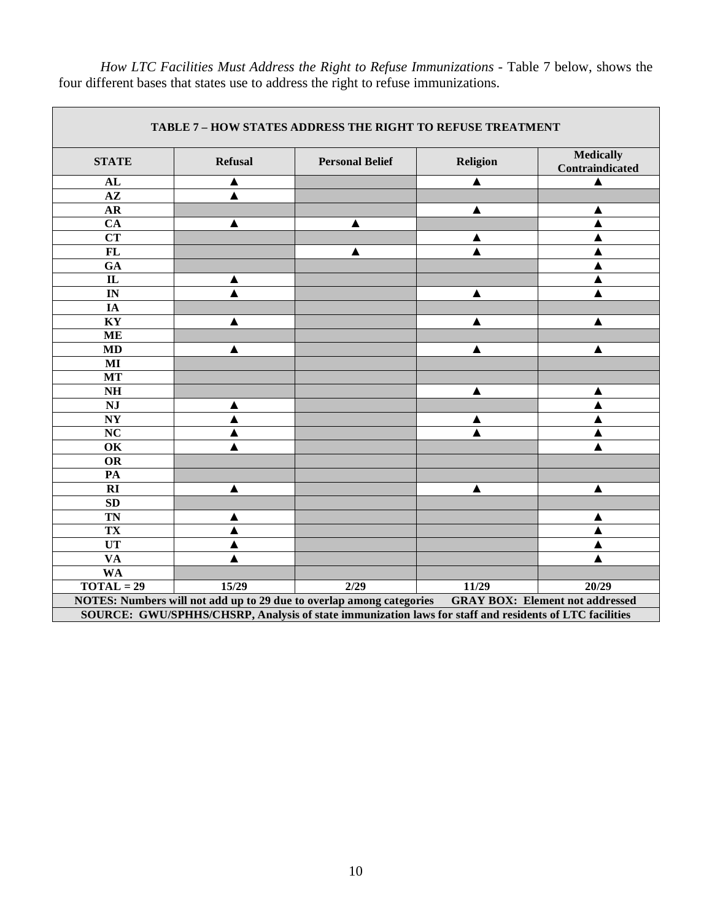|                          |                | <b>TABLE 7 - HOW STATES ADDRESS THE RIGHT TO REFUSE TREATMENT</b>                                      |          |                                        |
|--------------------------|----------------|--------------------------------------------------------------------------------------------------------|----------|----------------------------------------|
| <b>STATE</b>             | <b>Refusal</b> | <b>Personal Belief</b>                                                                                 | Religion | <b>Medically</b><br>Contraindicated    |
| AL                       | ▲              |                                                                                                        | ▲        |                                        |
| $\overline{AZ}$          |                |                                                                                                        |          |                                        |
| $\mathbf{AR}$            |                |                                                                                                        | ▲        | A                                      |
| $\overline{CA}$          | ▲              | ▲                                                                                                      |          |                                        |
| $\overline{\text{CT}}$   |                |                                                                                                        |          |                                        |
| FL                       |                |                                                                                                        |          |                                        |
| GA                       |                |                                                                                                        |          |                                        |
| $\overline{\text{IL}}$   | ▲              |                                                                                                        |          |                                        |
| $\overline{\mathbb{N}}$  |                |                                                                                                        | ▲        |                                        |
| <b>IA</b>                |                |                                                                                                        |          |                                        |
| KY                       | ▲              |                                                                                                        | ▲        | ▲                                      |
| <b>ME</b>                |                |                                                                                                        |          |                                        |
| <b>MD</b>                | ▲              |                                                                                                        | ▲        | ▲                                      |
| $\mathbf{M}\mathbf{I}$   |                |                                                                                                        |          |                                        |
| MT                       |                |                                                                                                        |          |                                        |
| $\mathbf{N} \mathbf{H}$  |                |                                                                                                        | ▲        | ▲                                      |
| NJ                       | ▲              |                                                                                                        |          |                                        |
| $\bold{NY}$              | ▲              |                                                                                                        |          |                                        |
| $\overline{\text{NC}}$   | ▲              |                                                                                                        |          | ▲                                      |
| OK                       |                |                                                                                                        |          |                                        |
| <b>OR</b>                |                |                                                                                                        |          |                                        |
| PA                       |                |                                                                                                        |          |                                        |
| RI                       | ▲              |                                                                                                        | ▲        | ▲                                      |
| SD                       |                |                                                                                                        |          |                                        |
| <b>TN</b>                | A              |                                                                                                        |          | ▲                                      |
| TX                       | ▲              |                                                                                                        |          | ▲                                      |
| UT                       | ▲              |                                                                                                        |          | ▲                                      |
| $\overline{\mathbf{VA}}$ |                |                                                                                                        |          |                                        |
| <b>WA</b>                |                |                                                                                                        |          |                                        |
| $\overline{TOTAL} = 29$  | 15/29          | $\overline{2/29}$                                                                                      | 11/29    | 20/29                                  |
|                          |                | NOTES: Numbers will not add up to 29 due to overlap among categories                                   |          | <b>GRAY BOX: Element not addressed</b> |
|                          |                | SOURCE: GWU/SPHHS/CHSRP, Analysis of state immunization laws for staff and residents of LTC facilities |          |                                        |

*How LTC Facilities Must Address the Right to Refuse Immunizations -* Table 7 below, shows the four different bases that states use to address the right to refuse immunizations.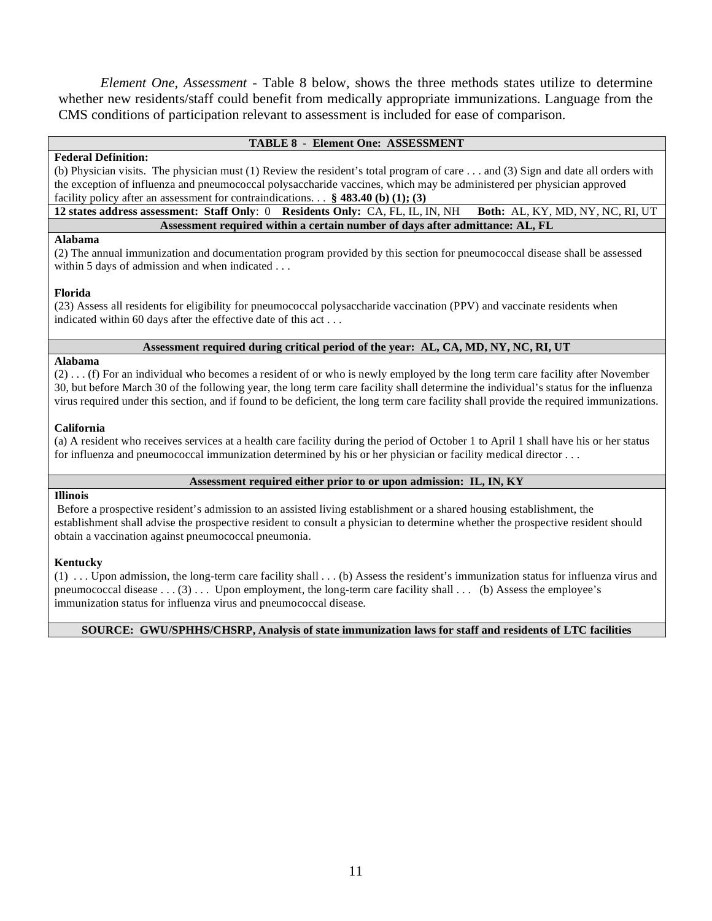*Element One, Assessment -* Table 8 below, shows the three methods states utilize to determine whether new residents/staff could benefit from medically appropriate immunizations. Language from the CMS conditions of participation relevant to assessment is included for ease of comparison.

# **TABLE 8 - Element One: ASSESSMENT**

# **Federal Definition:**

(b) Physician visits. The physician must (1) Review the resident's total program of care . . . and (3) Sign and date all orders with the exception of influenza and pneumococcal polysaccharide vaccines, which may be administered per physician approved

facility policy after an assessment for contraindications. . . **§ 483.40 (b) (1); (3) 12 states address assessment: Staff Only**: 0 **Residents Only:** CA, FL, IL, IN, NH **Both:** AL, KY, MD, NY, NC, RI, UT **Assessment required within a certain number of days after admittance: AL, FL** 

# **Alabama**

(2) The annual immunization and documentation program provided by this section for pneumococcal disease shall be assessed within 5 days of admission and when indicated . . .

# **Florida**

(23) Assess all residents for eligibility for pneumococcal polysaccharide vaccination (PPV) and vaccinate residents when indicated within 60 days after the effective date of this act . . .

# **Assessment required during critical period of the year: AL, CA, MD, NY, NC, RI, UT**

# **Alabama**

(2) . . . (f) For an individual who becomes a resident of or who is newly employed by the long term care facility after November 30, but before March 30 of the following year, the long term care facility shall determine the individual's status for the influenza virus required under this section, and if found to be deficient, the long term care facility shall provide the required immunizations.

# **California**

(a) A resident who receives services at a health care facility during the period of October 1 to April 1 shall have his or her status for influenza and pneumococcal immunization determined by his or her physician or facility medical director . . .

# **Assessment required either prior to or upon admission: IL, IN, KY**

# **Illinois**

Before a prospective resident's admission to an assisted living establishment or a shared housing establishment, the establishment shall advise the prospective resident to consult a physician to determine whether the prospective resident should obtain a vaccination against pneumococcal pneumonia.

# **Kentucky**

(1) . . . Upon admission, the long-term care facility shall . . . (b) Assess the resident's immunization status for influenza virus and pneumococcal disease  $\dots$  (3)  $\dots$  Upon employment, the long-term care facility shall  $\dots$  (b) Assess the employee's immunization status for influenza virus and pneumococcal disease.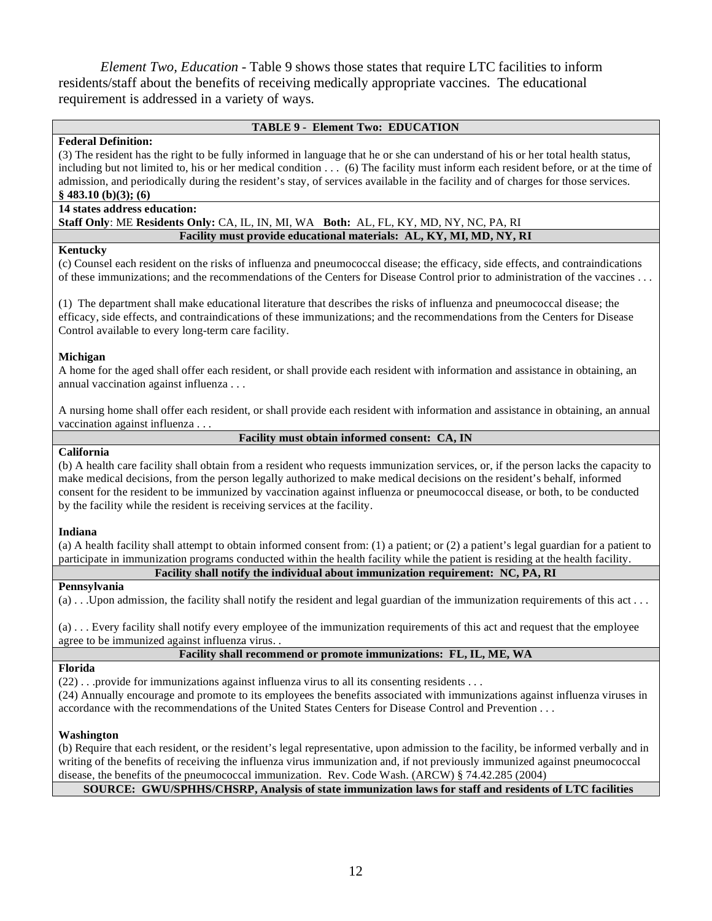*Element Two, Education -* Table 9 shows those states that require LTC facilities to inform residents/staff about the benefits of receiving medically appropriate vaccines. The educational requirement is addressed in a variety of ways.

# **TABLE 9 - Element Two: EDUCATION**

# **Federal Definition:**

(3) The resident has the right to be fully informed in language that he or she can understand of his or her total health status,

including but not limited to, his or her medical condition . . . (6) The facility must inform each resident before, or at the time of admission, and periodically during the resident's stay, of services available in the facility and of charges for those services. **§ 483.10 (b)(3); (6)** 

# **14 states address education:**

**Staff Only**: ME **Residents Only:** CA, IL, IN, MI, WA **Both:** AL, FL, KY, MD, NY, NC, PA, RI **Facility must provide educational materials: AL, KY, MI, MD, NY, RI** 

# **Kentucky**

(c) Counsel each resident on the risks of influenza and pneumococcal disease; the efficacy, side effects, and contraindications of these immunizations; and the recommendations of the Centers for Disease Control prior to administration of the vaccines . . .

(1) The department shall make educational literature that describes the risks of influenza and pneumococcal disease; the efficacy, side effects, and contraindications of these immunizations; and the recommendations from the Centers for Disease Control available to every long-term care facility.

# **Michigan**

A home for the aged shall offer each resident, or shall provide each resident with information and assistance in obtaining, an annual vaccination against influenza . . .

A nursing home shall offer each resident, or shall provide each resident with information and assistance in obtaining, an annual vaccination against influenza . . .

**Facility must obtain informed consent: CA, IN**

# **California**

(b) A health care facility shall obtain from a resident who requests immunization services, or, if the person lacks the capacity to make medical decisions, from the person legally authorized to make medical decisions on the resident's behalf, informed consent for the resident to be immunized by vaccination against influenza or pneumococcal disease, or both, to be conducted by the facility while the resident is receiving services at the facility.

# **Indiana**

(a) A health facility shall attempt to obtain informed consent from: (1) a patient; or (2) a patient's legal guardian for a patient to participate in immunization programs conducted within the health facility while the patient is residing at the health facility.

**Facility shall notify the individual about immunization requirement: NC, PA, RI** 

# **Pennsylvania**

(a) . . .Upon admission, the facility shall notify the resident and legal guardian of the immunization requirements of this act . . .

(a) . . . Every facility shall notify every employee of the immunization requirements of this act and request that the employee agree to be immunized against influenza virus. .

# **Facility shall recommend or promote immunizations: FL, IL, ME, WA**

# **Florida**

 $(22)$ . . . provide for immunizations against influenza virus to all its consenting residents . . . (24) Annually encourage and promote to its employees the benefits associated with immunizations against influenza viruses in accordance with the recommendations of the United States Centers for Disease Control and Prevention . . .

# **Washington**

(b) Require that each resident, or the resident's legal representative, upon admission to the facility, be informed verbally and in writing of the benefits of receiving the influenza virus immunization and, if not previously immunized against pneumococcal disease, the benefits of the pneumococcal immunization. Rev. Code Wash. (ARCW) § 74.42.285 (2004)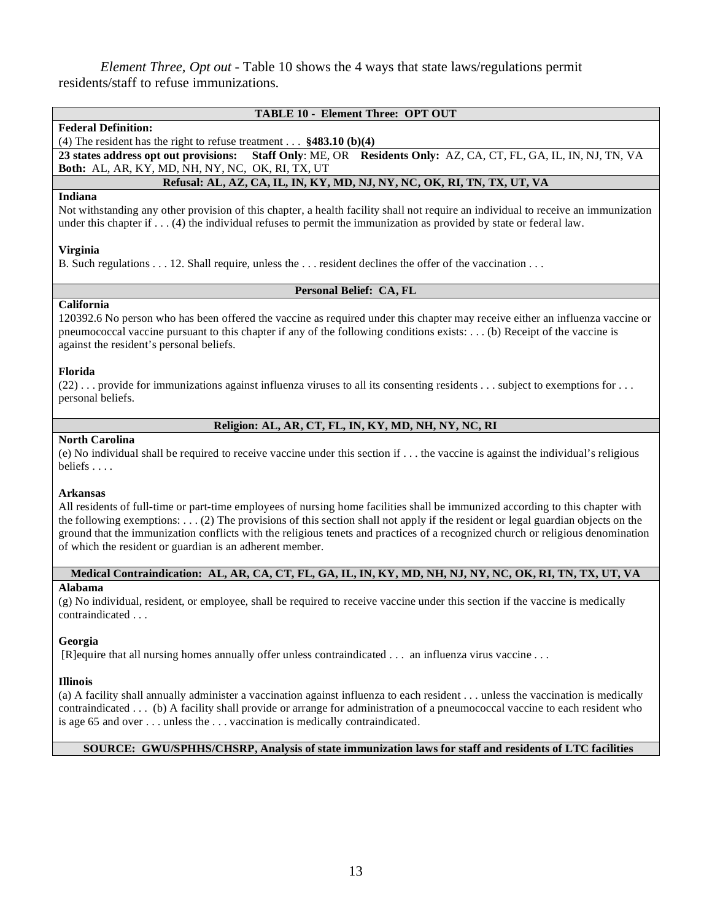*Element Three, Opt out -* Table 10 shows the 4 ways that state laws/regulations permit residents/staff to refuse immunizations.

| <b>TABLE 10 - Element Three: OPT OUT</b>                            |  |                                                                                                                 |  |  |  |
|---------------------------------------------------------------------|--|-----------------------------------------------------------------------------------------------------------------|--|--|--|
| <b>Federal Definition:</b>                                          |  |                                                                                                                 |  |  |  |
| (4) The resident has the right to refuse treatment $$483.10 (b)(4)$ |  |                                                                                                                 |  |  |  |
|                                                                     |  | 23 states address opt out provisions: Staff Only: ME, OR Residents Only: AZ, CA, CT, FL, GA, IL, IN, NJ, TN, VA |  |  |  |
| <b>Both:</b> AL, AR, KY, MD, NH, NY, NC, OK, RI, TX, UT             |  |                                                                                                                 |  |  |  |
|                                                                     |  | Refusal: AL, AZ, CA, IL, IN, KY, MD, NJ, NY, NC, OK, RI, TN, TX, UT, VA                                         |  |  |  |

# **Indiana**

Not withstanding any other provision of this chapter, a health facility shall not require an individual to receive an immunization under this chapter if . . . (4) the individual refuses to permit the immunization as provided by state or federal law.

# **Virginia**

B. Such regulations . . . 12. Shall require, unless the . . . resident declines the offer of the vaccination . . .

# **Personal Belief: CA, FL**

# **California**

120392.6 No person who has been offered the vaccine as required under this chapter may receive either an influenza vaccine or pneumococcal vaccine pursuant to this chapter if any of the following conditions exists: . . . (b) Receipt of the vaccine is against the resident's personal beliefs.

# **Florida**

 $(22)$ ... provide for immunizations against influenza viruses to all its consenting residents ... subject to exemptions for ... personal beliefs.

# **Religion: AL, AR, CT, FL, IN, KY, MD, NH, NY, NC, RI**

# **North Carolina**

(e) No individual shall be required to receive vaccine under this section if . . . the vaccine is against the individual's religious beliefs . . . .

# **Arkansas**

All residents of full-time or part-time employees of nursing home facilities shall be immunized according to this chapter with the following exemptions: . . . (2) The provisions of this section shall not apply if the resident or legal guardian objects on the ground that the immunization conflicts with the religious tenets and practices of a recognized church or religious denomination of which the resident or guardian is an adherent member.

# **Medical Contraindication: AL, AR, CA, CT, FL, GA, IL, IN, KY, MD, NH, NJ, NY, NC, OK, RI, TN, TX, UT, VA**

# **Alabama**

(g) No individual, resident, or employee, shall be required to receive vaccine under this section if the vaccine is medically contraindicated . . .

# **Georgia**

[R]equire that all nursing homes annually offer unless contraindicated . . . an influenza virus vaccine . . .

# **Illinois**

(a) A facility shall annually administer a vaccination against influenza to each resident . . . unless the vaccination is medically contraindicated . . . (b) A facility shall provide or arrange for administration of a pneumococcal vaccine to each resident who is age 65 and over . . . unless the . . . vaccination is medically contraindicated.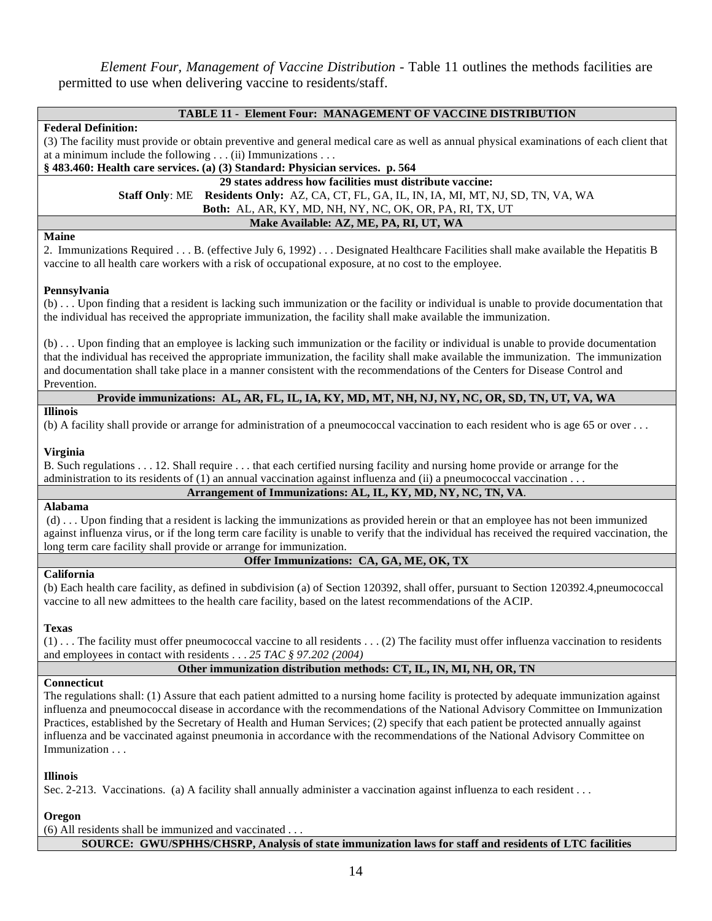*Element Four, Management of Vaccine Distribution -* Table 11 outlines the methods facilities are permitted to use when delivering vaccine to residents/staff.

| <b>TABLE 11 - Element Four: MANAGEMENT OF VACCINE DISTRIBUTION</b>                                                                                                                                                                                                                                                                                                                                                                                                                                                                                                      |
|-------------------------------------------------------------------------------------------------------------------------------------------------------------------------------------------------------------------------------------------------------------------------------------------------------------------------------------------------------------------------------------------------------------------------------------------------------------------------------------------------------------------------------------------------------------------------|
| <b>Federal Definition:</b>                                                                                                                                                                                                                                                                                                                                                                                                                                                                                                                                              |
| (3) The facility must provide or obtain preventive and general medical care as well as annual physical examinations of each client that                                                                                                                                                                                                                                                                                                                                                                                                                                 |
| at a minimum include the following $\dots$ (ii) Immunizations $\dots$                                                                                                                                                                                                                                                                                                                                                                                                                                                                                                   |
| § 483.460: Health care services. (a) (3) Standard: Physician services. p. 564                                                                                                                                                                                                                                                                                                                                                                                                                                                                                           |
| 29 states address how facilities must distribute vaccine:                                                                                                                                                                                                                                                                                                                                                                                                                                                                                                               |
| Staff Only: ME Residents Only: AZ, CA, CT, FL, GA, IL, IN, IA, MI, MT, NJ, SD, TN, VA, WA                                                                                                                                                                                                                                                                                                                                                                                                                                                                               |
| Both: AL, AR, KY, MD, NH, NY, NC, OK, OR, PA, RI, TX, UT                                                                                                                                                                                                                                                                                                                                                                                                                                                                                                                |
| Make Available: AZ, ME, PA, RI, UT, WA                                                                                                                                                                                                                                                                                                                                                                                                                                                                                                                                  |
| <b>Maine</b><br>2. Immunizations Required B. (effective July 6, 1992) Designated Healthcare Facilities shall make available the Hepatitis B<br>vaccine to all health care workers with a risk of occupational exposure, at no cost to the employee.                                                                                                                                                                                                                                                                                                                     |
| Pennsylvania                                                                                                                                                                                                                                                                                                                                                                                                                                                                                                                                                            |
| (b)  Upon finding that a resident is lacking such immunization or the facility or individual is unable to provide documentation that<br>the individual has received the appropriate immunization, the facility shall make available the immunization.                                                                                                                                                                                                                                                                                                                   |
| (b)  Upon finding that an employee is lacking such immunization or the facility or individual is unable to provide documentation<br>that the individual has received the appropriate immunization, the facility shall make available the immunization. The immunization<br>and documentation shall take place in a manner consistent with the recommendations of the Centers for Disease Control and<br>Prevention.                                                                                                                                                     |
| Provide immunizations: AL, AR, FL, IL, IA, KY, MD, MT, NH, NJ, NY, NC, OR, SD, TN, UT, VA, WA                                                                                                                                                                                                                                                                                                                                                                                                                                                                           |
| <b>Illinois</b><br>(b) A facility shall provide or arrange for administration of a pneumococcal vaccination to each resident who is age 65 or over $\dots$                                                                                                                                                                                                                                                                                                                                                                                                              |
|                                                                                                                                                                                                                                                                                                                                                                                                                                                                                                                                                                         |
| Virginia<br>B. Such regulations 12. Shall require that each certified nursing facility and nursing home provide or arrange for the<br>administration to its residents of $(1)$ an annual vaccination against influenza and $(ii)$ a pneumococcal vaccination                                                                                                                                                                                                                                                                                                            |
| Arrangement of Immunizations: AL, IL, KY, MD, NY, NC, TN, VA.                                                                                                                                                                                                                                                                                                                                                                                                                                                                                                           |
| <b>Alabama</b>                                                                                                                                                                                                                                                                                                                                                                                                                                                                                                                                                          |
| (d)  Upon finding that a resident is lacking the immunizations as provided herein or that an employee has not been immunized<br>against influenza virus, or if the long term care facility is unable to verify that the individual has received the required vaccination, the<br>long term care facility shall provide or arrange for immunization.                                                                                                                                                                                                                     |
| Offer Immunizations: CA, GA, ME, OK, TX                                                                                                                                                                                                                                                                                                                                                                                                                                                                                                                                 |
| $\overline{\text{California}}$<br>(b) Each health care facility, as defined in subdivision (a) of Section 120392, shall offer, pursuant to Section 120392.4, pneumococcal<br>vaccine to all new admittees to the health care facility, based on the latest recommendations of the ACIP.                                                                                                                                                                                                                                                                                 |
| <b>Texas</b><br>(1) The facility must offer pneumococcal vaccine to all residents  (2) The facility must offer influenza vaccination to residents<br>and employees in contact with residents 25 TAC § 97.202 (2004)                                                                                                                                                                                                                                                                                                                                                     |
| Other immunization distribution methods: CT, IL, IN, MI, NH, OR, TN                                                                                                                                                                                                                                                                                                                                                                                                                                                                                                     |
| Connecticut<br>The regulations shall: (1) Assure that each patient admitted to a nursing home facility is protected by adequate immunization against<br>influenza and pneumococcal disease in accordance with the recommendations of the National Advisory Committee on Immunization<br>Practices, established by the Secretary of Health and Human Services; (2) specify that each patient be protected annually against<br>influenza and be vaccinated against pneumonia in accordance with the recommendations of the National Advisory Committee on<br>Immunization |
| <b>Illinois</b>                                                                                                                                                                                                                                                                                                                                                                                                                                                                                                                                                         |

Sec. 2-213. Vaccinations. (a) A facility shall annually administer a vaccination against influenza to each resident . . .

# **Oregon**

(6) All residents shall be immunized and vaccinated . . . **SOURCE: GWU/SPHHS/CHSRP, Analysis of state immunization laws for staff and residents of LTC facilities**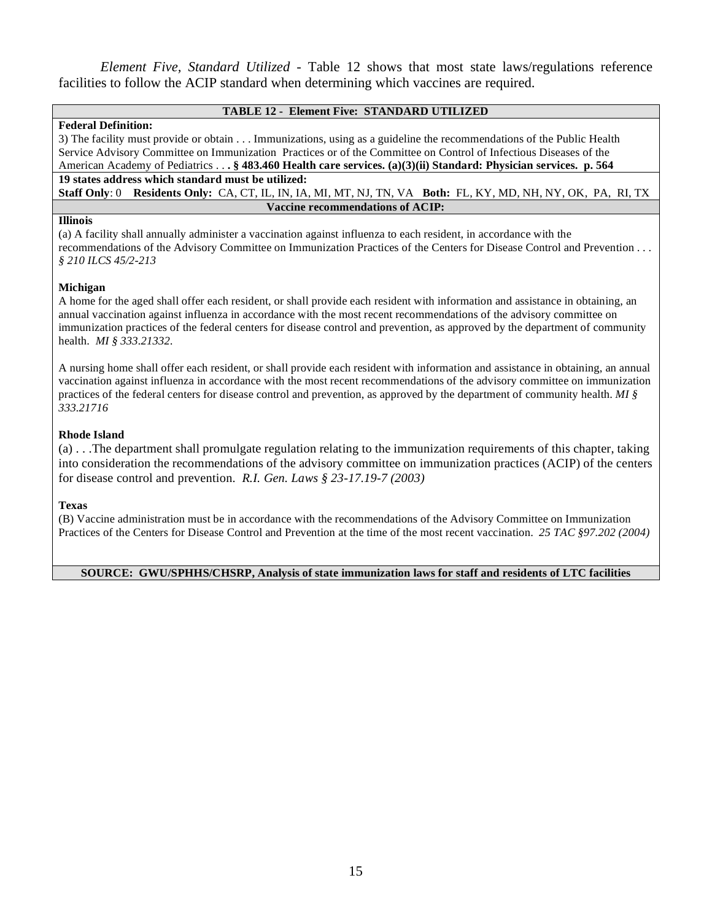*Element Five, Standard Utilized -* Table 12 shows that most state laws/regulations reference facilities to follow the ACIP standard when determining which vaccines are required.

# **TABLE 12 - Element Five: STANDARD UTILIZED**

# **Federal Definition:**

3) The facility must provide or obtain . . . Immunizations, using as a guideline the recommendations of the Public Health Service Advisory Committee on Immunization Practices or of the Committee on Control of Infectious Diseases of the American Academy of Pediatrics . . **. § 483.460 Health care services. (a)(3)(ii) Standard: Physician services. p. 564 19 states address which standard must be utilized:** 

**Staff Only**: 0 **Residents Only:** CA, CT, IL, IN, IA, MI, MT, NJ, TN, VA **Both:** FL, KY, MD, NH, NY, OK, PA, RI, TX **Vaccine recommendations of ACIP:** 

# **Illinois**

(a) A facility shall annually administer a vaccination against influenza to each resident, in accordance with the recommendations of the Advisory Committee on Immunization Practices of the Centers for Disease Control and Prevention . . . *§ 210 ILCS 45/2-213* 

# **Michigan**

A home for the aged shall offer each resident, or shall provide each resident with information and assistance in obtaining, an annual vaccination against influenza in accordance with the most recent recommendations of the advisory committee on immunization practices of the federal centers for disease control and prevention, as approved by the department of community health. *MI § 333.21332.* 

A nursing home shall offer each resident, or shall provide each resident with information and assistance in obtaining, an annual vaccination against influenza in accordance with the most recent recommendations of the advisory committee on immunization practices of the federal centers for disease control and prevention, as approved by the department of community health. *MI § 333.21716* 

# **Rhode Island**

(a) . . .The department shall promulgate regulation relating to the immunization requirements of this chapter, taking into consideration the recommendations of the advisory committee on immunization practices (ACIP) of the centers for disease control and prevention. *R.I. Gen. Laws § 23-17.19-7 (2003)* 

# **Texas**

(B) Vaccine administration must be in accordance with the recommendations of the Advisory Committee on Immunization Practices of the Centers for Disease Control and Prevention at the time of the most recent vaccination. *25 TAC §97.202 (2004)*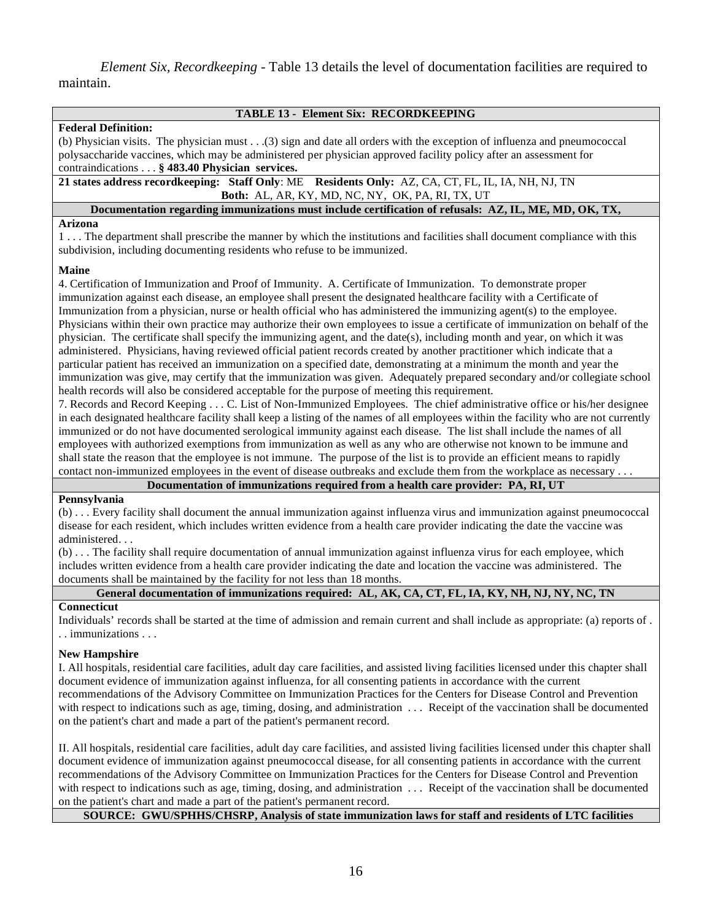*Element Six, Recordkeeping - Table 13 details the level of documentation facilities are required to* maintain.

| <b>TABLE 13 - Element Six: RECORDKEEPING</b>                                                                                    |
|---------------------------------------------------------------------------------------------------------------------------------|
| <b>Federal Definition:</b>                                                                                                      |
| (b) Physician visits. The physician must $\ldots$ (3) sign and date all orders with the exception of influenza and pneumococcal |
| polysaccharide vaccines, which may be administered per physician approved facility policy after an assessment for               |
| contraindications § 483.40 Physician services.                                                                                  |
| 21 states address record keeping: Staff Only: ME Residents Only: AZ, CA, CT, FL, IL, IA, NH, NJ, TN                             |
| <b>Both:</b> AL, AR, KY, MD, NC, NY, OK, PA, RI, TX, UT                                                                         |
| Documentation regarding immunizations must include certification of refusals: AZ, IL, ME, MD, OK, TX,                           |
| Arizona                                                                                                                         |
| 1 The department shall prescribe the manner by which the institutions and facilities shall document compliance with this        |
| subdivision, including documenting residents who refuse to be immunized.                                                        |

# **Maine**

4. Certification of Immunization and Proof of Immunity. A. Certificate of Immunization. To demonstrate proper immunization against each disease, an employee shall present the designated healthcare facility with a Certificate of Immunization from a physician, nurse or health official who has administered the immunizing agent(s) to the employee. Physicians within their own practice may authorize their own employees to issue a certificate of immunization on behalf of the physician. The certificate shall specify the immunizing agent, and the date(s), including month and year, on which it was administered. Physicians, having reviewed official patient records created by another practitioner which indicate that a particular patient has received an immunization on a specified date, demonstrating at a minimum the month and year the immunization was give, may certify that the immunization was given. Adequately prepared secondary and/or collegiate school health records will also be considered acceptable for the purpose of meeting this requirement.

7. Records and Record Keeping . . . C. List of Non-Immunized Employees. The chief administrative office or his/her designee in each designated healthcare facility shall keep a listing of the names of all employees within the facility who are not currently immunized or do not have documented serological immunity against each disease. The list shall include the names of all employees with authorized exemptions from immunization as well as any who are otherwise not known to be immune and shall state the reason that the employee is not immune. The purpose of the list is to provide an efficient means to rapidly contact non-immunized employees in the event of disease outbreaks and exclude them from the workplace as necessary . . .

# **Documentation of immunizations required from a health care provider: PA, RI, UT**

# **Pennsylvania**

(b) . . . Every facility shall document the annual immunization against influenza virus and immunization against pneumococcal disease for each resident, which includes written evidence from a health care provider indicating the date the vaccine was administered. . .

(b) . . . The facility shall require documentation of annual immunization against influenza virus for each employee, which includes written evidence from a health care provider indicating the date and location the vaccine was administered. The documents shall be maintained by the facility for not less than 18 months.

# **General documentation of immunizations required: AL, AK, CA, CT, FL, IA, KY, NH, NJ, NY, NC, TN**

# **Connecticut**

Individuals' records shall be started at the time of admission and remain current and shall include as appropriate: (a) reports of . . . immunizations . . .

# **New Hampshire**

I. All hospitals, residential care facilities, adult day care facilities, and assisted living facilities licensed under this chapter shall document evidence of immunization against influenza, for all consenting patients in accordance with the current recommendations of the Advisory Committee on Immunization Practices for the Centers for Disease Control and Prevention with respect to indications such as age, timing, dosing, and administration . . . Receipt of the vaccination shall be documented on the patient's chart and made a part of the patient's permanent record.

II. All hospitals, residential care facilities, adult day care facilities, and assisted living facilities licensed under this chapter shall document evidence of immunization against pneumococcal disease, for all consenting patients in accordance with the current recommendations of the Advisory Committee on Immunization Practices for the Centers for Disease Control and Prevention with respect to indications such as age, timing, dosing, and administration ... Receipt of the vaccination shall be documented on the patient's chart and made a part of the patient's permanent record.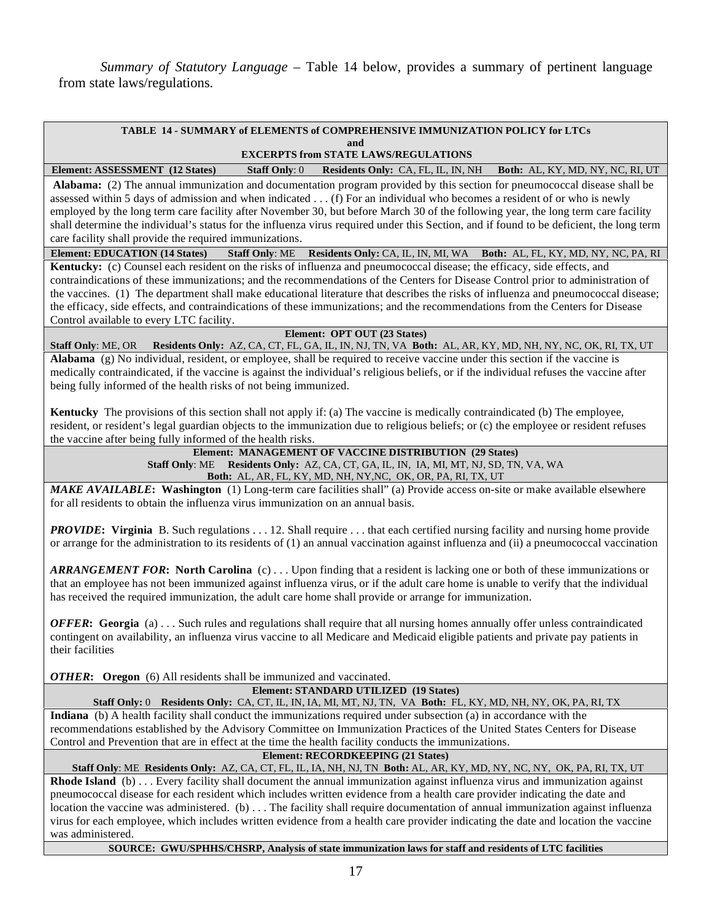*Summary of Statutory Language* – Table 14 below, provides a summary of pertinent language from state laws/regulations.

# **TABLE 14 - SUMMARY of ELEMENTS of COMPREHENSIVE IMMUNIZATION POLICY for LTCs and**

 **EXCERPTS from STATE LAWS/REGULATIONS**

**Element: ASSESSMENT (12 States) Staff Only**: 0 **Residents Only:** CA, FL, IL, IN, NH **Both:** AL, KY, MD, NY, NC, RI, UT  **Alabama:** (2) The annual immunization and documentation program provided by this section for pneumococcal disease shall be assessed within 5 days of admission and when indicated . . . (f) For an individual who becomes a resident of or who is newly employed by the long term care facility after November 30, but before March 30 of the following year, the long term care facility shall determine the individual's status for the influenza virus required under this Section, and if found to be deficient, the long term care facility shall provide the required immunizations.

**Element: EDUCATION (14 States) Staff Only**: ME **Residents Only:** CA, IL, IN, MI, WA **Both:** AL, FL, KY, MD, NY, NC, PA, RI **Kentucky:** (c) Counsel each resident on the risks of influenza and pneumococcal disease; the efficacy, side effects, and contraindications of these immunizations; and the recommendations of the Centers for Disease Control prior to administration of the vaccines. (1) The department shall make educational literature that describes the risks of influenza and pneumococcal disease; the efficacy, side effects, and contraindications of these immunizations; and the recommendations from the Centers for Disease Control available to every LTC facility.

# **Element: OPT OUT (23 States)**

**Staff Only**: ME, OR **Residents Only:** AZ, CA, CT, FL, GA, IL, IN, NJ, TN, VA **Both:** AL, AR, KY, MD, NH, NY, NC, OK, RI, TX, UT **Alabama** (g) No individual, resident, or employee, shall be required to receive vaccine under this section if the vaccine is medically contraindicated, if the vaccine is against the individual's religious beliefs, or if the individual refuses the vaccine after being fully informed of the health risks of not being immunized.

**Kentucky** The provisions of this section shall not apply if: (a) The vaccine is medically contraindicated (b) The employee, resident, or resident's legal guardian objects to the immunization due to religious beliefs; or (c) the employee or resident refuses the vaccine after being fully informed of the health risks.

**Element: MANAGEMENT OF VACCINE DISTRIBUTION (29 States) Staff Only**: ME **Residents Only:** AZ, CA, CT, GA, IL, IN, IA, MI, MT, NJ, SD, TN, VA, WA **Both:** AL, AR, FL, KY, MD, NH, NY,NC, OK, OR, PA, RI, TX, UT

*MAKE AVAILABLE***: Washington** (1) Long-term care facilities shall" (a) Provide access on-site or make available elsewhere for all residents to obtain the influenza virus immunization on an annual basis.

*PROVIDE***: Virginia** B. Such regulations . . . 12. Shall require . . . that each certified nursing facility and nursing home provide or arrange for the administration to its residents of (1) an annual vaccination against influenza and (ii) a pneumococcal vaccination

*ARRANGEMENT FOR***: North Carolina** (c) . . . Upon finding that a resident is lacking one or both of these immunizations or that an employee has not been immunized against influenza virus, or if the adult care home is unable to verify that the individual has received the required immunization, the adult care home shall provide or arrange for immunization.

*OFFER***: Georgia** (a) . . . Such rules and regulations shall require that all nursing homes annually offer unless contraindicated contingent on availability, an influenza virus vaccine to all Medicare and Medicaid eligible patients and private pay patients in their facilities

*OTHER***: Oregon** (6) All residents shall be immunized and vaccinated.

| Element: STANDARD UTILIZED (19 States)                                                                                   |
|--------------------------------------------------------------------------------------------------------------------------|
| <b>Staff Only:</b> 0 Residents Only: CA, CT, IL, IN, IA, MI, MT, NJ, TN, VA Both: FL, KY, MD, NH, NY, OK, PA, RI, TX     |
| Indiana (b) A health facility shall conduct the immunizations required under subsection (a) in accordance with the       |
| recommendations established by the Advisory Committee on Immunization Practices of the United States Centers for Disease |
| Control and Prevention that are in effect at the time the health facility conducts the immunizations.                    |

**Element: RECORDKEEPING (21 States)** 

 **Staff Only**: ME **Residents Only:** AZ, CA, CT, FL, IL, IA, NH, NJ, TN **Both:** AL, AR, KY, MD, NY, NC, NY, OK, PA, RI, TX, UT

**Rhode Island** (b) . . . Every facility shall document the annual immunization against influenza virus and immunization against pneumococcal disease for each resident which includes written evidence from a health care provider indicating the date and location the vaccine was administered. (b) ... The facility shall require documentation of annual immunization against influenza virus for each employee, which includes written evidence from a health care provider indicating the date and location the vaccine was administered.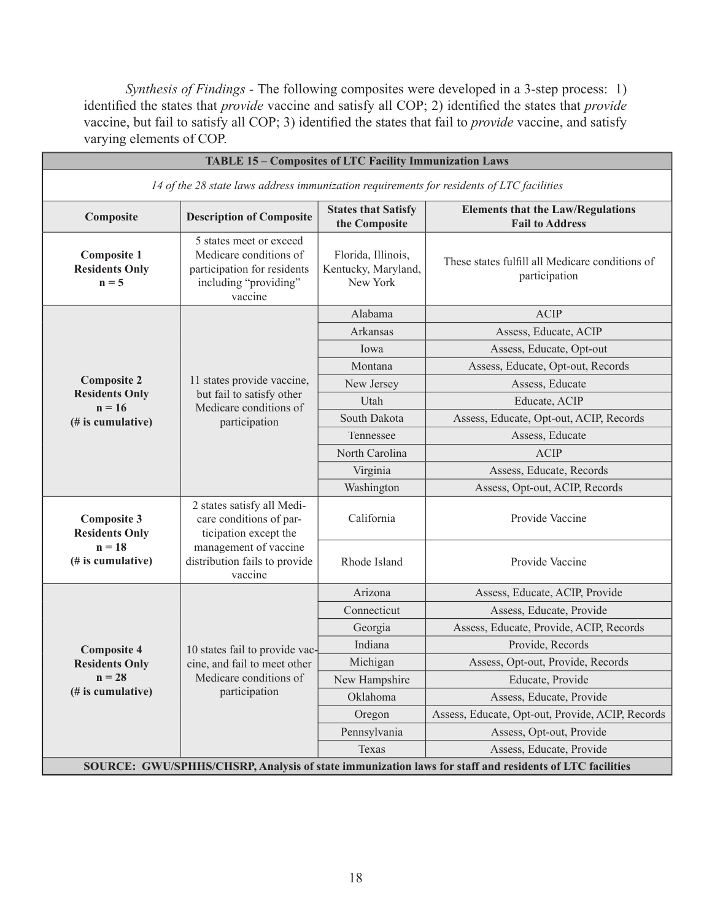*Synthesis of Findings -* The following composites were developed in a 3-step process: 1) identified the states that *provide* vaccine and satisfy all COP; 2) identified the states that *provide* vaccine, but fail to satisfy all COP; 3) identified the states that fail to *provide* vaccine, and satisfy varying elements of COP.

| TABLE 15 - Composites of LTC Facility Immunization Laws                                                |                                                                                                                      |                                                       |                                                                    |  |  |
|--------------------------------------------------------------------------------------------------------|----------------------------------------------------------------------------------------------------------------------|-------------------------------------------------------|--------------------------------------------------------------------|--|--|
| 14 of the 28 state laws address immunization requirements for residents of LTC facilities              |                                                                                                                      |                                                       |                                                                    |  |  |
| Composite                                                                                              | <b>Description of Composite</b>                                                                                      | <b>States that Satisfy</b><br>the Composite           | <b>Elements that the Law/Regulations</b><br><b>Fail to Address</b> |  |  |
| <b>Composite 1</b><br><b>Residents Only</b><br>$n = 5$                                                 | 5 states meet or exceed<br>Medicare conditions of<br>participation for residents<br>including "providing"<br>vaccine | Florida, Illinois,<br>Kentucky, Maryland,<br>New York | These states fulfill all Medicare conditions of<br>participation   |  |  |
|                                                                                                        |                                                                                                                      | Alabama                                               | <b>ACIP</b>                                                        |  |  |
|                                                                                                        |                                                                                                                      | Arkansas                                              | Assess, Educate, ACIP                                              |  |  |
|                                                                                                        |                                                                                                                      | Iowa                                                  | Assess, Educate, Opt-out                                           |  |  |
|                                                                                                        |                                                                                                                      | Montana                                               | Assess, Educate, Opt-out, Records                                  |  |  |
| <b>Composite 2</b>                                                                                     | 11 states provide vaccine,                                                                                           | New Jersey                                            | Assess, Educate                                                    |  |  |
| <b>Residents Only</b><br>$n = 16$                                                                      | but fail to satisfy other<br>Medicare conditions of                                                                  | Utah                                                  | Educate, ACIP                                                      |  |  |
| (# is cumulative)                                                                                      | participation                                                                                                        | South Dakota                                          | Assess, Educate, Opt-out, ACIP, Records                            |  |  |
|                                                                                                        |                                                                                                                      | Tennessee                                             | Assess, Educate                                                    |  |  |
|                                                                                                        |                                                                                                                      | North Carolina                                        | <b>ACIP</b>                                                        |  |  |
|                                                                                                        |                                                                                                                      | Virginia                                              | Assess, Educate, Records                                           |  |  |
|                                                                                                        |                                                                                                                      | Washington                                            | Assess, Opt-out, ACIP, Records                                     |  |  |
| <b>Composite 3</b><br><b>Residents Only</b>                                                            | 2 states satisfy all Medi-<br>care conditions of par-<br>ticipation except the                                       | California                                            | Provide Vaccine                                                    |  |  |
| $n = 18$<br>(# is cumulative)                                                                          | management of vaccine<br>distribution fails to provide<br>vaccine                                                    | Rhode Island                                          | Provide Vaccine                                                    |  |  |
|                                                                                                        |                                                                                                                      | Arizona                                               | Assess, Educate, ACIP, Provide                                     |  |  |
|                                                                                                        |                                                                                                                      | Connecticut                                           | Assess, Educate, Provide                                           |  |  |
|                                                                                                        |                                                                                                                      | Georgia                                               | Assess, Educate, Provide, ACIP, Records                            |  |  |
| <b>Composite 4</b>                                                                                     | 10 states fail to provide vac-                                                                                       | Indiana                                               | Provide, Records                                                   |  |  |
| <b>Residents Only</b>                                                                                  | cine, and fail to meet other                                                                                         | Michigan                                              | Assess, Opt-out, Provide, Records                                  |  |  |
| $n = 28$                                                                                               | Medicare conditions of                                                                                               | New Hampshire                                         | Educate, Provide                                                   |  |  |
| (# is cumulative)                                                                                      | participation                                                                                                        | Oklahoma                                              | Assess, Educate, Provide                                           |  |  |
|                                                                                                        |                                                                                                                      | Oregon                                                | Assess, Educate, Opt-out, Provide, ACIP, Records                   |  |  |
|                                                                                                        |                                                                                                                      | Pennsylvania                                          | Assess, Opt-out, Provide                                           |  |  |
|                                                                                                        |                                                                                                                      | Texas                                                 | Assess, Educate, Provide                                           |  |  |
| SOURCE: GWU/SPHHS/CHSRP, Analysis of state immunization laws for staff and residents of LTC facilities |                                                                                                                      |                                                       |                                                                    |  |  |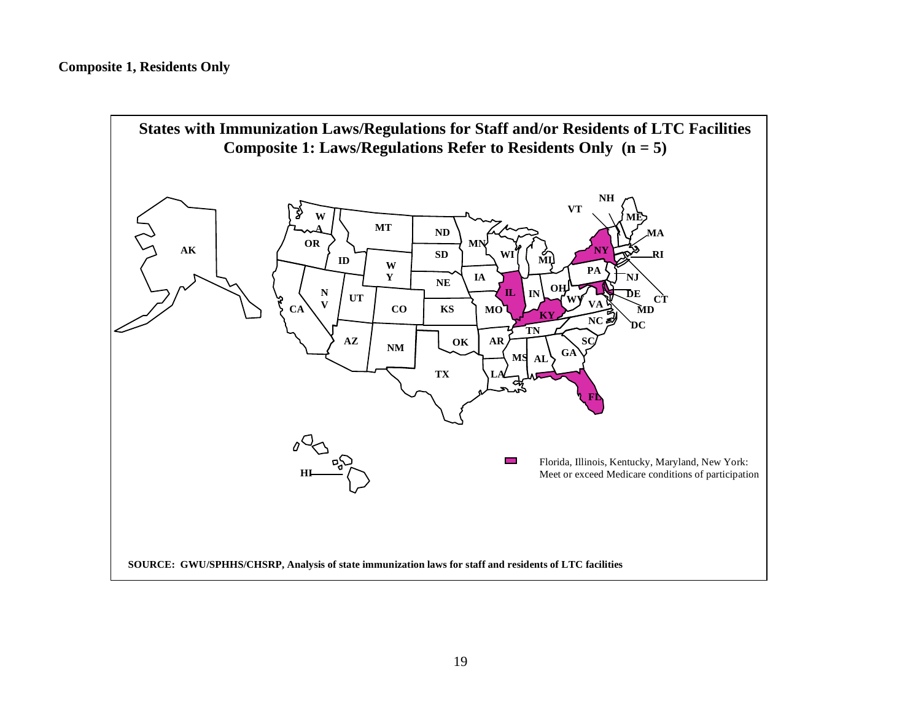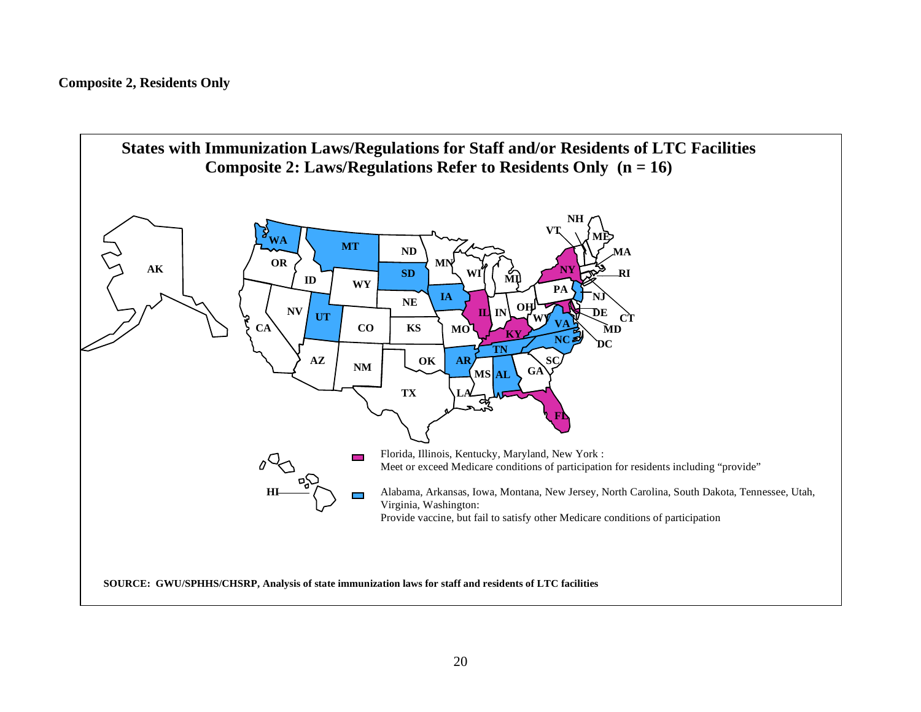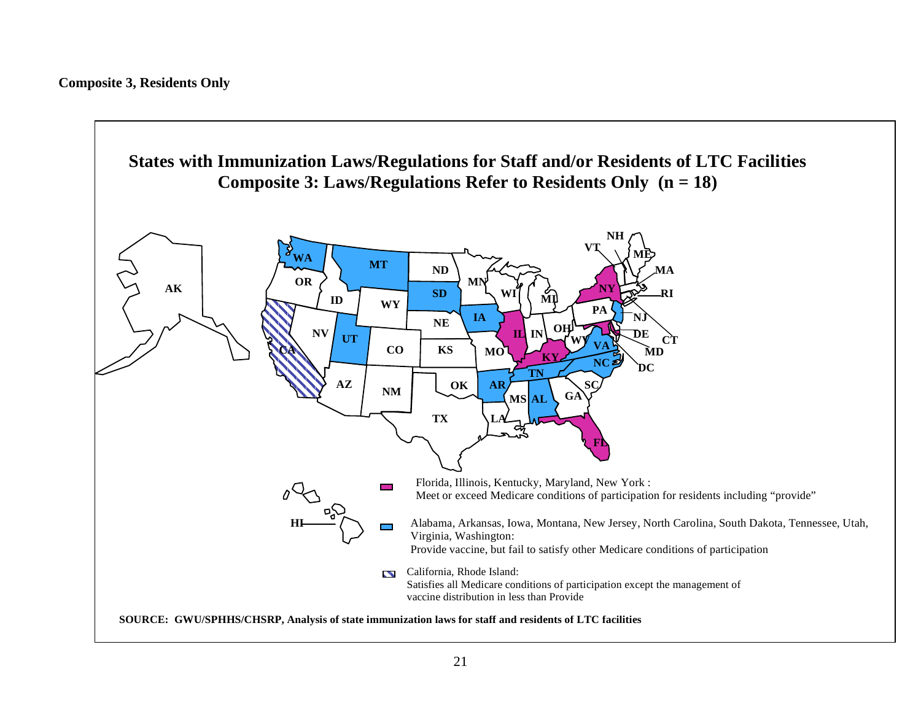**Composite 3, Residents Only** 

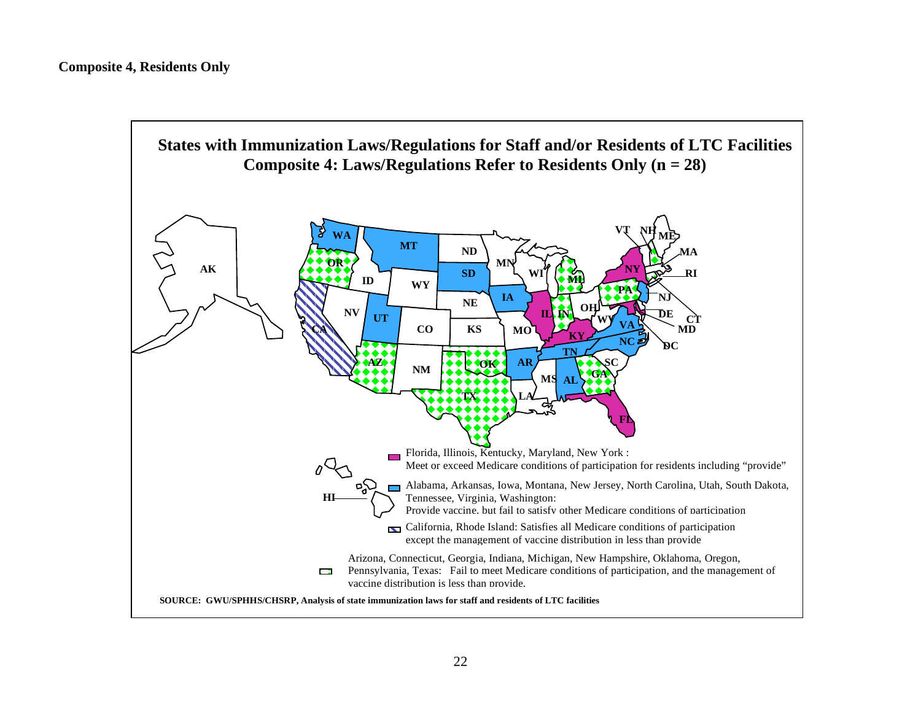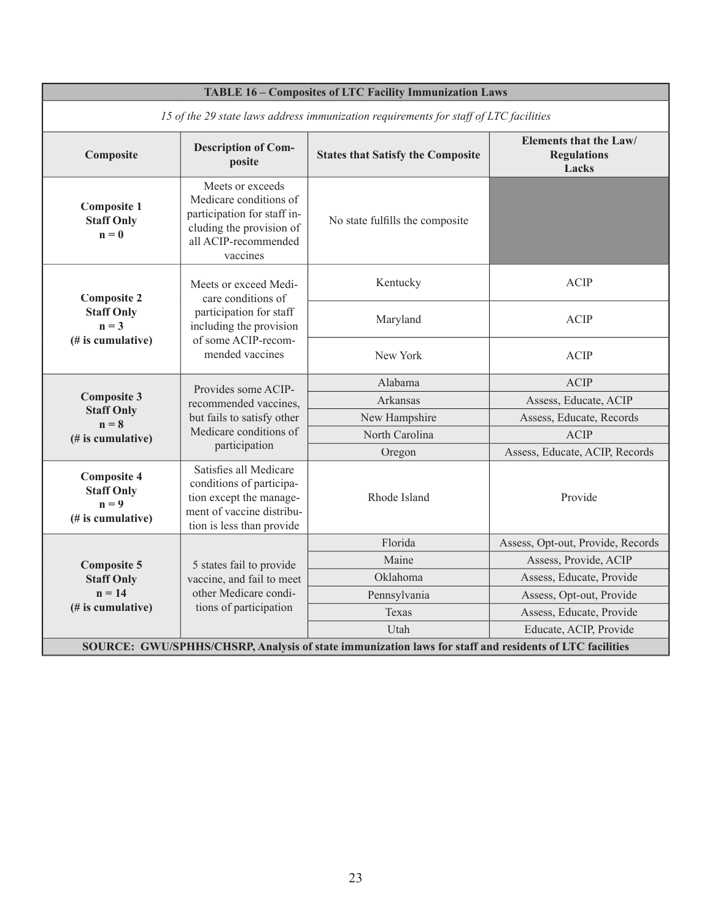| <b>TABLE 16 - Composites of LTC Facility Immunization Laws</b>                                         |                                                                                                                                             |                                          |                                                              |  |  |
|--------------------------------------------------------------------------------------------------------|---------------------------------------------------------------------------------------------------------------------------------------------|------------------------------------------|--------------------------------------------------------------|--|--|
| 15 of the 29 state laws address immunization requirements for staff of LTC facilities                  |                                                                                                                                             |                                          |                                                              |  |  |
| Composite                                                                                              | <b>Description of Com-</b><br>posite                                                                                                        | <b>States that Satisfy the Composite</b> | <b>Elements that the Law/</b><br><b>Regulations</b><br>Lacks |  |  |
| <b>Composite 1</b><br><b>Staff Only</b><br>$n = 0$                                                     | Meets or exceeds<br>Medicare conditions of<br>participation for staff in-<br>cluding the provision of<br>all ACIP-recommended<br>vaccines   | No state fulfills the composite          |                                                              |  |  |
| <b>Composite 2</b><br><b>Staff Only</b><br>$n = 3$<br>(# is cumulative)                                | Meets or exceed Medi-<br>care conditions of<br>participation for staff<br>including the provision<br>of some ACIP-recom-<br>mended vaccines | Kentucky                                 | <b>ACIP</b>                                                  |  |  |
|                                                                                                        |                                                                                                                                             | Maryland                                 | <b>ACIP</b>                                                  |  |  |
|                                                                                                        |                                                                                                                                             | New York                                 | <b>ACIP</b>                                                  |  |  |
|                                                                                                        | Provides some ACIP-<br>recommended vaccines,<br>but fails to satisfy other<br>Medicare conditions of<br>participation                       | Alabama                                  | <b>ACIP</b>                                                  |  |  |
| <b>Composite 3</b><br><b>Staff Only</b><br>$n = 8$<br>(# is cumulative)                                |                                                                                                                                             | Arkansas                                 | Assess, Educate, ACIP                                        |  |  |
|                                                                                                        |                                                                                                                                             | New Hampshire                            | Assess, Educate, Records                                     |  |  |
|                                                                                                        |                                                                                                                                             | North Carolina                           | <b>ACIP</b>                                                  |  |  |
|                                                                                                        |                                                                                                                                             | Oregon                                   | Assess, Educate, ACIP, Records                               |  |  |
| <b>Composite 4</b><br><b>Staff Only</b><br>$n = 9$<br>(# is cumulative)                                | Satisfies all Medicare<br>conditions of participa-<br>tion except the manage-<br>ment of vaccine distribu-<br>tion is less than provide     | Rhode Island                             | Provide                                                      |  |  |
|                                                                                                        | 5 states fail to provide<br>vaccine, and fail to meet<br>other Medicare condi-<br>tions of participation                                    | Florida                                  | Assess, Opt-out, Provide, Records                            |  |  |
| <b>Composite 5</b>                                                                                     |                                                                                                                                             | Maine                                    | Assess, Provide, ACIP                                        |  |  |
| <b>Staff Only</b>                                                                                      |                                                                                                                                             | Oklahoma                                 | Assess, Educate, Provide                                     |  |  |
| $n = 14$                                                                                               |                                                                                                                                             | Pennsylvania                             | Assess, Opt-out, Provide                                     |  |  |
| (# is cumulative)                                                                                      |                                                                                                                                             | Texas                                    | Assess, Educate, Provide                                     |  |  |
|                                                                                                        |                                                                                                                                             | Utah                                     | Educate, ACIP, Provide                                       |  |  |
| SOURCE: GWU/SPHHS/CHSRP, Analysis of state immunization laws for staff and residents of LTC facilities |                                                                                                                                             |                                          |                                                              |  |  |

٦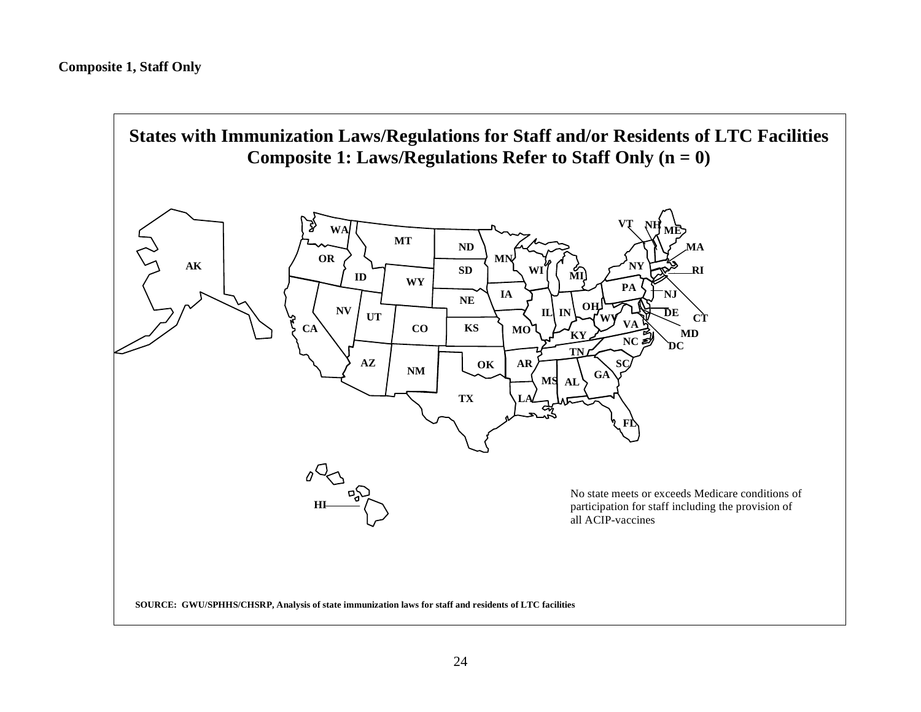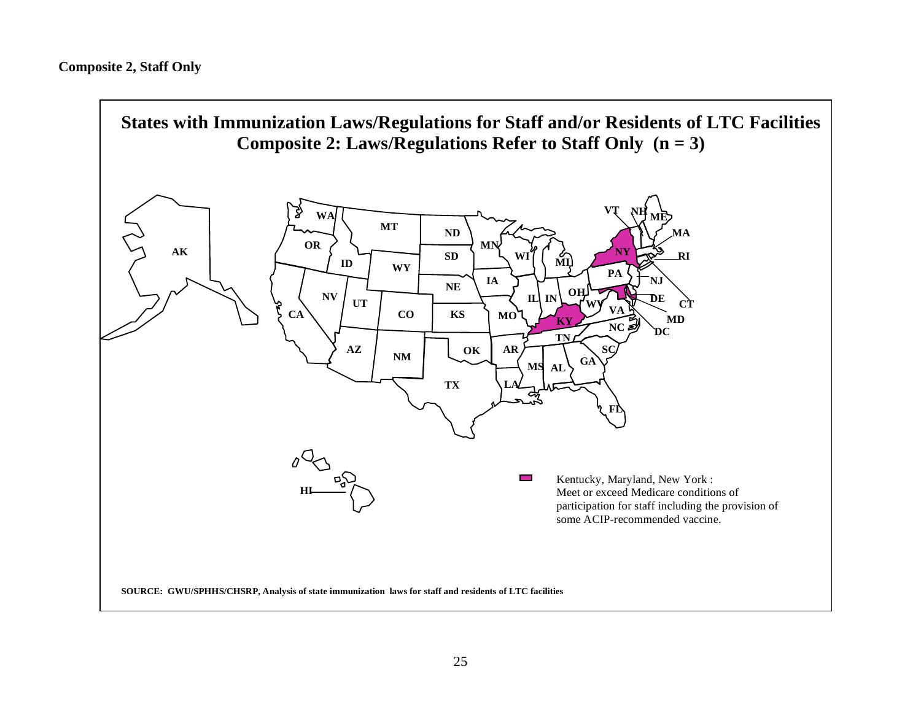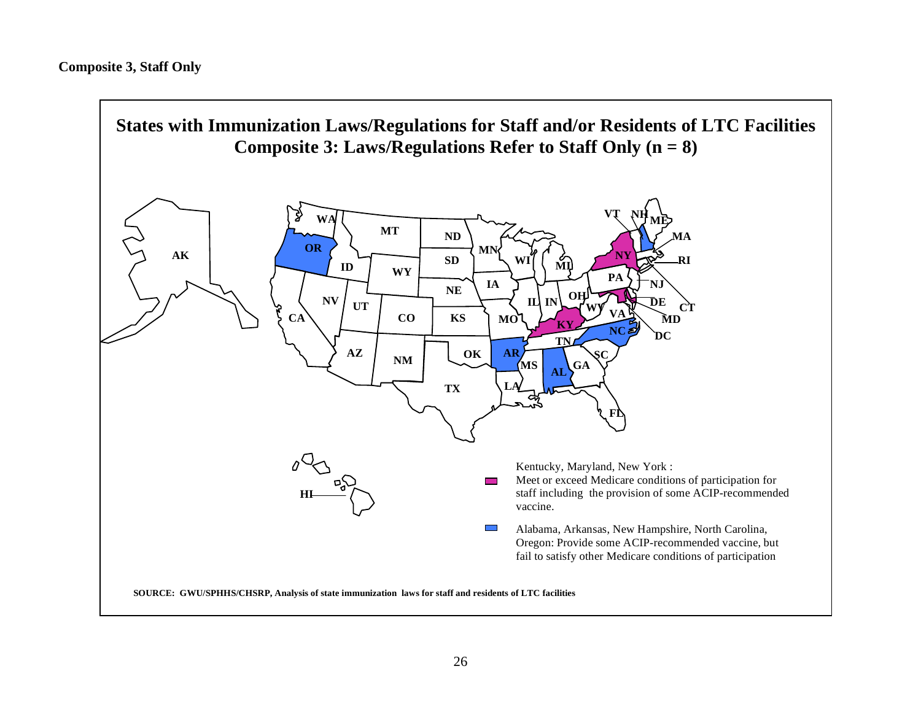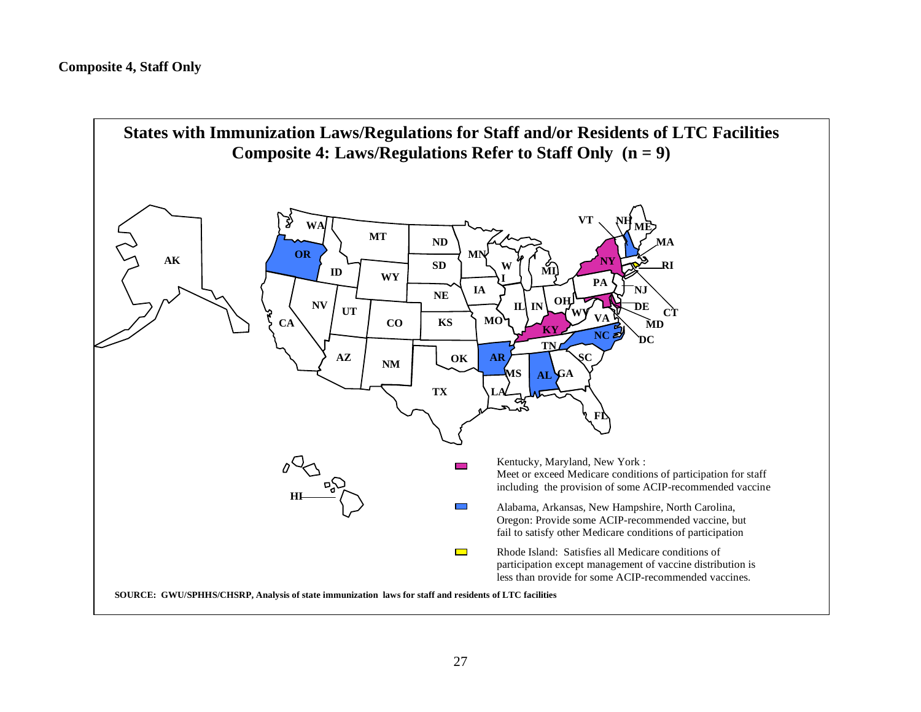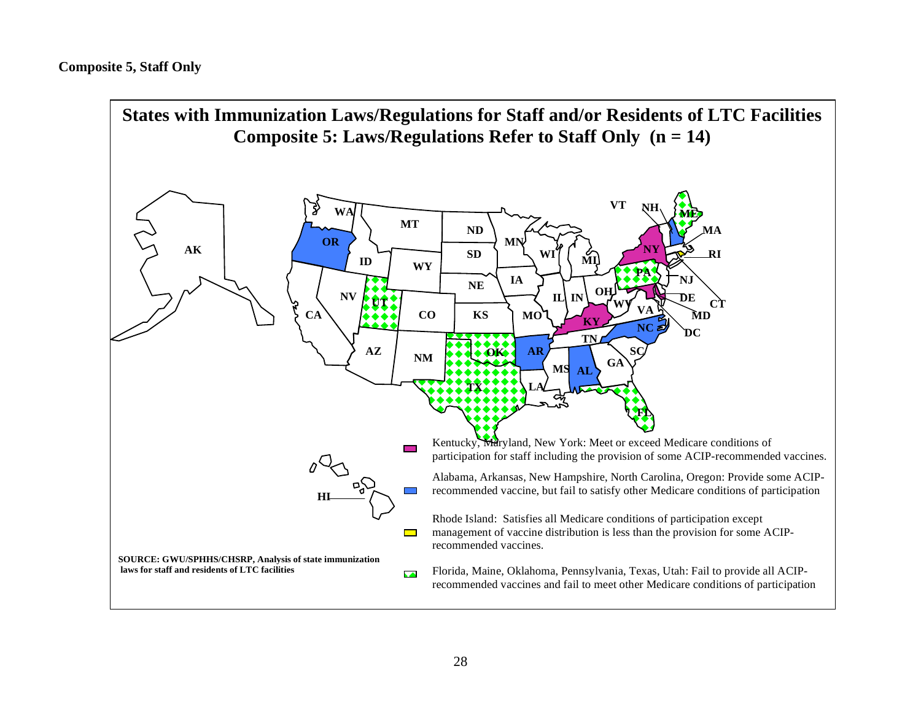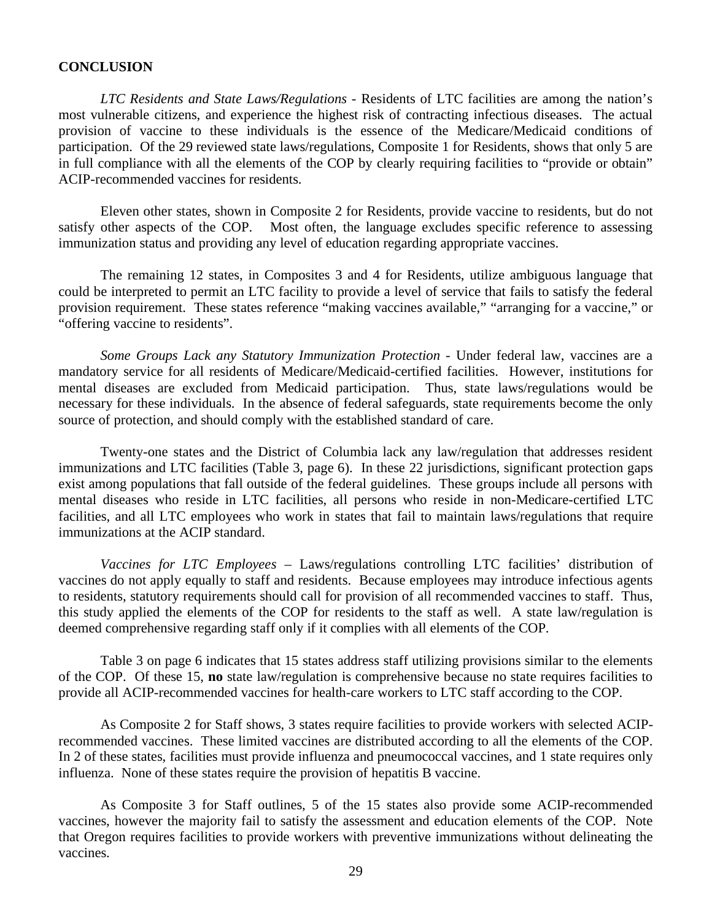# **CONCLUSION**

*LTC Residents and State Laws/Regulations -* Residents of LTC facilities are among the nation's most vulnerable citizens, and experience the highest risk of contracting infectious diseases. The actual provision of vaccine to these individuals is the essence of the Medicare/Medicaid conditions of participation. Of the 29 reviewed state laws/regulations, Composite 1 for Residents, shows that only 5 are in full compliance with all the elements of the COP by clearly requiring facilities to "provide or obtain" ACIP-recommended vaccines for residents.

Eleven other states, shown in Composite 2 for Residents, provide vaccine to residents, but do not satisfy other aspects of the COP. Most often, the language excludes specific reference to assessing immunization status and providing any level of education regarding appropriate vaccines.

The remaining 12 states, in Composites 3 and 4 for Residents, utilize ambiguous language that could be interpreted to permit an LTC facility to provide a level of service that fails to satisfy the federal provision requirement. These states reference "making vaccines available," "arranging for a vaccine," or "offering vaccine to residents".

*Some Groups Lack any Statutory Immunization Protection - Under federal law, vaccines are a* mandatory service for all residents of Medicare/Medicaid-certified facilities. However, institutions for mental diseases are excluded from Medicaid participation. Thus, state laws/regulations would be necessary for these individuals. In the absence of federal safeguards, state requirements become the only source of protection, and should comply with the established standard of care.

Twenty-one states and the District of Columbia lack any law/regulation that addresses resident immunizations and LTC facilities (Table 3, page 6). In these 22 jurisdictions, significant protection gaps exist among populations that fall outside of the federal guidelines. These groups include all persons with mental diseases who reside in LTC facilities, all persons who reside in non-Medicare-certified LTC facilities, and all LTC employees who work in states that fail to maintain laws/regulations that require immunizations at the ACIP standard.

*Vaccines for LTC Employees* – Laws/regulations controlling LTC facilities' distribution of vaccines do not apply equally to staff and residents. Because employees may introduce infectious agents to residents, statutory requirements should call for provision of all recommended vaccines to staff. Thus, this study applied the elements of the COP for residents to the staff as well. A state law/regulation is deemed comprehensive regarding staff only if it complies with all elements of the COP.

Table 3 on page 6 indicates that 15 states address staff utilizing provisions similar to the elements of the COP. Of these 15, **no** state law/regulation is comprehensive because no state requires facilities to provide all ACIP-recommended vaccines for health-care workers to LTC staff according to the COP.

As Composite 2 for Staff shows, 3 states require facilities to provide workers with selected ACIPrecommended vaccines. These limited vaccines are distributed according to all the elements of the COP. In 2 of these states, facilities must provide influenza and pneumococcal vaccines, and 1 state requires only influenza. None of these states require the provision of hepatitis B vaccine.

As Composite 3 for Staff outlines, 5 of the 15 states also provide some ACIP-recommended vaccines, however the majority fail to satisfy the assessment and education elements of the COP. Note that Oregon requires facilities to provide workers with preventive immunizations without delineating the vaccines.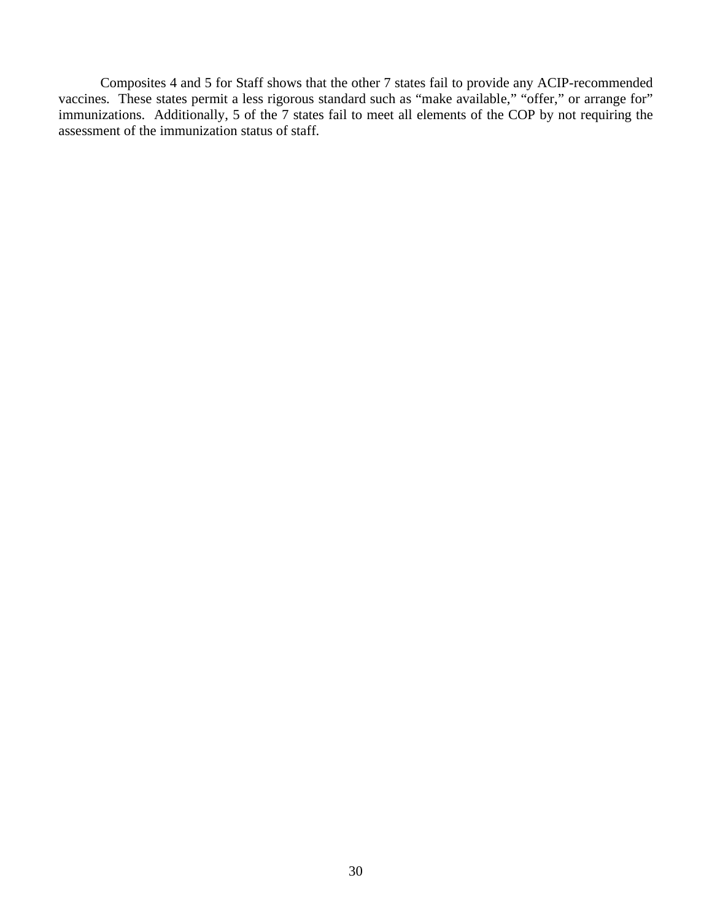Composites 4 and 5 for Staff shows that the other 7 states fail to provide any ACIP-recommended vaccines. These states permit a less rigorous standard such as "make available," "offer," or arrange for" immunizations. Additionally, 5 of the 7 states fail to meet all elements of the COP by not requiring the assessment of the immunization status of staff.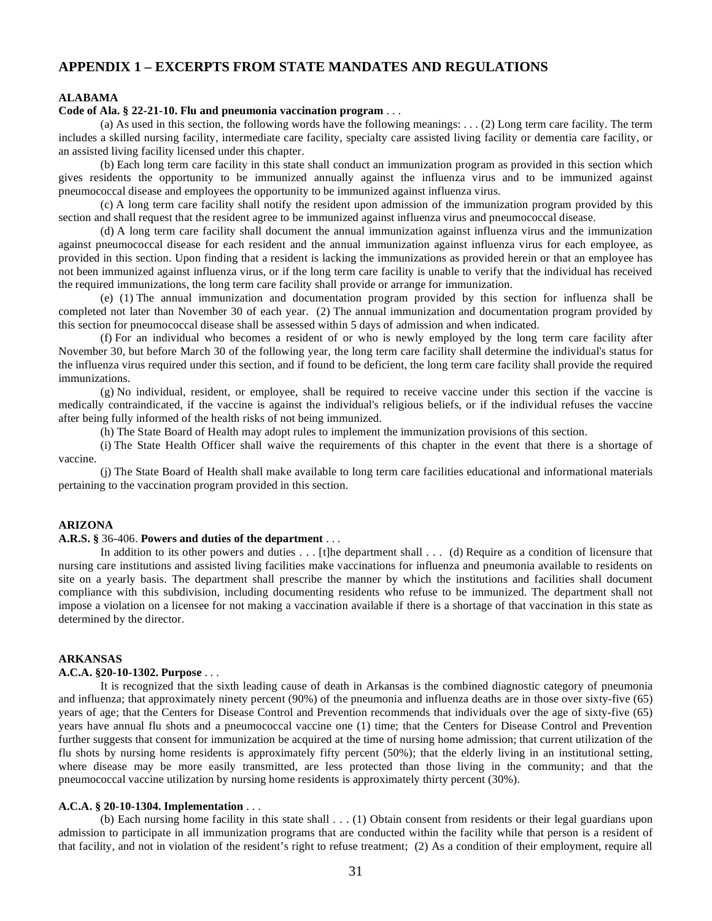# **APPENDIX 1 – EXCERPTS FROM STATE MANDATES AND REGULATIONS**

# **ALABAMA**

# **Code of Ala. § 22-21-10. Flu and pneumonia vaccination program** . . .

(a) As used in this section, the following words have the following meanings: . . . (2) Long term care facility. The term includes a skilled nursing facility, intermediate care facility, specialty care assisted living facility or dementia care facility, or an assisted living facility licensed under this chapter.

(b) Each long term care facility in this state shall conduct an immunization program as provided in this section which gives residents the opportunity to be immunized annually against the influenza virus and to be immunized against pneumococcal disease and employees the opportunity to be immunized against influenza virus.

(c) A long term care facility shall notify the resident upon admission of the immunization program provided by this section and shall request that the resident agree to be immunized against influenza virus and pneumococcal disease.

(d) A long term care facility shall document the annual immunization against influenza virus and the immunization against pneumococcal disease for each resident and the annual immunization against influenza virus for each employee, as provided in this section. Upon finding that a resident is lacking the immunizations as provided herein or that an employee has not been immunized against influenza virus, or if the long term care facility is unable to verify that the individual has received the required immunizations, the long term care facility shall provide or arrange for immunization.

(e) (1) The annual immunization and documentation program provided by this section for influenza shall be completed not later than November 30 of each year. (2) The annual immunization and documentation program provided by this section for pneumococcal disease shall be assessed within 5 days of admission and when indicated.

(f) For an individual who becomes a resident of or who is newly employed by the long term care facility after November 30, but before March 30 of the following year, the long term care facility shall determine the individual's status for the influenza virus required under this section, and if found to be deficient, the long term care facility shall provide the required immunizations.

(g) No individual, resident, or employee, shall be required to receive vaccine under this section if the vaccine is medically contraindicated, if the vaccine is against the individual's religious beliefs, or if the individual refuses the vaccine after being fully informed of the health risks of not being immunized.

(h) The State Board of Health may adopt rules to implement the immunization provisions of this section.

(i) The State Health Officer shall waive the requirements of this chapter in the event that there is a shortage of vaccine.

(j) The State Board of Health shall make available to long term care facilities educational and informational materials pertaining to the vaccination program provided in this section.

# **ARIZONA**

# **A.R.S. §** 36-406. **Powers and duties of the department** . . .

In addition to its other powers and duties  $\dots$  [t]he department shall  $\dots$  (d) Require as a condition of licensure that nursing care institutions and assisted living facilities make vaccinations for influenza and pneumonia available to residents on site on a yearly basis. The department shall prescribe the manner by which the institutions and facilities shall document compliance with this subdivision, including documenting residents who refuse to be immunized. The department shall not impose a violation on a licensee for not making a vaccination available if there is a shortage of that vaccination in this state as determined by the director.

# **ARKANSAS**

#### **A.C.A. §20-10-1302. Purpose** . . .

It is recognized that the sixth leading cause of death in Arkansas is the combined diagnostic category of pneumonia and influenza; that approximately ninety percent (90%) of the pneumonia and influenza deaths are in those over sixty-five (65) years of age; that the Centers for Disease Control and Prevention recommends that individuals over the age of sixty-five (65) years have annual flu shots and a pneumococcal vaccine one (1) time; that the Centers for Disease Control and Prevention further suggests that consent for immunization be acquired at the time of nursing home admission; that current utilization of the flu shots by nursing home residents is approximately fifty percent (50%); that the elderly living in an institutional setting, where disease may be more easily transmitted, are less protected than those living in the community; and that the pneumococcal vaccine utilization by nursing home residents is approximately thirty percent (30%).

#### **A.C.A. § 20-10-1304. Implementation** . . .

 (b) Each nursing home facility in this state shall . . . (1) Obtain consent from residents or their legal guardians upon admission to participate in all immunization programs that are conducted within the facility while that person is a resident of that facility, and not in violation of the resident's right to refuse treatment; (2) As a condition of their employment, require all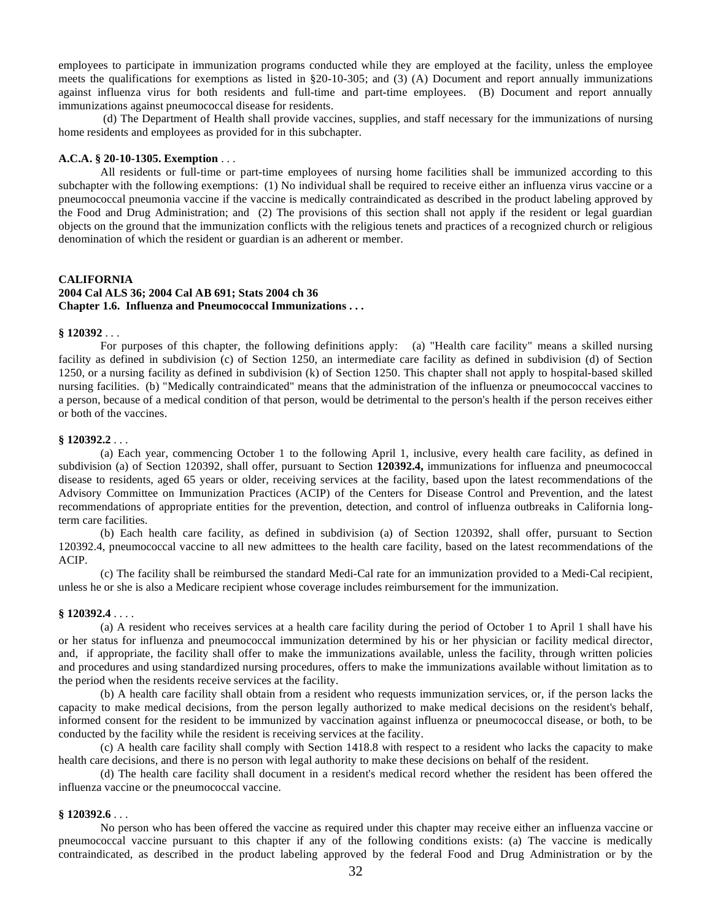employees to participate in immunization programs conducted while they are employed at the facility, unless the employee meets the qualifications for exemptions as listed in §20-10-305; and (3) (A) Document and report annually immunizations against influenza virus for both residents and full-time and part-time employees. (B) Document and report annually immunizations against pneumococcal disease for residents.

 (d) The Department of Health shall provide vaccines, supplies, and staff necessary for the immunizations of nursing home residents and employees as provided for in this subchapter.

#### **A.C.A. § 20-10-1305. Exemption** . . .

All residents or full-time or part-time employees of nursing home facilities shall be immunized according to this subchapter with the following exemptions: (1) No individual shall be required to receive either an influenza virus vaccine or a pneumococcal pneumonia vaccine if the vaccine is medically contraindicated as described in the product labeling approved by the Food and Drug Administration; and (2) The provisions of this section shall not apply if the resident or legal guardian objects on the ground that the immunization conflicts with the religious tenets and practices of a recognized church or religious denomination of which the resident or guardian is an adherent or member.

#### **CALIFORNIA**

# **2004 Cal ALS 36; 2004 Cal AB 691; Stats 2004 ch 36 Chapter 1.6. Influenza and Pneumococcal Immunizations . . .**

# **§ 120392** . . .

For purposes of this chapter, the following definitions apply: (a) "Health care facility" means a skilled nursing facility as defined in subdivision (c) of Section 1250, an intermediate care facility as defined in subdivision (d) of Section 1250, or a nursing facility as defined in subdivision (k) of Section 1250. This chapter shall not apply to hospital-based skilled nursing facilities. (b) "Medically contraindicated" means that the administration of the influenza or pneumococcal vaccines to a person, because of a medical condition of that person, would be detrimental to the person's health if the person receives either or both of the vaccines.

#### **§ 120392.2** . . .

(a) Each year, commencing October 1 to the following April 1, inclusive, every health care facility, as defined in subdivision (a) of Section 120392, shall offer, pursuant to Section **120392.4,** immunizations for influenza and pneumococcal disease to residents, aged 65 years or older, receiving services at the facility, based upon the latest recommendations of the Advisory Committee on Immunization Practices (ACIP) of the Centers for Disease Control and Prevention, and the latest recommendations of appropriate entities for the prevention, detection, and control of influenza outbreaks in California longterm care facilities.

(b) Each health care facility, as defined in subdivision (a) of Section 120392, shall offer, pursuant to Section 120392.4, pneumococcal vaccine to all new admittees to the health care facility, based on the latest recommendations of the ACIP.

(c) The facility shall be reimbursed the standard Medi-Cal rate for an immunization provided to a Medi-Cal recipient, unless he or she is also a Medicare recipient whose coverage includes reimbursement for the immunization.

#### **§ 120392.4** . . . .

(a) A resident who receives services at a health care facility during the period of October 1 to April 1 shall have his or her status for influenza and pneumococcal immunization determined by his or her physician or facility medical director, and, if appropriate, the facility shall offer to make the immunizations available, unless the facility, through written policies and procedures and using standardized nursing procedures, offers to make the immunizations available without limitation as to the period when the residents receive services at the facility.

(b) A health care facility shall obtain from a resident who requests immunization services, or, if the person lacks the capacity to make medical decisions, from the person legally authorized to make medical decisions on the resident's behalf, informed consent for the resident to be immunized by vaccination against influenza or pneumococcal disease, or both, to be conducted by the facility while the resident is receiving services at the facility.

(c) A health care facility shall comply with Section 1418.8 with respect to a resident who lacks the capacity to make health care decisions, and there is no person with legal authority to make these decisions on behalf of the resident.

(d) The health care facility shall document in a resident's medical record whether the resident has been offered the influenza vaccine or the pneumococcal vaccine.

# **§ 120392.6** . . .

No person who has been offered the vaccine as required under this chapter may receive either an influenza vaccine or pneumococcal vaccine pursuant to this chapter if any of the following conditions exists: (a) The vaccine is medically contraindicated, as described in the product labeling approved by the federal Food and Drug Administration or by the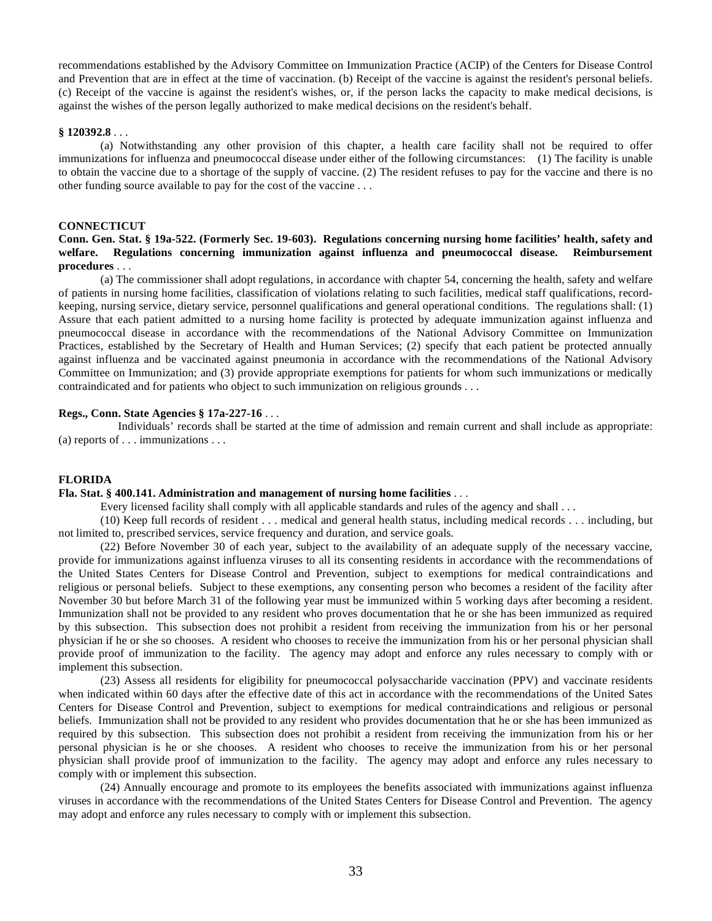recommendations established by the Advisory Committee on Immunization Practice (ACIP) of the Centers for Disease Control and Prevention that are in effect at the time of vaccination. (b) Receipt of the vaccine is against the resident's personal beliefs. (c) Receipt of the vaccine is against the resident's wishes, or, if the person lacks the capacity to make medical decisions, is against the wishes of the person legally authorized to make medical decisions on the resident's behalf.

#### **§ 120392.8** . . .

(a) Notwithstanding any other provision of this chapter, a health care facility shall not be required to offer immunizations for influenza and pneumococcal disease under either of the following circumstances: (1) The facility is unable to obtain the vaccine due to a shortage of the supply of vaccine. (2) The resident refuses to pay for the vaccine and there is no other funding source available to pay for the cost of the vaccine . . .

# **CONNECTICUT**

# **Conn. Gen. Stat. § 19a-522. (Formerly Sec. 19-603). Regulations concerning nursing home facilities' health, safety and welfare. Regulations concerning immunization against influenza and pneumococcal disease. Reimbursement procedures** . . .

(a) The commissioner shall adopt regulations, in accordance with chapter 54, concerning the health, safety and welfare of patients in nursing home facilities, classification of violations relating to such facilities, medical staff qualifications, recordkeeping, nursing service, dietary service, personnel qualifications and general operational conditions. The regulations shall: (1) Assure that each patient admitted to a nursing home facility is protected by adequate immunization against influenza and pneumococcal disease in accordance with the recommendations of the National Advisory Committee on Immunization Practices, established by the Secretary of Health and Human Services; (2) specify that each patient be protected annually against influenza and be vaccinated against pneumonia in accordance with the recommendations of the National Advisory Committee on Immunization; and (3) provide appropriate exemptions for patients for whom such immunizations or medically contraindicated and for patients who object to such immunization on religious grounds . . .

#### **Regs., Conn. State Agencies § 17a-227-16** . . .

 Individuals' records shall be started at the time of admission and remain current and shall include as appropriate: (a) reports of . . . immunizations . . .

#### **FLORIDA**

#### **Fla. Stat. § 400.141. Administration and management of nursing home facilities** . . .

Every licensed facility shall comply with all applicable standards and rules of the agency and shall . . .

(10) Keep full records of resident . . . medical and general health status, including medical records . . . including, but not limited to, prescribed services, service frequency and duration, and service goals.

(22) Before November 30 of each year, subject to the availability of an adequate supply of the necessary vaccine, provide for immunizations against influenza viruses to all its consenting residents in accordance with the recommendations of the United States Centers for Disease Control and Prevention, subject to exemptions for medical contraindications and religious or personal beliefs. Subject to these exemptions, any consenting person who becomes a resident of the facility after November 30 but before March 31 of the following year must be immunized within 5 working days after becoming a resident. Immunization shall not be provided to any resident who proves documentation that he or she has been immunized as required by this subsection. This subsection does not prohibit a resident from receiving the immunization from his or her personal physician if he or she so chooses. A resident who chooses to receive the immunization from his or her personal physician shall provide proof of immunization to the facility. The agency may adopt and enforce any rules necessary to comply with or implement this subsection.

(23) Assess all residents for eligibility for pneumococcal polysaccharide vaccination (PPV) and vaccinate residents when indicated within 60 days after the effective date of this act in accordance with the recommendations of the United Sates Centers for Disease Control and Prevention, subject to exemptions for medical contraindications and religious or personal beliefs. Immunization shall not be provided to any resident who provides documentation that he or she has been immunized as required by this subsection. This subsection does not prohibit a resident from receiving the immunization from his or her personal physician is he or she chooses. A resident who chooses to receive the immunization from his or her personal physician shall provide proof of immunization to the facility. The agency may adopt and enforce any rules necessary to comply with or implement this subsection.

(24) Annually encourage and promote to its employees the benefits associated with immunizations against influenza viruses in accordance with the recommendations of the United States Centers for Disease Control and Prevention. The agency may adopt and enforce any rules necessary to comply with or implement this subsection.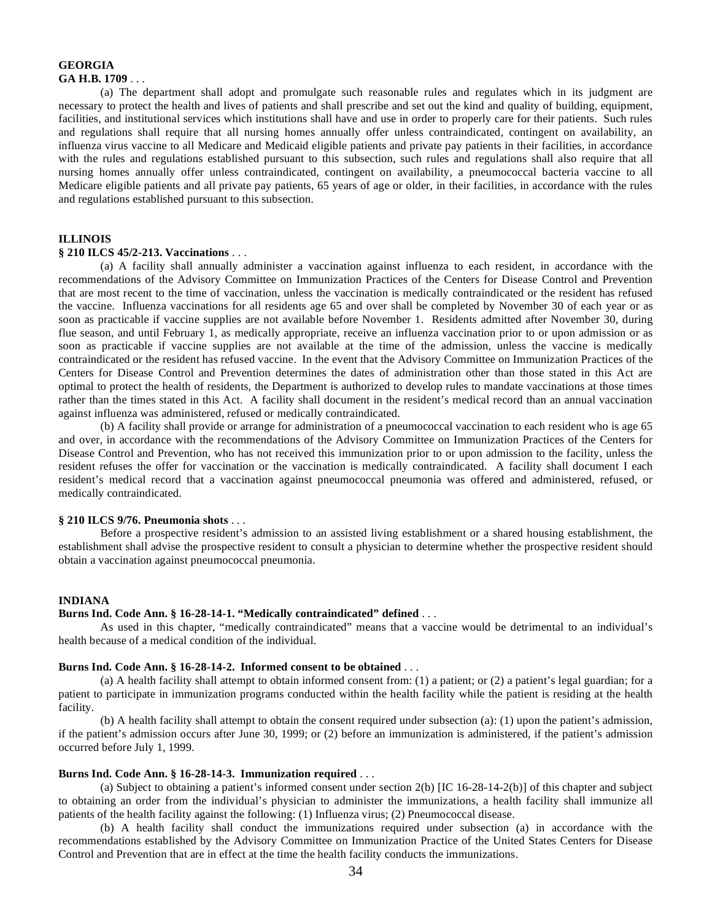#### **GEORGIA GA H.B. 1709** . . .

(a) The department shall adopt and promulgate such reasonable rules and regulates which in its judgment are necessary to protect the health and lives of patients and shall prescribe and set out the kind and quality of building, equipment, facilities, and institutional services which institutions shall have and use in order to properly care for their patients. Such rules and regulations shall require that all nursing homes annually offer unless contraindicated, contingent on availability, an influenza virus vaccine to all Medicare and Medicaid eligible patients and private pay patients in their facilities, in accordance with the rules and regulations established pursuant to this subsection, such rules and regulations shall also require that all nursing homes annually offer unless contraindicated, contingent on availability, a pneumococcal bacteria vaccine to all Medicare eligible patients and all private pay patients, 65 years of age or older, in their facilities, in accordance with the rules and regulations established pursuant to this subsection.

# **ILLINOIS**

#### **§ 210 ILCS 45/2-213. Vaccinations** . . .

(a) A facility shall annually administer a vaccination against influenza to each resident, in accordance with the recommendations of the Advisory Committee on Immunization Practices of the Centers for Disease Control and Prevention that are most recent to the time of vaccination, unless the vaccination is medically contraindicated or the resident has refused the vaccine. Influenza vaccinations for all residents age 65 and over shall be completed by November 30 of each year or as soon as practicable if vaccine supplies are not available before November 1. Residents admitted after November 30, during flue season, and until February 1, as medically appropriate, receive an influenza vaccination prior to or upon admission or as soon as practicable if vaccine supplies are not available at the time of the admission, unless the vaccine is medically contraindicated or the resident has refused vaccine. In the event that the Advisory Committee on Immunization Practices of the Centers for Disease Control and Prevention determines the dates of administration other than those stated in this Act are optimal to protect the health of residents, the Department is authorized to develop rules to mandate vaccinations at those times rather than the times stated in this Act. A facility shall document in the resident's medical record than an annual vaccination against influenza was administered, refused or medically contraindicated.

 (b) A facility shall provide or arrange for administration of a pneumococcal vaccination to each resident who is age 65 and over, in accordance with the recommendations of the Advisory Committee on Immunization Practices of the Centers for Disease Control and Prevention, who has not received this immunization prior to or upon admission to the facility, unless the resident refuses the offer for vaccination or the vaccination is medically contraindicated. A facility shall document I each resident's medical record that a vaccination against pneumococcal pneumonia was offered and administered, refused, or medically contraindicated.

#### **§ 210 ILCS 9/76. Pneumonia shots** . . .

Before a prospective resident's admission to an assisted living establishment or a shared housing establishment, the establishment shall advise the prospective resident to consult a physician to determine whether the prospective resident should obtain a vaccination against pneumococcal pneumonia.

#### **INDIANA**

# **Burns Ind. Code Ann. § 16-28-14-1. "Medically contraindicated" defined** . . .

As used in this chapter, "medically contraindicated" means that a vaccine would be detrimental to an individual's health because of a medical condition of the individual.

# **Burns Ind. Code Ann. § 16-28-14-2. Informed consent to be obtained** . . .

(a) A health facility shall attempt to obtain informed consent from: (1) a patient; or (2) a patient's legal guardian; for a patient to participate in immunization programs conducted within the health facility while the patient is residing at the health facility.

(b) A health facility shall attempt to obtain the consent required under subsection (a): (1) upon the patient's admission, if the patient's admission occurs after June 30, 1999; or (2) before an immunization is administered, if the patient's admission occurred before July 1, 1999.

# **Burns Ind. Code Ann. § 16-28-14-3. Immunization required** . . .

(a) Subject to obtaining a patient's informed consent under section 2(b) [IC 16-28-14-2(b)] of this chapter and subject to obtaining an order from the individual's physician to administer the immunizations, a health facility shall immunize all patients of the health facility against the following: (1) Influenza virus; (2) Pneumococcal disease.

 (b) A health facility shall conduct the immunizations required under subsection (a) in accordance with the recommendations established by the Advisory Committee on Immunization Practice of the United States Centers for Disease Control and Prevention that are in effect at the time the health facility conducts the immunizations.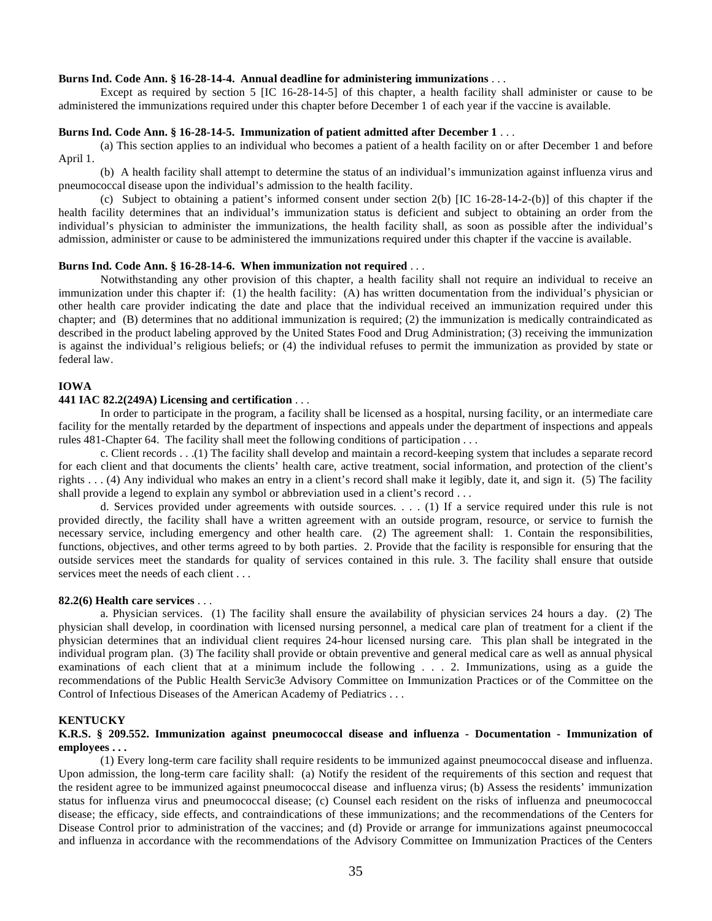#### **Burns Ind. Code Ann. § 16-28-14-4. Annual deadline for administering immunizations** . . .

Except as required by section 5 [IC 16-28-14-5] of this chapter, a health facility shall administer or cause to be administered the immunizations required under this chapter before December 1 of each year if the vaccine is available.

#### **Burns Ind. Code Ann. § 16-28-14-5. Immunization of patient admitted after December 1** . . .

(a) This section applies to an individual who becomes a patient of a health facility on or after December 1 and before April 1.

(b) A health facility shall attempt to determine the status of an individual's immunization against influenza virus and pneumococcal disease upon the individual's admission to the health facility.

(c) Subject to obtaining a patient's informed consent under section 2(b) [IC 16-28-14-2-(b)] of this chapter if the health facility determines that an individual's immunization status is deficient and subject to obtaining an order from the individual's physician to administer the immunizations, the health facility shall, as soon as possible after the individual's admission, administer or cause to be administered the immunizations required under this chapter if the vaccine is available.

#### **Burns Ind. Code Ann. § 16-28-14-6. When immunization not required** . . .

Notwithstanding any other provision of this chapter, a health facility shall not require an individual to receive an immunization under this chapter if: (1) the health facility: (A) has written documentation from the individual's physician or other health care provider indicating the date and place that the individual received an immunization required under this chapter; and (B) determines that no additional immunization is required; (2) the immunization is medically contraindicated as described in the product labeling approved by the United States Food and Drug Administration; (3) receiving the immunization is against the individual's religious beliefs; or (4) the individual refuses to permit the immunization as provided by state or federal law.

# **IOWA**

#### **441 IAC 82.2(249A) Licensing and certification** . . .

In order to participate in the program, a facility shall be licensed as a hospital, nursing facility, or an intermediate care facility for the mentally retarded by the department of inspections and appeals under the department of inspections and appeals rules 481-Chapter 64. The facility shall meet the following conditions of participation . . .

c. Client records . . .(1) The facility shall develop and maintain a record-keeping system that includes a separate record for each client and that documents the clients' health care, active treatment, social information, and protection of the client's rights . . . (4) Any individual who makes an entry in a client's record shall make it legibly, date it, and sign it. (5) The facility shall provide a legend to explain any symbol or abbreviation used in a client's record ...

d. Services provided under agreements with outside sources. . . . (1) If a service required under this rule is not provided directly, the facility shall have a written agreement with an outside program, resource, or service to furnish the necessary service, including emergency and other health care. (2) The agreement shall: 1. Contain the responsibilities, functions, objectives, and other terms agreed to by both parties. 2. Provide that the facility is responsible for ensuring that the outside services meet the standards for quality of services contained in this rule. 3. The facility shall ensure that outside services meet the needs of each client . . .

# **82.2(6) Health care services** . . .

a. Physician services. (1) The facility shall ensure the availability of physician services 24 hours a day. (2) The physician shall develop, in coordination with licensed nursing personnel, a medical care plan of treatment for a client if the physician determines that an individual client requires 24-hour licensed nursing care. This plan shall be integrated in the individual program plan. (3) The facility shall provide or obtain preventive and general medical care as well as annual physical examinations of each client that at a minimum include the following . . . 2. Immunizations, using as a guide the recommendations of the Public Health Servic3e Advisory Committee on Immunization Practices or of the Committee on the Control of Infectious Diseases of the American Academy of Pediatrics . . .

#### **KENTUCKY**

#### **K.R.S. § 209.552. Immunization against pneumococcal disease and influenza - Documentation - Immunization of employees . . .**

(1) Every long-term care facility shall require residents to be immunized against pneumococcal disease and influenza. Upon admission, the long-term care facility shall: (a) Notify the resident of the requirements of this section and request that the resident agree to be immunized against pneumococcal disease and influenza virus; (b) Assess the residents' immunization status for influenza virus and pneumococcal disease; (c) Counsel each resident on the risks of influenza and pneumococcal disease; the efficacy, side effects, and contraindications of these immunizations; and the recommendations of the Centers for Disease Control prior to administration of the vaccines; and (d) Provide or arrange for immunizations against pneumococcal and influenza in accordance with the recommendations of the Advisory Committee on Immunization Practices of the Centers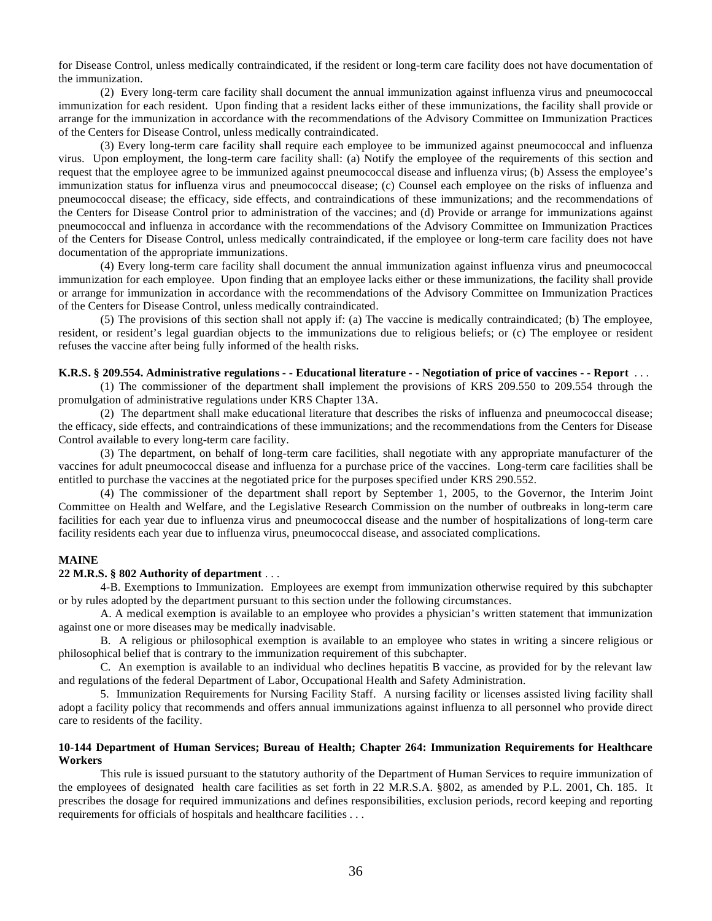for Disease Control, unless medically contraindicated, if the resident or long-term care facility does not have documentation of the immunization.

(2) Every long-term care facility shall document the annual immunization against influenza virus and pneumococcal immunization for each resident. Upon finding that a resident lacks either of these immunizations, the facility shall provide or arrange for the immunization in accordance with the recommendations of the Advisory Committee on Immunization Practices of the Centers for Disease Control, unless medically contraindicated.

(3) Every long-term care facility shall require each employee to be immunized against pneumococcal and influenza virus. Upon employment, the long-term care facility shall: (a) Notify the employee of the requirements of this section and request that the employee agree to be immunized against pneumococcal disease and influenza virus; (b) Assess the employee's immunization status for influenza virus and pneumococcal disease; (c) Counsel each employee on the risks of influenza and pneumococcal disease; the efficacy, side effects, and contraindications of these immunizations; and the recommendations of the Centers for Disease Control prior to administration of the vaccines; and (d) Provide or arrange for immunizations against pneumococcal and influenza in accordance with the recommendations of the Advisory Committee on Immunization Practices of the Centers for Disease Control, unless medically contraindicated, if the employee or long-term care facility does not have documentation of the appropriate immunizations.

(4) Every long-term care facility shall document the annual immunization against influenza virus and pneumococcal immunization for each employee. Upon finding that an employee lacks either or these immunizations, the facility shall provide or arrange for immunization in accordance with the recommendations of the Advisory Committee on Immunization Practices of the Centers for Disease Control, unless medically contraindicated.

(5) The provisions of this section shall not apply if: (a) The vaccine is medically contraindicated; (b) The employee, resident, or resident's legal guardian objects to the immunizations due to religious beliefs; or (c) The employee or resident refuses the vaccine after being fully informed of the health risks.

# **K.R.S. § 209.554. Administrative regulations - - Educational literature - - Negotiation of price of vaccines - - Report** . . .

(1) The commissioner of the department shall implement the provisions of KRS 209.550 to 209.554 through the promulgation of administrative regulations under KRS Chapter 13A.

(2) The department shall make educational literature that describes the risks of influenza and pneumococcal disease; the efficacy, side effects, and contraindications of these immunizations; and the recommendations from the Centers for Disease Control available to every long-term care facility.

(3) The department, on behalf of long-term care facilities, shall negotiate with any appropriate manufacturer of the vaccines for adult pneumococcal disease and influenza for a purchase price of the vaccines. Long-term care facilities shall be entitled to purchase the vaccines at the negotiated price for the purposes specified under KRS 290.552.

(4) The commissioner of the department shall report by September 1, 2005, to the Governor, the Interim Joint Committee on Health and Welfare, and the Legislative Research Commission on the number of outbreaks in long-term care facilities for each year due to influenza virus and pneumococcal disease and the number of hospitalizations of long-term care facility residents each year due to influenza virus, pneumococcal disease, and associated complications.

#### **MAINE**

#### **22 M.R.S. § 802 Authority of department** . . .

4-B. Exemptions to Immunization. Employees are exempt from immunization otherwise required by this subchapter or by rules adopted by the department pursuant to this section under the following circumstances.

 A. A medical exemption is available to an employee who provides a physician's written statement that immunization against one or more diseases may be medically inadvisable.

 B. A religious or philosophical exemption is available to an employee who states in writing a sincere religious or philosophical belief that is contrary to the immunization requirement of this subchapter.

 C. An exemption is available to an individual who declines hepatitis B vaccine, as provided for by the relevant law and regulations of the federal Department of Labor, Occupational Health and Safety Administration.

5. Immunization Requirements for Nursing Facility Staff. A nursing facility or licenses assisted living facility shall adopt a facility policy that recommends and offers annual immunizations against influenza to all personnel who provide direct care to residents of the facility.

# **10-144 Department of Human Services; Bureau of Health; Chapter 264: Immunization Requirements for Healthcare Workers**

This rule is issued pursuant to the statutory authority of the Department of Human Services to require immunization of the employees of designated health care facilities as set forth in 22 M.R.S.A. §802, as amended by P.L. 2001, Ch. 185. It prescribes the dosage for required immunizations and defines responsibilities, exclusion periods, record keeping and reporting requirements for officials of hospitals and healthcare facilities . . .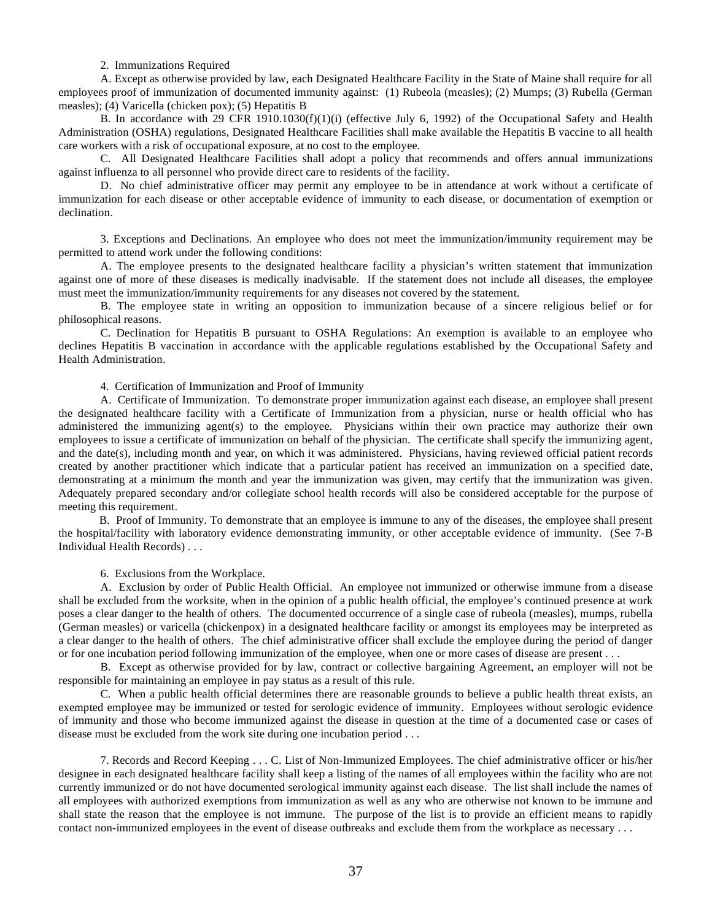#### 2. Immunizations Required

 A. Except as otherwise provided by law, each Designated Healthcare Facility in the State of Maine shall require for all employees proof of immunization of documented immunity against: (1) Rubeola (measles); (2) Mumps; (3) Rubella (German measles); (4) Varicella (chicken pox); (5) Hepatitis B

 B. In accordance with 29 CFR 1910.1030(f)(1)(i) (effective July 6, 1992) of the Occupational Safety and Health Administration (OSHA) regulations, Designated Healthcare Facilities shall make available the Hepatitis B vaccine to all health care workers with a risk of occupational exposure, at no cost to the employee.

 C. All Designated Healthcare Facilities shall adopt a policy that recommends and offers annual immunizations against influenza to all personnel who provide direct care to residents of the facility.

 D. No chief administrative officer may permit any employee to be in attendance at work without a certificate of immunization for each disease or other acceptable evidence of immunity to each disease, or documentation of exemption or declination.

3. Exceptions and Declinations. An employee who does not meet the immunization/immunity requirement may be permitted to attend work under the following conditions:

 A. The employee presents to the designated healthcare facility a physician's written statement that immunization against one of more of these diseases is medically inadvisable. If the statement does not include all diseases, the employee must meet the immunization/immunity requirements for any diseases not covered by the statement.

 B. The employee state in writing an opposition to immunization because of a sincere religious belief or for philosophical reasons.

 C. Declination for Hepatitis B pursuant to OSHA Regulations: An exemption is available to an employee who declines Hepatitis B vaccination in accordance with the applicable regulations established by the Occupational Safety and Health Administration.

4. Certification of Immunization and Proof of Immunity

 A. Certificate of Immunization. To demonstrate proper immunization against each disease, an employee shall present the designated healthcare facility with a Certificate of Immunization from a physician, nurse or health official who has administered the immunizing agent(s) to the employee. Physicians within their own practice may authorize their own employees to issue a certificate of immunization on behalf of the physician. The certificate shall specify the immunizing agent, and the date(s), including month and year, on which it was administered. Physicians, having reviewed official patient records created by another practitioner which indicate that a particular patient has received an immunization on a specified date, demonstrating at a minimum the month and year the immunization was given, may certify that the immunization was given. Adequately prepared secondary and/or collegiate school health records will also be considered acceptable for the purpose of meeting this requirement.

 B. Proof of Immunity. To demonstrate that an employee is immune to any of the diseases, the employee shall present the hospital/facility with laboratory evidence demonstrating immunity, or other acceptable evidence of immunity. (See 7-B Individual Health Records) . . .

6. Exclusions from the Workplace.

A. Exclusion by order of Public Health Official. An employee not immunized or otherwise immune from a disease shall be excluded from the worksite, when in the opinion of a public health official, the employee's continued presence at work poses a clear danger to the health of others. The documented occurrence of a single case of rubeola (measles), mumps, rubella (German measles) or varicella (chickenpox) in a designated healthcare facility or amongst its employees may be interpreted as a clear danger to the health of others. The chief administrative officer shall exclude the employee during the period of danger or for one incubation period following immunization of the employee, when one or more cases of disease are present . . .

B. Except as otherwise provided for by law, contract or collective bargaining Agreement, an employer will not be responsible for maintaining an employee in pay status as a result of this rule.

C. When a public health official determines there are reasonable grounds to believe a public health threat exists, an exempted employee may be immunized or tested for serologic evidence of immunity. Employees without serologic evidence of immunity and those who become immunized against the disease in question at the time of a documented case or cases of disease must be excluded from the work site during one incubation period . . .

7. Records and Record Keeping . . . C. List of Non-Immunized Employees. The chief administrative officer or his/her designee in each designated healthcare facility shall keep a listing of the names of all employees within the facility who are not currently immunized or do not have documented serological immunity against each disease. The list shall include the names of all employees with authorized exemptions from immunization as well as any who are otherwise not known to be immune and shall state the reason that the employee is not immune. The purpose of the list is to provide an efficient means to rapidly contact non-immunized employees in the event of disease outbreaks and exclude them from the workplace as necessary . . .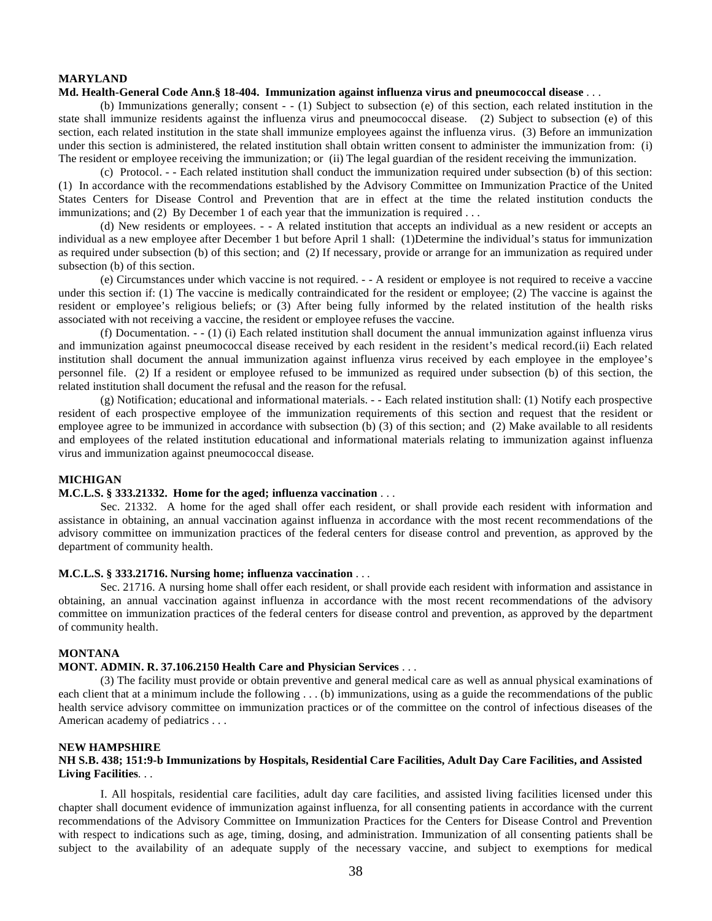# **MARYLAND**

#### **Md. Health-General Code Ann.§ 18-404. Immunization against influenza virus and pneumococcal disease** . . .

(b) Immunizations generally; consent - - (1) Subject to subsection (e) of this section, each related institution in the state shall immunize residents against the influenza virus and pneumococcal disease. (2) Subject to subsection (e) of this section, each related institution in the state shall immunize employees against the influenza virus. (3) Before an immunization under this section is administered, the related institution shall obtain written consent to administer the immunization from: (i) The resident or employee receiving the immunization; or (ii) The legal guardian of the resident receiving the immunization.

(c) Protocol. - - Each related institution shall conduct the immunization required under subsection (b) of this section: (1) In accordance with the recommendations established by the Advisory Committee on Immunization Practice of the United States Centers for Disease Control and Prevention that are in effect at the time the related institution conducts the immunizations; and (2) By December 1 of each year that the immunization is required . . .

(d) New residents or employees. - - A related institution that accepts an individual as a new resident or accepts an individual as a new employee after December 1 but before April 1 shall: (1)Determine the individual's status for immunization as required under subsection (b) of this section; and (2) If necessary, provide or arrange for an immunization as required under subsection (b) of this section.

(e) Circumstances under which vaccine is not required. - - A resident or employee is not required to receive a vaccine under this section if: (1) The vaccine is medically contraindicated for the resident or employee; (2) The vaccine is against the resident or employee's religious beliefs; or (3) After being fully informed by the related institution of the health risks associated with not receiving a vaccine, the resident or employee refuses the vaccine.

(f) Documentation. - - (1) (i) Each related institution shall document the annual immunization against influenza virus and immunization against pneumococcal disease received by each resident in the resident's medical record.(ii) Each related institution shall document the annual immunization against influenza virus received by each employee in the employee's personnel file. (2) If a resident or employee refused to be immunized as required under subsection (b) of this section, the related institution shall document the refusal and the reason for the refusal.

(g) Notification; educational and informational materials. - - Each related institution shall: (1) Notify each prospective resident of each prospective employee of the immunization requirements of this section and request that the resident or employee agree to be immunized in accordance with subsection (b) (3) of this section; and (2) Make available to all residents and employees of the related institution educational and informational materials relating to immunization against influenza virus and immunization against pneumococcal disease.

# **MICHIGAN**

# **M.C.L.S. § 333.21332. Home for the aged; influenza vaccination** . . .

Sec. 21332. A home for the aged shall offer each resident, or shall provide each resident with information and assistance in obtaining, an annual vaccination against influenza in accordance with the most recent recommendations of the advisory committee on immunization practices of the federal centers for disease control and prevention, as approved by the department of community health.

#### **M.C.L.S. § 333.21716. Nursing home; influenza vaccination** . . .

Sec. 21716. A nursing home shall offer each resident, or shall provide each resident with information and assistance in obtaining, an annual vaccination against influenza in accordance with the most recent recommendations of the advisory committee on immunization practices of the federal centers for disease control and prevention, as approved by the department of community health.

# **MONTANA**

# **MONT. ADMIN. R. 37.106.2150 Health Care and Physician Services** . . .

(3) The facility must provide or obtain preventive and general medical care as well as annual physical examinations of each client that at a minimum include the following . . . (b) immunizations, using as a guide the recommendations of the public health service advisory committee on immunization practices or of the committee on the control of infectious diseases of the American academy of pediatrics . . .

#### **NEW HAMPSHIRE**

# **NH S.B. 438; 151:9-b Immunizations by Hospitals, Residential Care Facilities, Adult Day Care Facilities, and Assisted Living Facilities**. . .

I. All hospitals, residential care facilities, adult day care facilities, and assisted living facilities licensed under this chapter shall document evidence of immunization against influenza, for all consenting patients in accordance with the current recommendations of the Advisory Committee on Immunization Practices for the Centers for Disease Control and Prevention with respect to indications such as age, timing, dosing, and administration. Immunization of all consenting patients shall be subject to the availability of an adequate supply of the necessary vaccine, and subject to exemptions for medical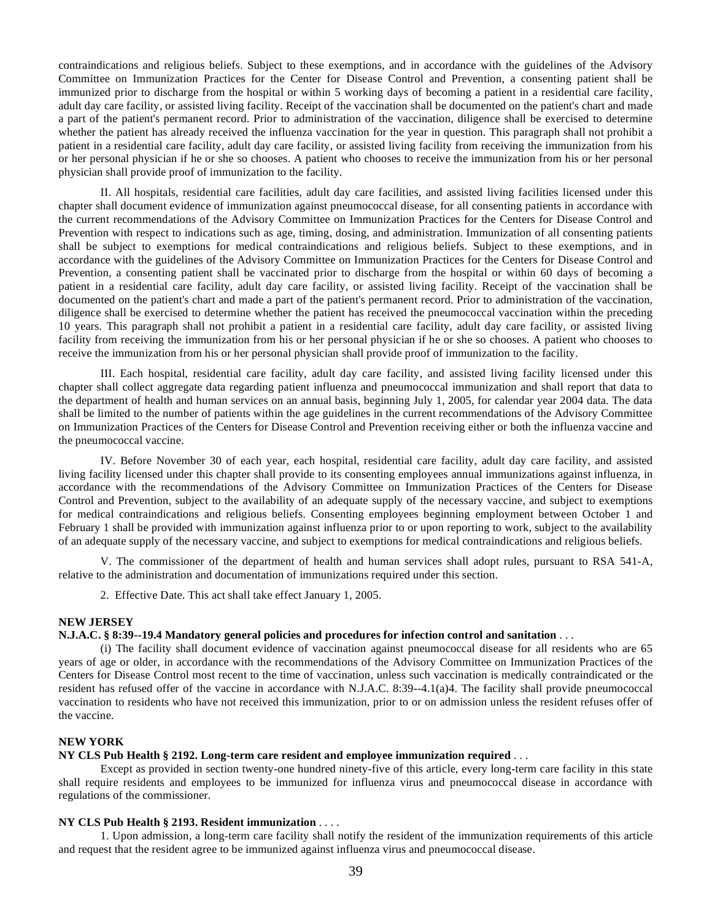contraindications and religious beliefs. Subject to these exemptions, and in accordance with the guidelines of the Advisory Committee on Immunization Practices for the Center for Disease Control and Prevention, a consenting patient shall be immunized prior to discharge from the hospital or within 5 working days of becoming a patient in a residential care facility, adult day care facility, or assisted living facility. Receipt of the vaccination shall be documented on the patient's chart and made a part of the patient's permanent record. Prior to administration of the vaccination, diligence shall be exercised to determine whether the patient has already received the influenza vaccination for the year in question. This paragraph shall not prohibit a patient in a residential care facility, adult day care facility, or assisted living facility from receiving the immunization from his or her personal physician if he or she so chooses. A patient who chooses to receive the immunization from his or her personal physician shall provide proof of immunization to the facility.

II. All hospitals, residential care facilities, adult day care facilities, and assisted living facilities licensed under this chapter shall document evidence of immunization against pneumococcal disease, for all consenting patients in accordance with the current recommendations of the Advisory Committee on Immunization Practices for the Centers for Disease Control and Prevention with respect to indications such as age, timing, dosing, and administration. Immunization of all consenting patients shall be subject to exemptions for medical contraindications and religious beliefs. Subject to these exemptions, and in accordance with the guidelines of the Advisory Committee on Immunization Practices for the Centers for Disease Control and Prevention, a consenting patient shall be vaccinated prior to discharge from the hospital or within 60 days of becoming a patient in a residential care facility, adult day care facility, or assisted living facility. Receipt of the vaccination shall be documented on the patient's chart and made a part of the patient's permanent record. Prior to administration of the vaccination, diligence shall be exercised to determine whether the patient has received the pneumococcal vaccination within the preceding 10 years. This paragraph shall not prohibit a patient in a residential care facility, adult day care facility, or assisted living facility from receiving the immunization from his or her personal physician if he or she so chooses. A patient who chooses to receive the immunization from his or her personal physician shall provide proof of immunization to the facility.

III. Each hospital, residential care facility, adult day care facility, and assisted living facility licensed under this chapter shall collect aggregate data regarding patient influenza and pneumococcal immunization and shall report that data to the department of health and human services on an annual basis, beginning July 1, 2005, for calendar year 2004 data. The data shall be limited to the number of patients within the age guidelines in the current recommendations of the Advisory Committee on Immunization Practices of the Centers for Disease Control and Prevention receiving either or both the influenza vaccine and the pneumococcal vaccine.

IV. Before November 30 of each year, each hospital, residential care facility, adult day care facility, and assisted living facility licensed under this chapter shall provide to its consenting employees annual immunizations against influenza, in accordance with the recommendations of the Advisory Committee on Immunization Practices of the Centers for Disease Control and Prevention, subject to the availability of an adequate supply of the necessary vaccine, and subject to exemptions for medical contraindications and religious beliefs. Consenting employees beginning employment between October 1 and February 1 shall be provided with immunization against influenza prior to or upon reporting to work, subject to the availability of an adequate supply of the necessary vaccine, and subject to exemptions for medical contraindications and religious beliefs.

V. The commissioner of the department of health and human services shall adopt rules, pursuant to RSA 541-A, relative to the administration and documentation of immunizations required under this section.

2. Effective Date. This act shall take effect January 1, 2005.

# **NEW JERSEY**

#### **N.J.A.C. § 8:39--19.4 Mandatory general policies and procedures for infection control and sanitation** . . .

(i) The facility shall document evidence of vaccination against pneumococcal disease for all residents who are 65 years of age or older, in accordance with the recommendations of the Advisory Committee on Immunization Practices of the Centers for Disease Control most recent to the time of vaccination, unless such vaccination is medically contraindicated or the resident has refused offer of the vaccine in accordance with N.J.A.C. 8:39--4.1(a)4. The facility shall provide pneumococcal vaccination to residents who have not received this immunization, prior to or on admission unless the resident refuses offer of the vaccine.

# **NEW YORK**

# **NY CLS Pub Health § 2192. Long-term care resident and employee immunization required** . . .

Except as provided in section twenty-one hundred ninety-five of this article, every long-term care facility in this state shall require residents and employees to be immunized for influenza virus and pneumococcal disease in accordance with regulations of the commissioner.

#### **NY CLS Pub Health § 2193. Resident immunization** . . . .

1. Upon admission, a long-term care facility shall notify the resident of the immunization requirements of this article and request that the resident agree to be immunized against influenza virus and pneumococcal disease.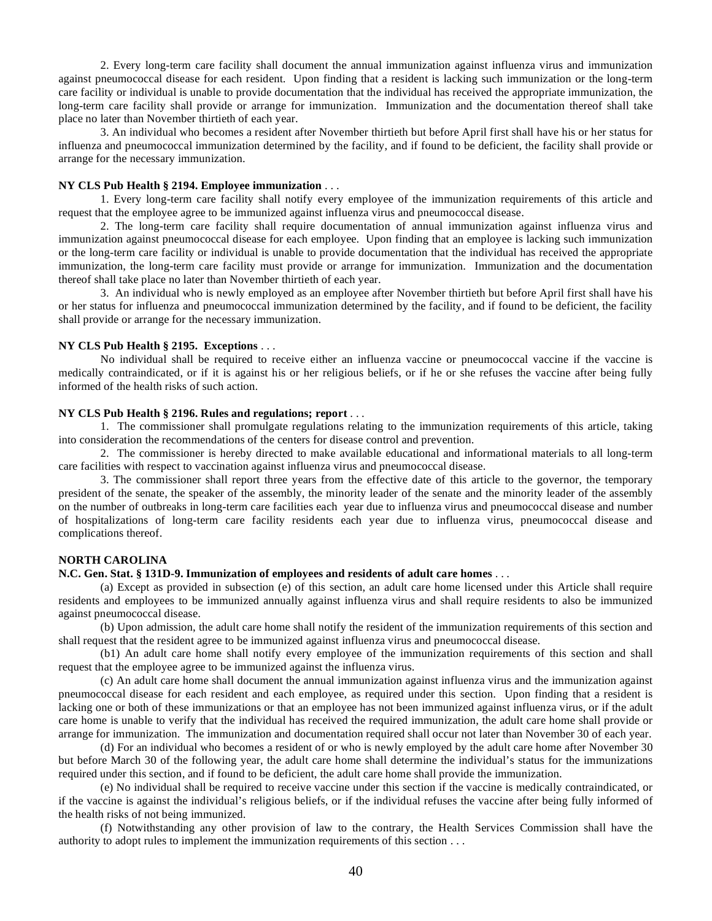2. Every long-term care facility shall document the annual immunization against influenza virus and immunization against pneumococcal disease for each resident. Upon finding that a resident is lacking such immunization or the long-term care facility or individual is unable to provide documentation that the individual has received the appropriate immunization, the long-term care facility shall provide or arrange for immunization. Immunization and the documentation thereof shall take place no later than November thirtieth of each year.

3. An individual who becomes a resident after November thirtieth but before April first shall have his or her status for influenza and pneumococcal immunization determined by the facility, and if found to be deficient, the facility shall provide or arrange for the necessary immunization.

# **NY CLS Pub Health § 2194. Employee immunization** . . .

1. Every long-term care facility shall notify every employee of the immunization requirements of this article and request that the employee agree to be immunized against influenza virus and pneumococcal disease.

2. The long-term care facility shall require documentation of annual immunization against influenza virus and immunization against pneumococcal disease for each employee. Upon finding that an employee is lacking such immunization or the long-term care facility or individual is unable to provide documentation that the individual has received the appropriate immunization, the long-term care facility must provide or arrange for immunization. Immunization and the documentation thereof shall take place no later than November thirtieth of each year.

3. An individual who is newly employed as an employee after November thirtieth but before April first shall have his or her status for influenza and pneumococcal immunization determined by the facility, and if found to be deficient, the facility shall provide or arrange for the necessary immunization.

#### **NY CLS Pub Health § 2195. Exceptions** . . .

No individual shall be required to receive either an influenza vaccine or pneumococcal vaccine if the vaccine is medically contraindicated, or if it is against his or her religious beliefs, or if he or she refuses the vaccine after being fully informed of the health risks of such action.

#### **NY CLS Pub Health § 2196. Rules and regulations; report** . . .

1. The commissioner shall promulgate regulations relating to the immunization requirements of this article, taking into consideration the recommendations of the centers for disease control and prevention.

2. The commissioner is hereby directed to make available educational and informational materials to all long-term care facilities with respect to vaccination against influenza virus and pneumococcal disease.

3. The commissioner shall report three years from the effective date of this article to the governor, the temporary president of the senate, the speaker of the assembly, the minority leader of the senate and the minority leader of the assembly on the number of outbreaks in long-term care facilities each year due to influenza virus and pneumococcal disease and number of hospitalizations of long-term care facility residents each year due to influenza virus, pneumococcal disease and complications thereof.

#### **NORTH CAROLINA**

#### **N.C. Gen. Stat. § 131D-9. Immunization of employees and residents of adult care homes** . . .

(a) Except as provided in subsection (e) of this section, an adult care home licensed under this Article shall require residents and employees to be immunized annually against influenza virus and shall require residents to also be immunized against pneumococcal disease.

(b) Upon admission, the adult care home shall notify the resident of the immunization requirements of this section and shall request that the resident agree to be immunized against influenza virus and pneumococcal disease.

(b1) An adult care home shall notify every employee of the immunization requirements of this section and shall request that the employee agree to be immunized against the influenza virus.

(c) An adult care home shall document the annual immunization against influenza virus and the immunization against pneumococcal disease for each resident and each employee, as required under this section. Upon finding that a resident is lacking one or both of these immunizations or that an employee has not been immunized against influenza virus, or if the adult care home is unable to verify that the individual has received the required immunization, the adult care home shall provide or arrange for immunization. The immunization and documentation required shall occur not later than November 30 of each year.

(d) For an individual who becomes a resident of or who is newly employed by the adult care home after November 30 but before March 30 of the following year, the adult care home shall determine the individual's status for the immunizations required under this section, and if found to be deficient, the adult care home shall provide the immunization.

(e) No individual shall be required to receive vaccine under this section if the vaccine is medically contraindicated, or if the vaccine is against the individual's religious beliefs, or if the individual refuses the vaccine after being fully informed of the health risks of not being immunized.

(f) Notwithstanding any other provision of law to the contrary, the Health Services Commission shall have the authority to adopt rules to implement the immunization requirements of this section . . .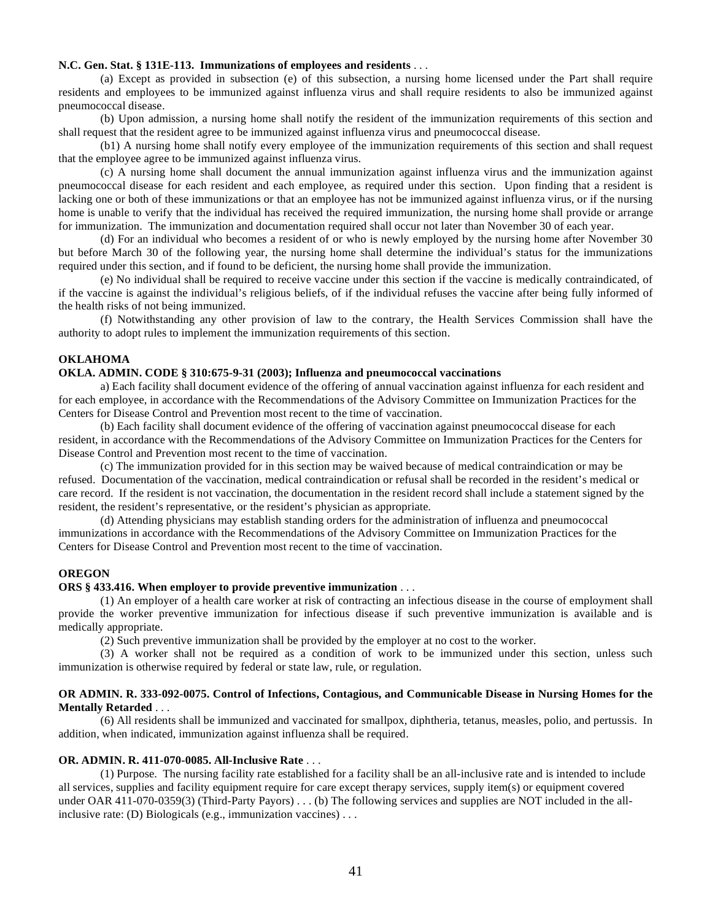#### **N.C. Gen. Stat. § 131E-113. Immunizations of employees and residents** . . .

(a) Except as provided in subsection (e) of this subsection, a nursing home licensed under the Part shall require residents and employees to be immunized against influenza virus and shall require residents to also be immunized against pneumococcal disease.

(b) Upon admission, a nursing home shall notify the resident of the immunization requirements of this section and shall request that the resident agree to be immunized against influenza virus and pneumococcal disease.

(b1) A nursing home shall notify every employee of the immunization requirements of this section and shall request that the employee agree to be immunized against influenza virus.

(c) A nursing home shall document the annual immunization against influenza virus and the immunization against pneumococcal disease for each resident and each employee, as required under this section. Upon finding that a resident is lacking one or both of these immunizations or that an employee has not be immunized against influenza virus, or if the nursing home is unable to verify that the individual has received the required immunization, the nursing home shall provide or arrange for immunization. The immunization and documentation required shall occur not later than November 30 of each year.

(d) For an individual who becomes a resident of or who is newly employed by the nursing home after November 30 but before March 30 of the following year, the nursing home shall determine the individual's status for the immunizations required under this section, and if found to be deficient, the nursing home shall provide the immunization.

(e) No individual shall be required to receive vaccine under this section if the vaccine is medically contraindicated, of if the vaccine is against the individual's religious beliefs, of if the individual refuses the vaccine after being fully informed of the health risks of not being immunized.

(f) Notwithstanding any other provision of law to the contrary, the Health Services Commission shall have the authority to adopt rules to implement the immunization requirements of this section.

# **OKLAHOMA**

# **OKLA. ADMIN. CODE § 310:675-9-31 (2003); Influenza and pneumococcal vaccinations**

a) Each facility shall document evidence of the offering of annual vaccination against influenza for each resident and for each employee, in accordance with the Recommendations of the Advisory Committee on Immunization Practices for the Centers for Disease Control and Prevention most recent to the time of vaccination.

 (b) Each facility shall document evidence of the offering of vaccination against pneumococcal disease for each resident, in accordance with the Recommendations of the Advisory Committee on Immunization Practices for the Centers for Disease Control and Prevention most recent to the time of vaccination.

 (c) The immunization provided for in this section may be waived because of medical contraindication or may be refused. Documentation of the vaccination, medical contraindication or refusal shall be recorded in the resident's medical or care record. If the resident is not vaccination, the documentation in the resident record shall include a statement signed by the resident, the resident's representative, or the resident's physician as appropriate.

 (d) Attending physicians may establish standing orders for the administration of influenza and pneumococcal immunizations in accordance with the Recommendations of the Advisory Committee on Immunization Practices for the Centers for Disease Control and Prevention most recent to the time of vaccination.

#### **OREGON**

#### **ORS § 433.416. When employer to provide preventive immunization** . . .

(1) An employer of a health care worker at risk of contracting an infectious disease in the course of employment shall provide the worker preventive immunization for infectious disease if such preventive immunization is available and is medically appropriate.

(2) Such preventive immunization shall be provided by the employer at no cost to the worker.

(3) A worker shall not be required as a condition of work to be immunized under this section, unless such immunization is otherwise required by federal or state law, rule, or regulation.

#### **OR ADMIN. R. 333-092-0075. Control of Infections, Contagious, and Communicable Disease in Nursing Homes for the Mentally Retarded** . . .

(6) All residents shall be immunized and vaccinated for smallpox, diphtheria, tetanus, measles, polio, and pertussis. In addition, when indicated, immunization against influenza shall be required.

#### **OR. ADMIN. R. 411-070-0085. All-Inclusive Rate** . . .

(1) Purpose. The nursing facility rate established for a facility shall be an all-inclusive rate and is intended to include all services, supplies and facility equipment require for care except therapy services, supply item(s) or equipment covered under OAR 411-070-0359(3) (Third-Party Payors) . . . (b) The following services and supplies are NOT included in the allinclusive rate: (D) Biologicals (e.g., immunization vaccines) . . .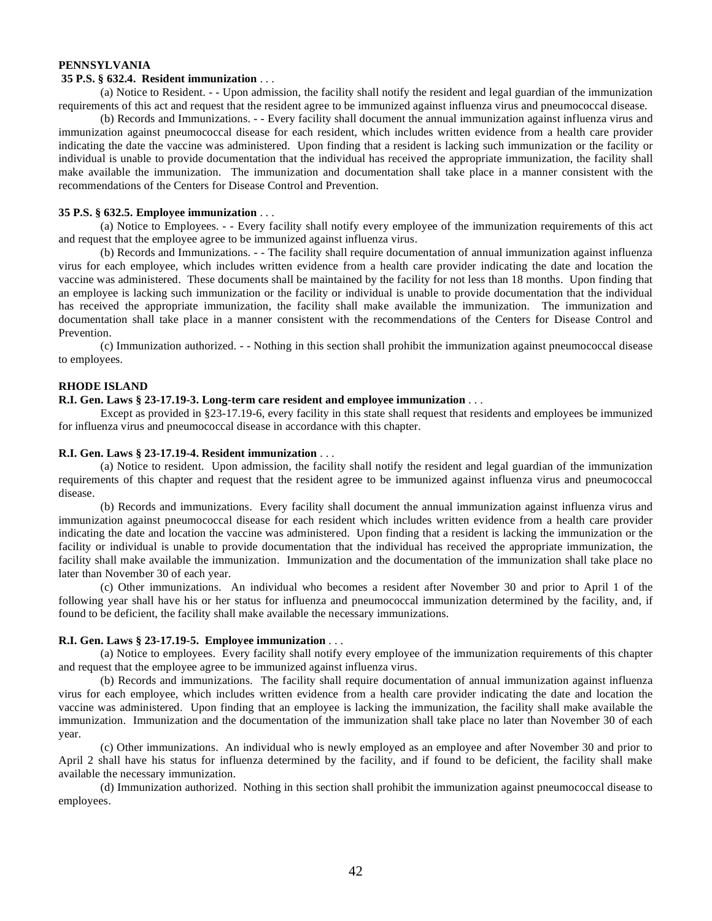# **PENNSYLVANIA**

#### **35 P.S. § 632.4. Resident immunization** . . .

(a) Notice to Resident. - - Upon admission, the facility shall notify the resident and legal guardian of the immunization requirements of this act and request that the resident agree to be immunized against influenza virus and pneumococcal disease.

(b) Records and Immunizations. - - Every facility shall document the annual immunization against influenza virus and immunization against pneumococcal disease for each resident, which includes written evidence from a health care provider indicating the date the vaccine was administered. Upon finding that a resident is lacking such immunization or the facility or individual is unable to provide documentation that the individual has received the appropriate immunization, the facility shall make available the immunization. The immunization and documentation shall take place in a manner consistent with the recommendations of the Centers for Disease Control and Prevention.

# **35 P.S. § 632.5. Employee immunization** . . .

(a) Notice to Employees. - - Every facility shall notify every employee of the immunization requirements of this act and request that the employee agree to be immunized against influenza virus.

(b) Records and Immunizations. - - The facility shall require documentation of annual immunization against influenza virus for each employee, which includes written evidence from a health care provider indicating the date and location the vaccine was administered. These documents shall be maintained by the facility for not less than 18 months. Upon finding that an employee is lacking such immunization or the facility or individual is unable to provide documentation that the individual has received the appropriate immunization, the facility shall make available the immunization. The immunization and documentation shall take place in a manner consistent with the recommendations of the Centers for Disease Control and Prevention.

(c) Immunization authorized. - - Nothing in this section shall prohibit the immunization against pneumococcal disease to employees.

# **RHODE ISLAND**

# **R.I. Gen. Laws § 23-17.19-3. Long-term care resident and employee immunization** . . .

Except as provided in §23-17.19-6, every facility in this state shall request that residents and employees be immunized for influenza virus and pneumococcal disease in accordance with this chapter.

#### **R.I. Gen. Laws § 23-17.19-4. Resident immunization** . . .

(a) Notice to resident. Upon admission, the facility shall notify the resident and legal guardian of the immunization requirements of this chapter and request that the resident agree to be immunized against influenza virus and pneumococcal disease.

(b) Records and immunizations. Every facility shall document the annual immunization against influenza virus and immunization against pneumococcal disease for each resident which includes written evidence from a health care provider indicating the date and location the vaccine was administered. Upon finding that a resident is lacking the immunization or the facility or individual is unable to provide documentation that the individual has received the appropriate immunization, the facility shall make available the immunization. Immunization and the documentation of the immunization shall take place no later than November 30 of each year.

(c) Other immunizations. An individual who becomes a resident after November 30 and prior to April 1 of the following year shall have his or her status for influenza and pneumococcal immunization determined by the facility, and, if found to be deficient, the facility shall make available the necessary immunizations.

# **R.I. Gen. Laws § 23-17.19-5. Employee immunization** . . .

(a) Notice to employees. Every facility shall notify every employee of the immunization requirements of this chapter and request that the employee agree to be immunized against influenza virus.

(b) Records and immunizations. The facility shall require documentation of annual immunization against influenza virus for each employee, which includes written evidence from a health care provider indicating the date and location the vaccine was administered. Upon finding that an employee is lacking the immunization, the facility shall make available the immunization. Immunization and the documentation of the immunization shall take place no later than November 30 of each year.

(c) Other immunizations. An individual who is newly employed as an employee and after November 30 and prior to April 2 shall have his status for influenza determined by the facility, and if found to be deficient, the facility shall make available the necessary immunization.

(d) Immunization authorized. Nothing in this section shall prohibit the immunization against pneumococcal disease to employees.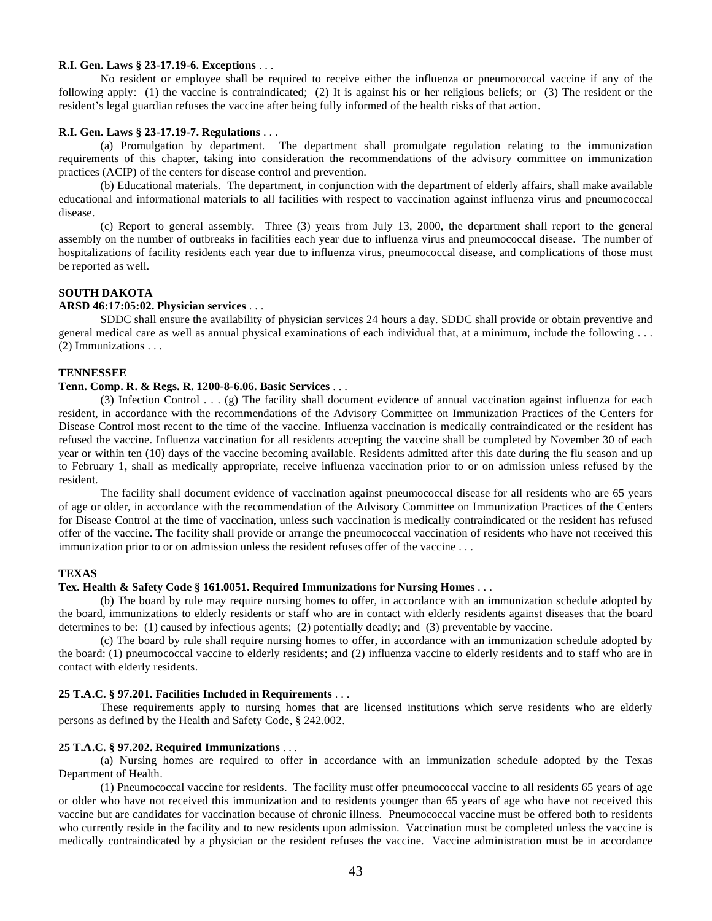#### **R.I. Gen. Laws § 23-17.19-6. Exceptions** . . .

No resident or employee shall be required to receive either the influenza or pneumococcal vaccine if any of the following apply: (1) the vaccine is contraindicated; (2) It is against his or her religious beliefs; or (3) The resident or the resident's legal guardian refuses the vaccine after being fully informed of the health risks of that action.

#### **R.I. Gen. Laws § 23-17.19-7. Regulations** . . .

(a) Promulgation by department. The department shall promulgate regulation relating to the immunization requirements of this chapter, taking into consideration the recommendations of the advisory committee on immunization practices (ACIP) of the centers for disease control and prevention.

(b) Educational materials. The department, in conjunction with the department of elderly affairs, shall make available educational and informational materials to all facilities with respect to vaccination against influenza virus and pneumococcal disease.

(c) Report to general assembly. Three (3) years from July 13, 2000, the department shall report to the general assembly on the number of outbreaks in facilities each year due to influenza virus and pneumococcal disease. The number of hospitalizations of facility residents each year due to influenza virus, pneumococcal disease, and complications of those must be reported as well.

#### **SOUTH DAKOTA**

# **ARSD 46:17:05:02. Physician services** . . .

SDDC shall ensure the availability of physician services 24 hours a day. SDDC shall provide or obtain preventive and general medical care as well as annual physical examinations of each individual that, at a minimum, include the following . . . (2) Immunizations . . .

#### **TENNESSEE**

# **Tenn. Comp. R. & Regs. R. 1200-8-6.06. Basic Services** . . .

(3) Infection Control . . . (g) The facility shall document evidence of annual vaccination against influenza for each resident, in accordance with the recommendations of the Advisory Committee on Immunization Practices of the Centers for Disease Control most recent to the time of the vaccine. Influenza vaccination is medically contraindicated or the resident has refused the vaccine. Influenza vaccination for all residents accepting the vaccine shall be completed by November 30 of each year or within ten (10) days of the vaccine becoming available. Residents admitted after this date during the flu season and up to February 1, shall as medically appropriate, receive influenza vaccination prior to or on admission unless refused by the resident.

The facility shall document evidence of vaccination against pneumococcal disease for all residents who are 65 years of age or older, in accordance with the recommendation of the Advisory Committee on Immunization Practices of the Centers for Disease Control at the time of vaccination, unless such vaccination is medically contraindicated or the resident has refused offer of the vaccine. The facility shall provide or arrange the pneumococcal vaccination of residents who have not received this immunization prior to or on admission unless the resident refuses offer of the vaccine . . .

#### **TEXAS**

#### **Tex. Health & Safety Code § 161.0051. Required Immunizations for Nursing Homes** . . .

(b) The board by rule may require nursing homes to offer, in accordance with an immunization schedule adopted by the board, immunizations to elderly residents or staff who are in contact with elderly residents against diseases that the board determines to be: (1) caused by infectious agents; (2) potentially deadly; and (3) preventable by vaccine.

(c) The board by rule shall require nursing homes to offer, in accordance with an immunization schedule adopted by the board: (1) pneumococcal vaccine to elderly residents; and (2) influenza vaccine to elderly residents and to staff who are in contact with elderly residents.

#### **25 T.A.C. § 97.201. Facilities Included in Requirements** . . .

These requirements apply to nursing homes that are licensed institutions which serve residents who are elderly persons as defined by the Health and Safety Code, § 242.002.

#### **25 T.A.C. § 97.202. Required Immunizations** . . .

(a) Nursing homes are required to offer in accordance with an immunization schedule adopted by the Texas Department of Health.

(1) Pneumococcal vaccine for residents. The facility must offer pneumococcal vaccine to all residents 65 years of age or older who have not received this immunization and to residents younger than 65 years of age who have not received this vaccine but are candidates for vaccination because of chronic illness. Pneumococcal vaccine must be offered both to residents who currently reside in the facility and to new residents upon admission. Vaccination must be completed unless the vaccine is medically contraindicated by a physician or the resident refuses the vaccine. Vaccine administration must be in accordance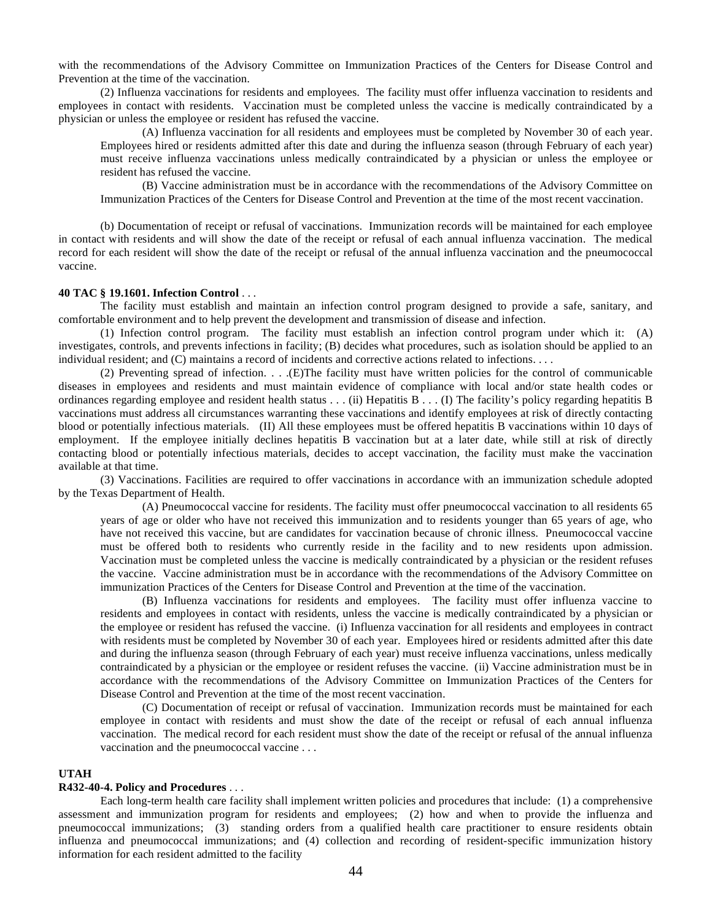with the recommendations of the Advisory Committee on Immunization Practices of the Centers for Disease Control and Prevention at the time of the vaccination.

(2) Influenza vaccinations for residents and employees. The facility must offer influenza vaccination to residents and employees in contact with residents. Vaccination must be completed unless the vaccine is medically contraindicated by a physician or unless the employee or resident has refused the vaccine.

(A) Influenza vaccination for all residents and employees must be completed by November 30 of each year. Employees hired or residents admitted after this date and during the influenza season (through February of each year) must receive influenza vaccinations unless medically contraindicated by a physician or unless the employee or resident has refused the vaccine.

(B) Vaccine administration must be in accordance with the recommendations of the Advisory Committee on Immunization Practices of the Centers for Disease Control and Prevention at the time of the most recent vaccination.

(b) Documentation of receipt or refusal of vaccinations. Immunization records will be maintained for each employee in contact with residents and will show the date of the receipt or refusal of each annual influenza vaccination. The medical record for each resident will show the date of the receipt or refusal of the annual influenza vaccination and the pneumococcal vaccine.

#### **40 TAC § 19.1601. Infection Control** . . .

The facility must establish and maintain an infection control program designed to provide a safe, sanitary, and comfortable environment and to help prevent the development and transmission of disease and infection.

(1) Infection control program. The facility must establish an infection control program under which it: (A) investigates, controls, and prevents infections in facility; (B) decides what procedures, such as isolation should be applied to an individual resident; and (C) maintains a record of incidents and corrective actions related to infections. . . .

(2) Preventing spread of infection. . . .(E)The facility must have written policies for the control of communicable diseases in employees and residents and must maintain evidence of compliance with local and/or state health codes or ordinances regarding employee and resident health status . . . (ii) Hepatitis B . . . (I) The facility's policy regarding hepatitis B vaccinations must address all circumstances warranting these vaccinations and identify employees at risk of directly contacting blood or potentially infectious materials. (II) All these employees must be offered hepatitis B vaccinations within 10 days of employment. If the employee initially declines hepatitis B vaccination but at a later date, while still at risk of directly contacting blood or potentially infectious materials, decides to accept vaccination, the facility must make the vaccination available at that time.

(3) Vaccinations. Facilities are required to offer vaccinations in accordance with an immunization schedule adopted by the Texas Department of Health.

(A) Pneumococcal vaccine for residents. The facility must offer pneumococcal vaccination to all residents 65 years of age or older who have not received this immunization and to residents younger than 65 years of age, who have not received this vaccine, but are candidates for vaccination because of chronic illness. Pneumococcal vaccine must be offered both to residents who currently reside in the facility and to new residents upon admission. Vaccination must be completed unless the vaccine is medically contraindicated by a physician or the resident refuses the vaccine. Vaccine administration must be in accordance with the recommendations of the Advisory Committee on immunization Practices of the Centers for Disease Control and Prevention at the time of the vaccination.

(B) Influenza vaccinations for residents and employees. The facility must offer influenza vaccine to residents and employees in contact with residents, unless the vaccine is medically contraindicated by a physician or the employee or resident has refused the vaccine. (i) Influenza vaccination for all residents and employees in contract with residents must be completed by November 30 of each year. Employees hired or residents admitted after this date and during the influenza season (through February of each year) must receive influenza vaccinations, unless medically contraindicated by a physician or the employee or resident refuses the vaccine. (ii) Vaccine administration must be in accordance with the recommendations of the Advisory Committee on Immunization Practices of the Centers for Disease Control and Prevention at the time of the most recent vaccination.

(C) Documentation of receipt or refusal of vaccination. Immunization records must be maintained for each employee in contact with residents and must show the date of the receipt or refusal of each annual influenza vaccination. The medical record for each resident must show the date of the receipt or refusal of the annual influenza vaccination and the pneumococcal vaccine . . .

# **UTAH**

# **R432-40-4. Policy and Procedures** . . .

Each long-term health care facility shall implement written policies and procedures that include: (1) a comprehensive assessment and immunization program for residents and employees; (2) how and when to provide the influenza and pneumococcal immunizations; (3) standing orders from a qualified health care practitioner to ensure residents obtain influenza and pneumococcal immunizations; and (4) collection and recording of resident-specific immunization history information for each resident admitted to the facility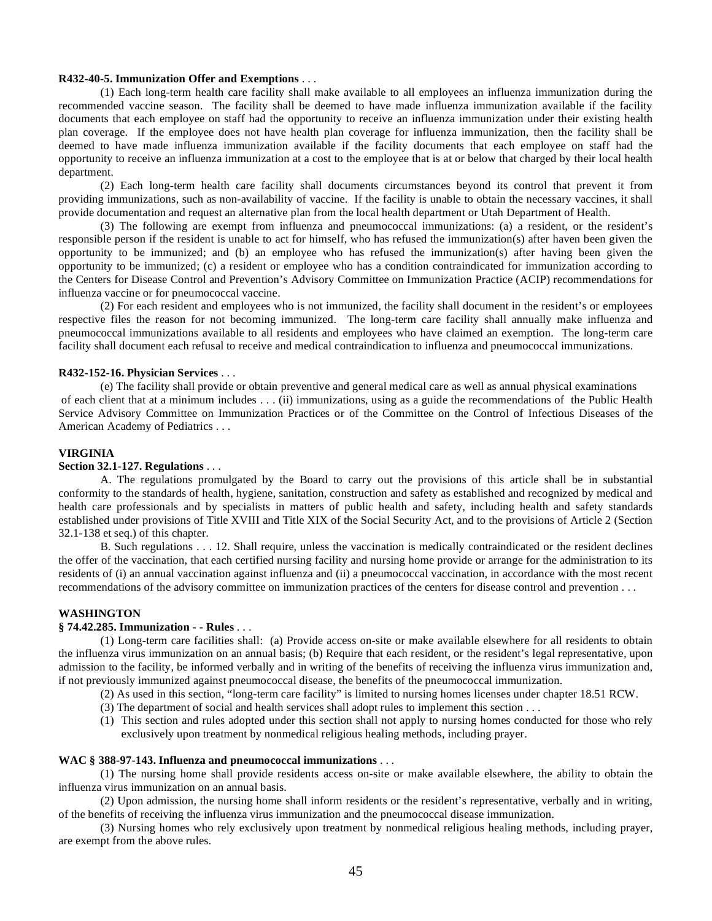#### **R432-40-5. Immunization Offer and Exemptions** . . .

(1) Each long-term health care facility shall make available to all employees an influenza immunization during the recommended vaccine season. The facility shall be deemed to have made influenza immunization available if the facility documents that each employee on staff had the opportunity to receive an influenza immunization under their existing health plan coverage. If the employee does not have health plan coverage for influenza immunization, then the facility shall be deemed to have made influenza immunization available if the facility documents that each employee on staff had the opportunity to receive an influenza immunization at a cost to the employee that is at or below that charged by their local health department.

(2) Each long-term health care facility shall documents circumstances beyond its control that prevent it from providing immunizations, such as non-availability of vaccine. If the facility is unable to obtain the necessary vaccines, it shall provide documentation and request an alternative plan from the local health department or Utah Department of Health.

(3) The following are exempt from influenza and pneumococcal immunizations: (a) a resident, or the resident's responsible person if the resident is unable to act for himself, who has refused the immunization(s) after haven been given the opportunity to be immunized; and (b) an employee who has refused the immunization(s) after having been given the opportunity to be immunized; (c) a resident or employee who has a condition contraindicated for immunization according to the Centers for Disease Control and Prevention's Advisory Committee on Immunization Practice (ACIP) recommendations for influenza vaccine or for pneumococcal vaccine.

(2) For each resident and employees who is not immunized, the facility shall document in the resident's or employees respective files the reason for not becoming immunized. The long-term care facility shall annually make influenza and pneumococcal immunizations available to all residents and employees who have claimed an exemption. The long-term care facility shall document each refusal to receive and medical contraindication to influenza and pneumococcal immunizations.

# **R432-152-16. Physician Services** . . .

(e) The facility shall provide or obtain preventive and general medical care as well as annual physical examinations of each client that at a minimum includes . . . (ii) immunizations, using as a guide the recommendations of the Public Health Service Advisory Committee on Immunization Practices or of the Committee on the Control of Infectious Diseases of the American Academy of Pediatrics . . .

#### **VIRGINIA**

# **Section 32.1-127. Regulations** . . .

A. The regulations promulgated by the Board to carry out the provisions of this article shall be in substantial conformity to the standards of health, hygiene, sanitation, construction and safety as established and recognized by medical and health care professionals and by specialists in matters of public health and safety, including health and safety standards established under provisions of Title XVIII and Title XIX of the Social Security Act, and to the provisions of Article 2 (Section 32.1-138 et seq.) of this chapter.

B. Such regulations . . . 12. Shall require, unless the vaccination is medically contraindicated or the resident declines the offer of the vaccination, that each certified nursing facility and nursing home provide or arrange for the administration to its residents of (i) an annual vaccination against influenza and (ii) a pneumococcal vaccination, in accordance with the most recent recommendations of the advisory committee on immunization practices of the centers for disease control and prevention . . .

#### **WASHINGTON**

# **§ 74.42.285. Immunization - - Rules** . . .

(1) Long-term care facilities shall: (a) Provide access on-site or make available elsewhere for all residents to obtain the influenza virus immunization on an annual basis; (b) Require that each resident, or the resident's legal representative, upon admission to the facility, be informed verbally and in writing of the benefits of receiving the influenza virus immunization and, if not previously immunized against pneumococcal disease, the benefits of the pneumococcal immunization.

(2) As used in this section, "long-term care facility" is limited to nursing homes licenses under chapter 18.51 RCW.

- (3) The department of social and health services shall adopt rules to implement this section . . .
- (1) This section and rules adopted under this section shall not apply to nursing homes conducted for those who rely exclusively upon treatment by nonmedical religious healing methods, including prayer.

# **WAC § 388-97-143. Influenza and pneumococcal immunizations** . . .

(1) The nursing home shall provide residents access on-site or make available elsewhere, the ability to obtain the influenza virus immunization on an annual basis.

(2) Upon admission, the nursing home shall inform residents or the resident's representative, verbally and in writing, of the benefits of receiving the influenza virus immunization and the pneumococcal disease immunization.

(3) Nursing homes who rely exclusively upon treatment by nonmedical religious healing methods, including prayer, are exempt from the above rules.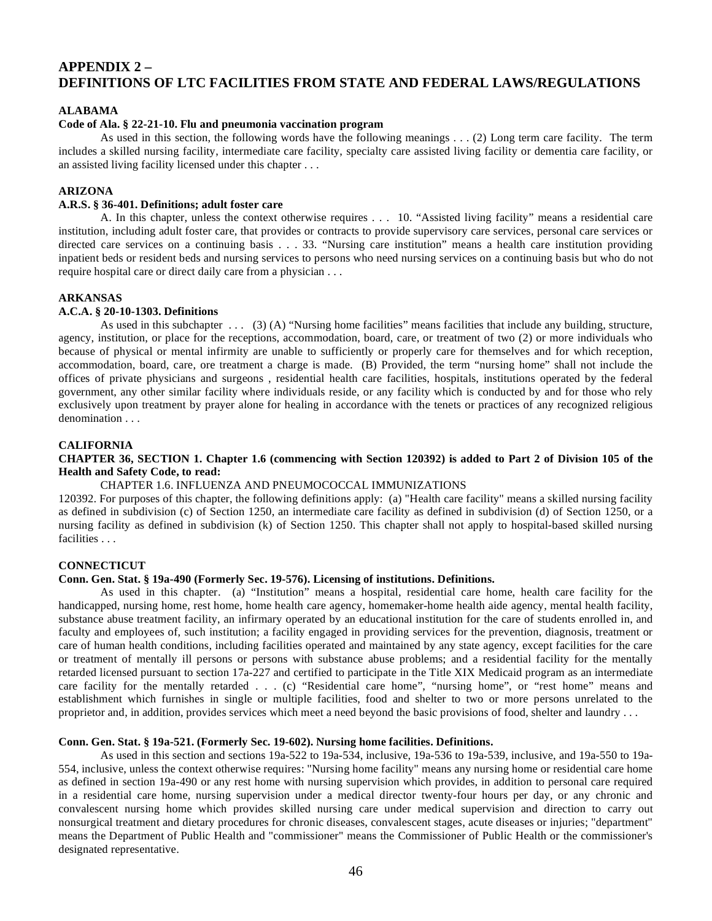# **APPENDIX 2 – DEFINITIONS OF LTC FACILITIES FROM STATE AND FEDERAL LAWS/REGULATIONS**

# **ALABAMA**

# **Code of Ala. § 22-21-10. Flu and pneumonia vaccination program**

As used in this section, the following words have the following meanings . . . (2) Long term care facility. The term includes a skilled nursing facility, intermediate care facility, specialty care assisted living facility or dementia care facility, or an assisted living facility licensed under this chapter . . .

# **ARIZONA**

# **A.R.S. § 36-401. Definitions; adult foster care**

A. In this chapter, unless the context otherwise requires . . . 10. "Assisted living facility" means a residential care institution, including adult foster care, that provides or contracts to provide supervisory care services, personal care services or directed care services on a continuing basis . . . 33. "Nursing care institution" means a health care institution providing inpatient beds or resident beds and nursing services to persons who need nursing services on a continuing basis but who do not require hospital care or direct daily care from a physician . . .

# **ARKANSAS**

#### **A.C.A. § 20-10-1303. Definitions**

As used in this subchapter  $\dots$  (3) (A) "Nursing home facilities" means facilities that include any building, structure, agency, institution, or place for the receptions, accommodation, board, care, or treatment of two (2) or more individuals who because of physical or mental infirmity are unable to sufficiently or properly care for themselves and for which reception, accommodation, board, care, ore treatment a charge is made. (B) Provided, the term "nursing home" shall not include the offices of private physicians and surgeons , residential health care facilities, hospitals, institutions operated by the federal government, any other similar facility where individuals reside, or any facility which is conducted by and for those who rely exclusively upon treatment by prayer alone for healing in accordance with the tenets or practices of any recognized religious denomination . . .

#### **CALIFORNIA**

# **CHAPTER 36, SECTION 1. Chapter 1.6 (commencing with Section 120392) is added to Part 2 of Division 105 of the Health and Safety Code, to read:**

# CHAPTER 1.6. INFLUENZA AND PNEUMOCOCCAL IMMUNIZATIONS

120392. For purposes of this chapter, the following definitions apply: (a) "Health care facility" means a skilled nursing facility as defined in subdivision (c) of Section 1250, an intermediate care facility as defined in subdivision (d) of Section 1250, or a nursing facility as defined in subdivision (k) of Section 1250. This chapter shall not apply to hospital-based skilled nursing facilities . . .

#### **CONNECTICUT**

#### **Conn. Gen. Stat. § 19a-490 (Formerly Sec. 19-576). Licensing of institutions. Definitions.**

As used in this chapter. (a) "Institution" means a hospital, residential care home, health care facility for the handicapped, nursing home, rest home, home health care agency, homemaker-home health aide agency, mental health facility, substance abuse treatment facility, an infirmary operated by an educational institution for the care of students enrolled in, and faculty and employees of, such institution; a facility engaged in providing services for the prevention, diagnosis, treatment or care of human health conditions, including facilities operated and maintained by any state agency, except facilities for the care or treatment of mentally ill persons or persons with substance abuse problems; and a residential facility for the mentally retarded licensed pursuant to section 17a-227 and certified to participate in the Title XIX Medicaid program as an intermediate care facility for the mentally retarded . . . (c) "Residential care home", "nursing home", or "rest home" means and establishment which furnishes in single or multiple facilities, food and shelter to two or more persons unrelated to the proprietor and, in addition, provides services which meet a need beyond the basic provisions of food, shelter and laundry . . .

# **Conn. Gen. Stat. § 19a-521. (Formerly Sec. 19-602). Nursing home facilities. Definitions.**

As used in this section and sections 19a-522 to 19a-534, inclusive, 19a-536 to 19a-539, inclusive, and 19a-550 to 19a-554, inclusive, unless the context otherwise requires: "Nursing home facility" means any nursing home or residential care home as defined in section 19a-490 or any rest home with nursing supervision which provides, in addition to personal care required in a residential care home, nursing supervision under a medical director twenty-four hours per day, or any chronic and convalescent nursing home which provides skilled nursing care under medical supervision and direction to carry out nonsurgical treatment and dietary procedures for chronic diseases, convalescent stages, acute diseases or injuries; "department" means the Department of Public Health and "commissioner" means the Commissioner of Public Health or the commissioner's designated representative.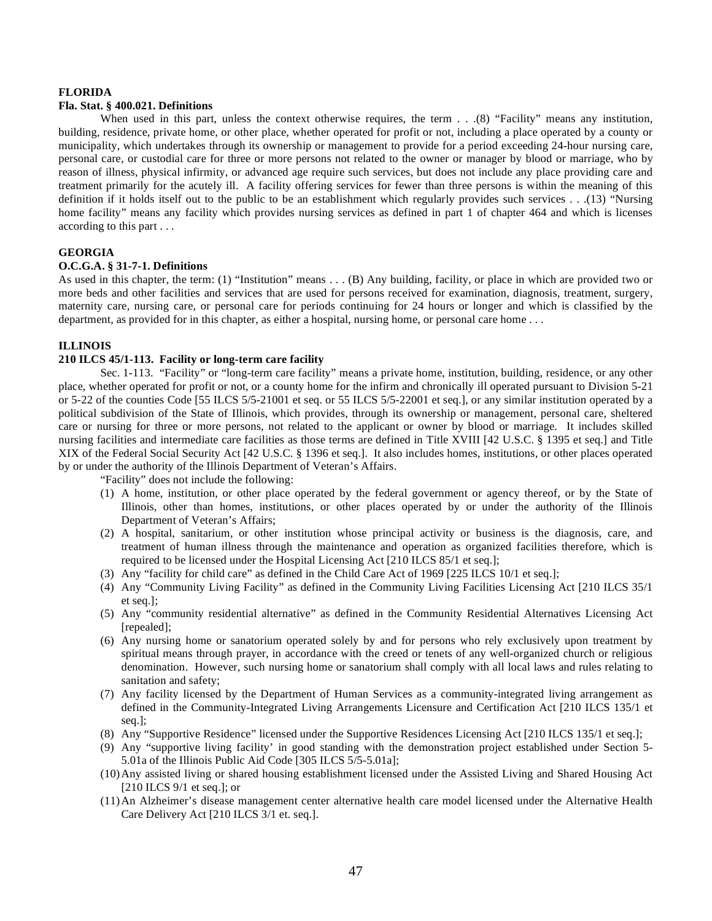#### **FLORIDA**

#### **Fla. Stat. § 400.021. Definitions**

When used in this part, unless the context otherwise requires, the term . . .(8) "Facility" means any institution, building, residence, private home, or other place, whether operated for profit or not, including a place operated by a county or municipality, which undertakes through its ownership or management to provide for a period exceeding 24-hour nursing care, personal care, or custodial care for three or more persons not related to the owner or manager by blood or marriage, who by reason of illness, physical infirmity, or advanced age require such services, but does not include any place providing care and treatment primarily for the acutely ill. A facility offering services for fewer than three persons is within the meaning of this definition if it holds itself out to the public to be an establishment which regularly provides such services . . .(13) "Nursing home facility" means any facility which provides nursing services as defined in part 1 of chapter 464 and which is licenses according to this part . . .

#### **GEORGIA**

#### **O.C.G.A. § 31-7-1. Definitions**

As used in this chapter, the term: (1) "Institution" means . . . (B) Any building, facility, or place in which are provided two or more beds and other facilities and services that are used for persons received for examination, diagnosis, treatment, surgery, maternity care, nursing care, or personal care for periods continuing for 24 hours or longer and which is classified by the department, as provided for in this chapter, as either a hospital, nursing home, or personal care home . . .

# **ILLINOIS**

# **210 ILCS 45/1-113. Facility or long-term care facility**

Sec. 1-113. "Facility" or "long-term care facility" means a private home, institution, building, residence, or any other place, whether operated for profit or not, or a county home for the infirm and chronically ill operated pursuant to Division 5-21 or 5-22 of the counties Code [55 ILCS 5/5-21001 et seq. or 55 ILCS 5/5-22001 et seq.], or any similar institution operated by a political subdivision of the State of Illinois, which provides, through its ownership or management, personal care, sheltered care or nursing for three or more persons, not related to the applicant or owner by blood or marriage. It includes skilled nursing facilities and intermediate care facilities as those terms are defined in Title XVIII [42 U.S.C. § 1395 et seq.] and Title XIX of the Federal Social Security Act [42 U.S.C. § 1396 et seq.]. It also includes homes, institutions, or other places operated by or under the authority of the Illinois Department of Veteran's Affairs.

"Facility" does not include the following:

- (1) A home, institution, or other place operated by the federal government or agency thereof, or by the State of Illinois, other than homes, institutions, or other places operated by or under the authority of the Illinois Department of Veteran's Affairs;
- (2) A hospital, sanitarium, or other institution whose principal activity or business is the diagnosis, care, and treatment of human illness through the maintenance and operation as organized facilities therefore, which is required to be licensed under the Hospital Licensing Act [210 ILCS 85/1 et seq.];
- (3) Any "facility for child care" as defined in the Child Care Act of 1969 [225 ILCS 10/1 et seq.];
- (4) Any "Community Living Facility" as defined in the Community Living Facilities Licensing Act [210 ILCS 35/1 et seq.];
- (5) Any "community residential alternative" as defined in the Community Residential Alternatives Licensing Act [repealed];
- (6) Any nursing home or sanatorium operated solely by and for persons who rely exclusively upon treatment by spiritual means through prayer, in accordance with the creed or tenets of any well-organized church or religious denomination. However, such nursing home or sanatorium shall comply with all local laws and rules relating to sanitation and safety;
- (7) Any facility licensed by the Department of Human Services as a community-integrated living arrangement as defined in the Community-Integrated Living Arrangements Licensure and Certification Act [210 ILCS 135/1 et seq.];
- (8) Any "Supportive Residence" licensed under the Supportive Residences Licensing Act [210 ILCS 135/1 et seq.];
- (9) Any "supportive living facility' in good standing with the demonstration project established under Section 5- 5.01a of the Illinois Public Aid Code [305 ILCS 5/5-5.01a];
- (10)Any assisted living or shared housing establishment licensed under the Assisted Living and Shared Housing Act [210 ILCS 9/1 et seq.]; or
- (11)An Alzheimer's disease management center alternative health care model licensed under the Alternative Health Care Delivery Act [210 ILCS 3/1 et. seq.].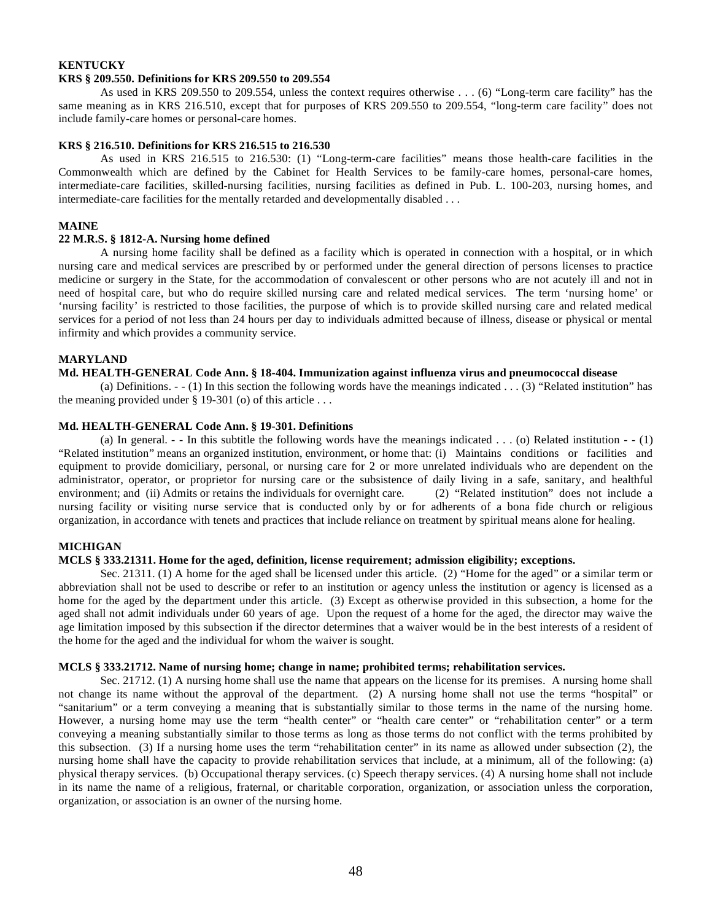#### **KENTUCKY KRS § 209.550. Definitions for KRS 209.550 to 209.554**

As used in KRS 209.550 to 209.554, unless the context requires otherwise . . . (6) "Long-term care facility" has the same meaning as in KRS 216.510, except that for purposes of KRS 209.550 to 209.554, "long-term care facility" does not include family-care homes or personal-care homes.

# **KRS § 216.510. Definitions for KRS 216.515 to 216.530**

As used in KRS 216.515 to 216.530: (1) "Long-term-care facilities" means those health-care facilities in the Commonwealth which are defined by the Cabinet for Health Services to be family-care homes, personal-care homes, intermediate-care facilities, skilled-nursing facilities, nursing facilities as defined in Pub. L. 100-203, nursing homes, and intermediate-care facilities for the mentally retarded and developmentally disabled . . .

# **MAINE**

# **22 M.R.S. § 1812-A. Nursing home defined**

A nursing home facility shall be defined as a facility which is operated in connection with a hospital, or in which nursing care and medical services are prescribed by or performed under the general direction of persons licenses to practice medicine or surgery in the State, for the accommodation of convalescent or other persons who are not acutely ill and not in need of hospital care, but who do require skilled nursing care and related medical services. The term 'nursing home' or 'nursing facility' is restricted to those facilities, the purpose of which is to provide skilled nursing care and related medical services for a period of not less than 24 hours per day to individuals admitted because of illness, disease or physical or mental infirmity and which provides a community service.

# **MARYLAND**

# **Md. HEALTH-GENERAL Code Ann. § 18-404. Immunization against influenza virus and pneumococcal disease**

(a) Definitions.  $-(-1)$  In this section the following words have the meanings indicated . . . (3) "Related institution" has the meaning provided under  $\S$  19-301 (o) of this article ...

# **Md. HEALTH-GENERAL Code Ann. § 19-301. Definitions**

(a) In general.  $-$  - In this subtitle the following words have the meanings indicated  $\dots$  (o) Related institution  $-$  (1) "Related institution" means an organized institution, environment, or home that: (i) Maintains conditions or facilities and equipment to provide domiciliary, personal, or nursing care for 2 or more unrelated individuals who are dependent on the administrator, operator, or proprietor for nursing care or the subsistence of daily living in a safe, sanitary, and healthful environment; and (ii) Admits or retains the individuals for overnight care. (2) "Related institution" does not include a nursing facility or visiting nurse service that is conducted only by or for adherents of a bona fide church or religious organization, in accordance with tenets and practices that include reliance on treatment by spiritual means alone for healing.

# **MICHIGAN**

# **MCLS § 333.21311. Home for the aged, definition, license requirement; admission eligibility; exceptions.**

Sec. 21311. (1) A home for the aged shall be licensed under this article. (2) "Home for the aged" or a similar term or abbreviation shall not be used to describe or refer to an institution or agency unless the institution or agency is licensed as a home for the aged by the department under this article. (3) Except as otherwise provided in this subsection, a home for the aged shall not admit individuals under 60 years of age. Upon the request of a home for the aged, the director may waive the age limitation imposed by this subsection if the director determines that a waiver would be in the best interests of a resident of the home for the aged and the individual for whom the waiver is sought.

# **MCLS § 333.21712. Name of nursing home; change in name; prohibited terms; rehabilitation services.**

Sec. 21712. (1) A nursing home shall use the name that appears on the license for its premises. A nursing home shall not change its name without the approval of the department. (2) A nursing home shall not use the terms "hospital" or "sanitarium" or a term conveying a meaning that is substantially similar to those terms in the name of the nursing home. However, a nursing home may use the term "health center" or "health care center" or "rehabilitation center" or a term conveying a meaning substantially similar to those terms as long as those terms do not conflict with the terms prohibited by this subsection. (3) If a nursing home uses the term "rehabilitation center" in its name as allowed under subsection (2), the nursing home shall have the capacity to provide rehabilitation services that include, at a minimum, all of the following: (a) physical therapy services. (b) Occupational therapy services. (c) Speech therapy services. (4) A nursing home shall not include in its name the name of a religious, fraternal, or charitable corporation, organization, or association unless the corporation, organization, or association is an owner of the nursing home.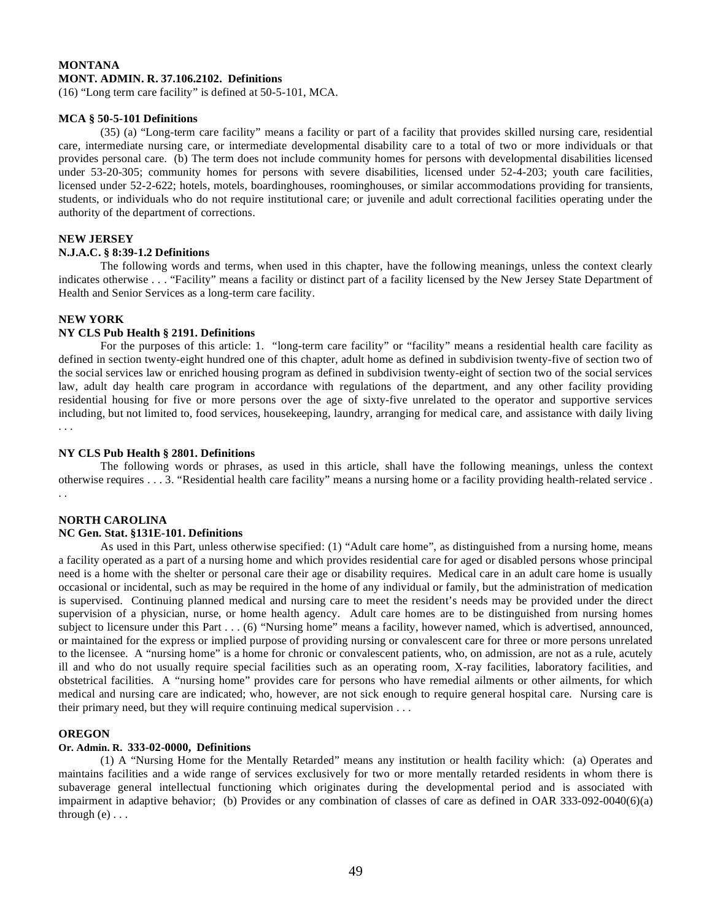# **MONTANA MONT. ADMIN. R. 37.106.2102. Definitions**

(16) "Long term care facility" is defined at 50-5-101, MCA.

# **MCA § 50-5-101 Definitions**

(35) (a) "Long-term care facility" means a facility or part of a facility that provides skilled nursing care, residential care, intermediate nursing care, or intermediate developmental disability care to a total of two or more individuals or that provides personal care. (b) The term does not include community homes for persons with developmental disabilities licensed under 53-20-305; community homes for persons with severe disabilities, licensed under 52-4-203; youth care facilities, licensed under 52-2-622; hotels, motels, boardinghouses, roominghouses, or similar accommodations providing for transients, students, or individuals who do not require institutional care; or juvenile and adult correctional facilities operating under the authority of the department of corrections.

# **NEW JERSEY**

# **N.J.A.C. § 8:39-1.2 Definitions**

The following words and terms, when used in this chapter, have the following meanings, unless the context clearly indicates otherwise . . . "Facility" means a facility or distinct part of a facility licensed by the New Jersey State Department of Health and Senior Services as a long-term care facility.

# **NEW YORK**

# **NY CLS Pub Health § 2191. Definitions**

For the purposes of this article: 1. "long-term care facility" or "facility" means a residential health care facility as defined in section twenty-eight hundred one of this chapter, adult home as defined in subdivision twenty-five of section two of the social services law or enriched housing program as defined in subdivision twenty-eight of section two of the social services law, adult day health care program in accordance with regulations of the department, and any other facility providing residential housing for five or more persons over the age of sixty-five unrelated to the operator and supportive services including, but not limited to, food services, housekeeping, laundry, arranging for medical care, and assistance with daily living . . .

# **NY CLS Pub Health § 2801. Definitions**

The following words or phrases, as used in this article, shall have the following meanings, unless the context otherwise requires . . . 3. "Residential health care facility" means a nursing home or a facility providing health-related service . . .

# **NORTH CAROLINA**

# **NC Gen. Stat. §131E-101. Definitions**

As used in this Part, unless otherwise specified: (1) "Adult care home", as distinguished from a nursing home, means a facility operated as a part of a nursing home and which provides residential care for aged or disabled persons whose principal need is a home with the shelter or personal care their age or disability requires. Medical care in an adult care home is usually occasional or incidental, such as may be required in the home of any individual or family, but the administration of medication is supervised. Continuing planned medical and nursing care to meet the resident's needs may be provided under the direct supervision of a physician, nurse, or home health agency. Adult care homes are to be distinguished from nursing homes subject to licensure under this Part . . . (6) "Nursing home" means a facility, however named, which is advertised, announced, or maintained for the express or implied purpose of providing nursing or convalescent care for three or more persons unrelated to the licensee. A "nursing home" is a home for chronic or convalescent patients, who, on admission, are not as a rule, acutely ill and who do not usually require special facilities such as an operating room, X-ray facilities, laboratory facilities, and obstetrical facilities. A "nursing home" provides care for persons who have remedial ailments or other ailments, for which medical and nursing care are indicated; who, however, are not sick enough to require general hospital care. Nursing care is their primary need, but they will require continuing medical supervision . . .

# **OREGON**

# **Or. Admin. R. 333-02-0000, Definitions**

(1) A "Nursing Home for the Mentally Retarded" means any institution or health facility which: (a) Operates and maintains facilities and a wide range of services exclusively for two or more mentally retarded residents in whom there is subaverage general intellectual functioning which originates during the developmental period and is associated with impairment in adaptive behavior; (b) Provides or any combination of classes of care as defined in OAR 333-092-0040(6)(a) through  $(e) \ldots$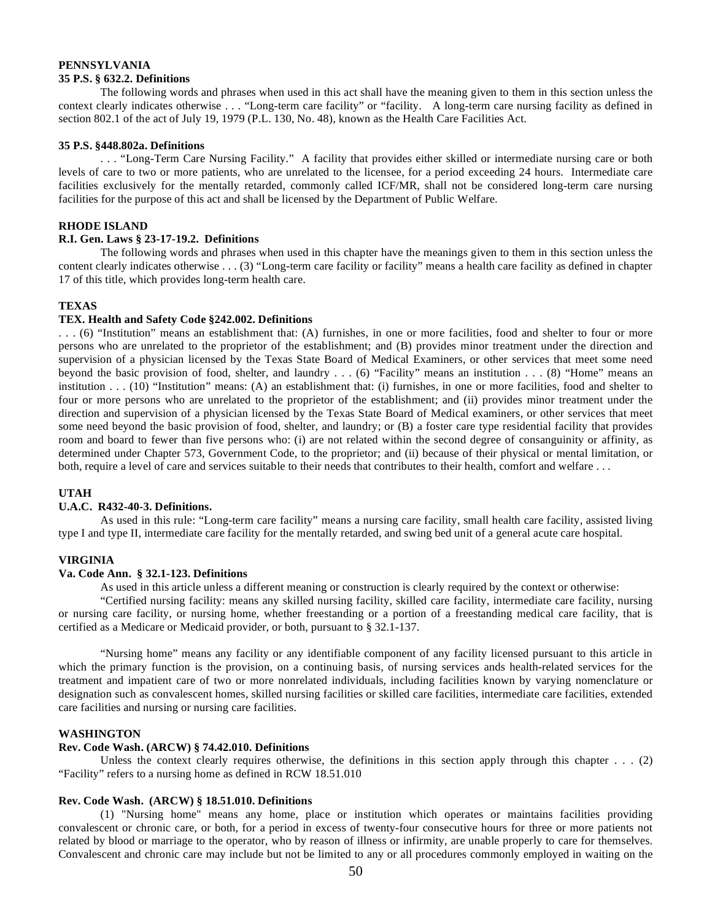#### **PENNSYLVANIA 35 P.S. § 632.2. Definitions**

The following words and phrases when used in this act shall have the meaning given to them in this section unless the context clearly indicates otherwise . . . "Long-term care facility" or "facility. A long-term care nursing facility as defined in section 802.1 of the act of July 19, 1979 (P.L. 130, No. 48), known as the Health Care Facilities Act.

#### **35 P.S. §448.802a. Definitions**

. . . "Long-Term Care Nursing Facility." A facility that provides either skilled or intermediate nursing care or both levels of care to two or more patients, who are unrelated to the licensee, for a period exceeding 24 hours. Intermediate care facilities exclusively for the mentally retarded, commonly called ICF/MR, shall not be considered long-term care nursing facilities for the purpose of this act and shall be licensed by the Department of Public Welfare.

# **RHODE ISLAND**

# **R.I. Gen. Laws § 23-17-19.2. Definitions**

The following words and phrases when used in this chapter have the meanings given to them in this section unless the content clearly indicates otherwise . . . (3) "Long-term care facility or facility" means a health care facility as defined in chapter 17 of this title, which provides long-term health care.

# **TEXAS**

# **TEX. Health and Safety Code §242.002. Definitions**

. . . (6) "Institution" means an establishment that: (A) furnishes, in one or more facilities, food and shelter to four or more persons who are unrelated to the proprietor of the establishment; and (B) provides minor treatment under the direction and supervision of a physician licensed by the Texas State Board of Medical Examiners, or other services that meet some need beyond the basic provision of food, shelter, and laundry . . . (6) "Facility" means an institution . . . (8) "Home" means an institution . . . (10) "Institution" means: (A) an establishment that: (i) furnishes, in one or more facilities, food and shelter to four or more persons who are unrelated to the proprietor of the establishment; and (ii) provides minor treatment under the direction and supervision of a physician licensed by the Texas State Board of Medical examiners, or other services that meet some need beyond the basic provision of food, shelter, and laundry; or (B) a foster care type residential facility that provides room and board to fewer than five persons who: (i) are not related within the second degree of consanguinity or affinity, as determined under Chapter 573, Government Code, to the proprietor; and (ii) because of their physical or mental limitation, or both, require a level of care and services suitable to their needs that contributes to their health, comfort and welfare . . .

# **UTAH**

# **U.A.C. R432-40-3. Definitions.**

As used in this rule: "Long-term care facility" means a nursing care facility, small health care facility, assisted living type I and type II, intermediate care facility for the mentally retarded, and swing bed unit of a general acute care hospital.

# **VIRGINIA**

#### **Va. Code Ann. § 32.1-123. Definitions**

As used in this article unless a different meaning or construction is clearly required by the context or otherwise:

"Certified nursing facility: means any skilled nursing facility, skilled care facility, intermediate care facility, nursing or nursing care facility, or nursing home, whether freestanding or a portion of a freestanding medical care facility, that is certified as a Medicare or Medicaid provider, or both, pursuant to § 32.1-137.

"Nursing home" means any facility or any identifiable component of any facility licensed pursuant to this article in which the primary function is the provision, on a continuing basis, of nursing services ands health-related services for the treatment and impatient care of two or more nonrelated individuals, including facilities known by varying nomenclature or designation such as convalescent homes, skilled nursing facilities or skilled care facilities, intermediate care facilities, extended care facilities and nursing or nursing care facilities.

#### **WASHINGTON**

#### **Rev. Code Wash. (ARCW) § 74.42.010. Definitions**

Unless the context clearly requires otherwise, the definitions in this section apply through this chapter  $\dots$  (2) "Facility" refers to a nursing home as defined in RCW 18.51.010

# **Rev. Code Wash. (ARCW) § 18.51.010. Definitions**

 (1) "Nursing home" means any home, place or institution which operates or maintains facilities providing convalescent or chronic care, or both, for a period in excess of twenty-four consecutive hours for three or more patients not related by blood or marriage to the operator, who by reason of illness or infirmity, are unable properly to care for themselves. Convalescent and chronic care may include but not be limited to any or all procedures commonly employed in waiting on the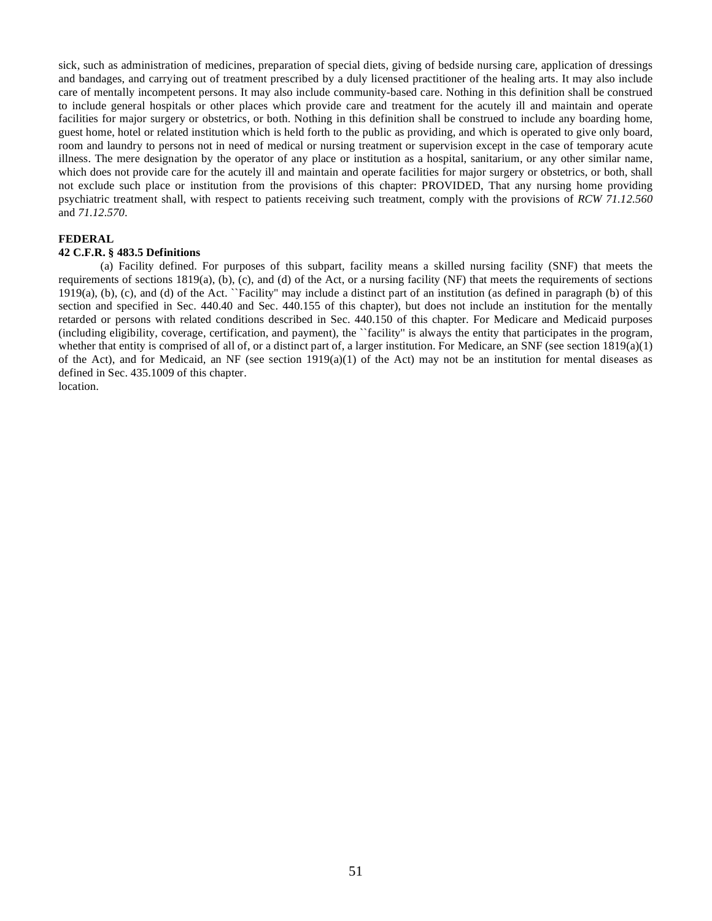sick, such as administration of medicines, preparation of special diets, giving of bedside nursing care, application of dressings and bandages, and carrying out of treatment prescribed by a duly licensed practitioner of the healing arts. It may also include care of mentally incompetent persons. It may also include community-based care. Nothing in this definition shall be construed to include general hospitals or other places which provide care and treatment for the acutely ill and maintain and operate facilities for major surgery or obstetrics, or both. Nothing in this definition shall be construed to include any boarding home, guest home, hotel or related institution which is held forth to the public as providing, and which is operated to give only board, room and laundry to persons not in need of medical or nursing treatment or supervision except in the case of temporary acute illness. The mere designation by the operator of any place or institution as a hospital, sanitarium, or any other similar name, which does not provide care for the acutely ill and maintain and operate facilities for major surgery or obstetrics, or both, shall not exclude such place or institution from the provisions of this chapter: PROVIDED, That any nursing home providing psychiatric treatment shall, with respect to patients receiving such treatment, comply with the provisions of *RCW 71.12.560* and *71.12.570*.

# **FEDERAL**

# **42 C.F.R. § 483.5 Definitions**

(a) Facility defined. For purposes of this subpart, facility means a skilled nursing facility (SNF) that meets the requirements of sections  $1819(a)$ , (b), (c), and (d) of the Act, or a nursing facility (NF) that meets the requirements of sections 1919(a), (b), (c), and (d) of the Act. ``Facility'' may include a distinct part of an institution (as defined in paragraph (b) of this section and specified in Sec. 440.40 and Sec. 440.155 of this chapter), but does not include an institution for the mentally retarded or persons with related conditions described in Sec. 440.150 of this chapter. For Medicare and Medicaid purposes (including eligibility, coverage, certification, and payment), the ``facility'' is always the entity that participates in the program, whether that entity is comprised of all of, or a distinct part of, a larger institution. For Medicare, an SNF (see section  $1819(a)(1)$ ) of the Act), and for Medicaid, an NF (see section  $1919(a)(1)$  of the Act) may not be an institution for mental diseases as defined in Sec. 435.1009 of this chapter.

location.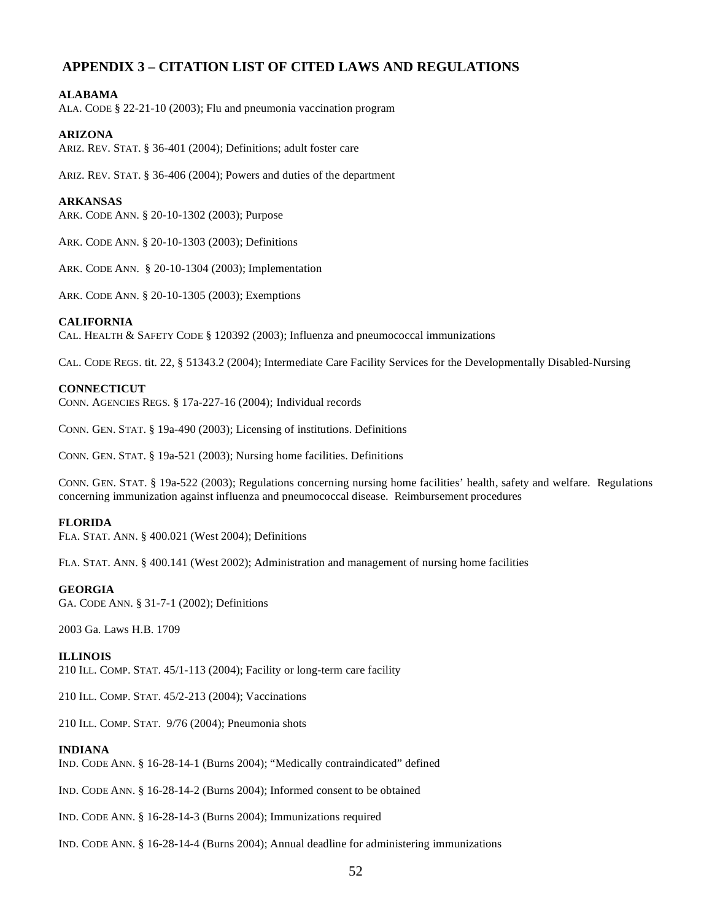# **APPENDIX 3 – CITATION LIST OF CITED LAWS AND REGULATIONS**

# **ALABAMA**

ALA. CODE § 22-21-10 (2003); Flu and pneumonia vaccination program

# **ARIZONA**

ARIZ. REV. STAT. § 36-401 (2004); Definitions; adult foster care

ARIZ. REV. STAT. § 36-406 (2004); Powers and duties of the department

# **ARKANSAS**

ARK. CODE ANN. § 20-10-1302 (2003); Purpose

ARK. CODE ANN. § 20-10-1303 (2003); Definitions

ARK. CODE ANN. § 20-10-1304 (2003); Implementation

ARK. CODE ANN. § 20-10-1305 (2003); Exemptions

# **CALIFORNIA**

CAL. HEALTH & SAFETY CODE § 120392 (2003); Influenza and pneumococcal immunizations

CAL. CODE REGS. tit. 22, § 51343.2 (2004); Intermediate Care Facility Services for the Developmentally Disabled-Nursing

# **CONNECTICUT**

CONN. AGENCIES REGS. § 17a-227-16 (2004); Individual records

CONN. GEN. STAT. § 19a-490 (2003); Licensing of institutions. Definitions

CONN. GEN. STAT. § 19a-521 (2003); Nursing home facilities. Definitions

CONN. GEN. STAT. § 19a-522 (2003); Regulations concerning nursing home facilities' health, safety and welfare. Regulations concerning immunization against influenza and pneumococcal disease. Reimbursement procedures

# **FLORIDA**

FLA. STAT. ANN. § 400.021 (West 2004); Definitions

FLA. STAT. ANN. § 400.141 (West 2002); Administration and management of nursing home facilities

# **GEORGIA**

GA. CODE ANN. § 31-7-1 (2002); Definitions

2003 Ga. Laws H.B. 1709

# **ILLINOIS**

210 ILL. COMP. STAT. 45/1-113 (2004); Facility or long-term care facility

210 ILL. COMP. STAT. 45/2-213 (2004); Vaccinations

210 ILL. COMP. STAT. 9/76 (2004); Pneumonia shots

# **INDIANA**

IND. CODE ANN. § 16-28-14-1 (Burns 2004); "Medically contraindicated" defined

IND. CODE ANN. § 16-28-14-2 (Burns 2004); Informed consent to be obtained

IND. CODE ANN. § 16-28-14-3 (Burns 2004); Immunizations required

IND. CODE ANN. § 16-28-14-4 (Burns 2004); Annual deadline for administering immunizations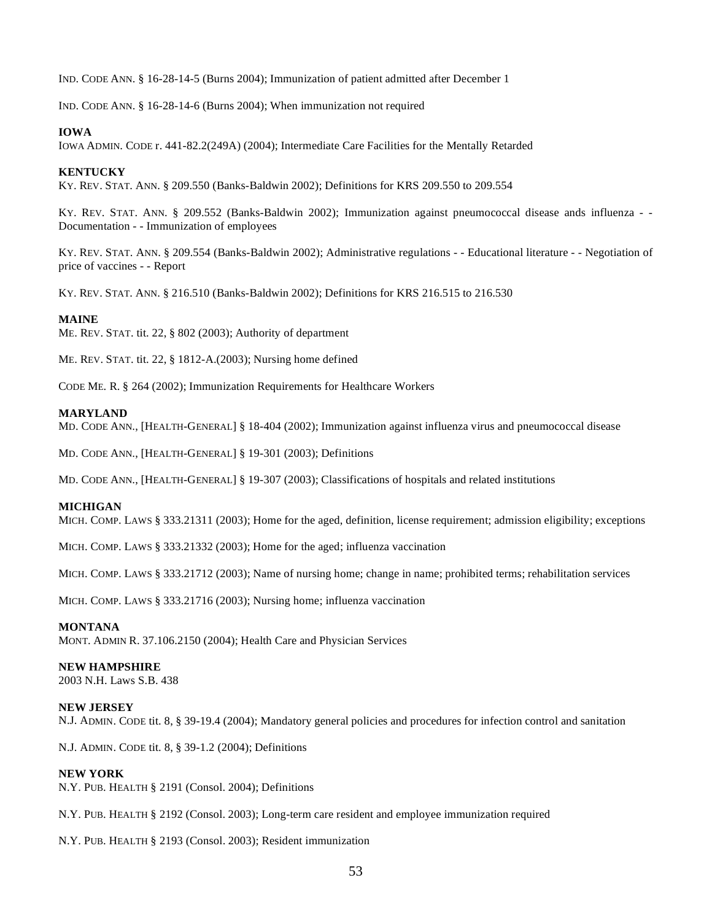IND. CODE ANN. § 16-28-14-5 (Burns 2004); Immunization of patient admitted after December 1

IND. CODE ANN. § 16-28-14-6 (Burns 2004); When immunization not required

#### **IOWA**

IOWA ADMIN. CODE r. 441-82.2(249A) (2004); Intermediate Care Facilities for the Mentally Retarded

#### **KENTUCKY**

KY. REV. STAT. ANN. § 209.550 (Banks-Baldwin 2002); Definitions for KRS 209.550 to 209.554

KY. REV. STAT. ANN. § 209.552 (Banks-Baldwin 2002); Immunization against pneumococcal disease ands influenza - - Documentation - - Immunization of employees

KY. REV. STAT. ANN. § 209.554 (Banks-Baldwin 2002); Administrative regulations - - Educational literature - - Negotiation of price of vaccines - - Report

KY. REV. STAT. ANN. § 216.510 (Banks-Baldwin 2002); Definitions for KRS 216.515 to 216.530

#### **MAINE**

ME. REV. STAT. tit. 22, § 802 (2003); Authority of department

ME. REV. STAT. tit. 22, § 1812-A.(2003); Nursing home defined

CODE ME. R. § 264 (2002); Immunization Requirements for Healthcare Workers

#### **MARYLAND**

MD. CODE ANN., [HEALTH-GENERAL] § 18-404 (2002); Immunization against influenza virus and pneumococcal disease

MD. CODE ANN., [HEALTH-GENERAL] § 19-301 (2003); Definitions

MD. CODE ANN., [HEALTH-GENERAL] § 19-307 (2003); Classifications of hospitals and related institutions

#### **MICHIGAN**

MICH. COMP. LAWS § 333.21311 (2003); Home for the aged, definition, license requirement; admission eligibility; exceptions

MICH. COMP. LAWS § 333.21332 (2003); Home for the aged; influenza vaccination

MICH. COMP. LAWS § 333.21712 (2003); Name of nursing home; change in name; prohibited terms; rehabilitation services

MICH. COMP. LAWS § 333.21716 (2003); Nursing home; influenza vaccination

# **MONTANA**

MONT. ADMIN R. 37.106.2150 (2004); Health Care and Physician Services

# **NEW HAMPSHIRE**

2003 N.H. Laws S.B. 438

#### **NEW JERSEY**

N.J. ADMIN. CODE tit. 8, § 39-19.4 (2004); Mandatory general policies and procedures for infection control and sanitation

N.J. ADMIN. CODE tit. 8, § 39-1.2 (2004); Definitions

#### **NEW YORK**

N.Y. PUB. HEALTH § 2191 (Consol. 2004); Definitions

N.Y. PUB. HEALTH § 2192 (Consol. 2003); Long-term care resident and employee immunization required

N.Y. PUB. HEALTH § 2193 (Consol. 2003); Resident immunization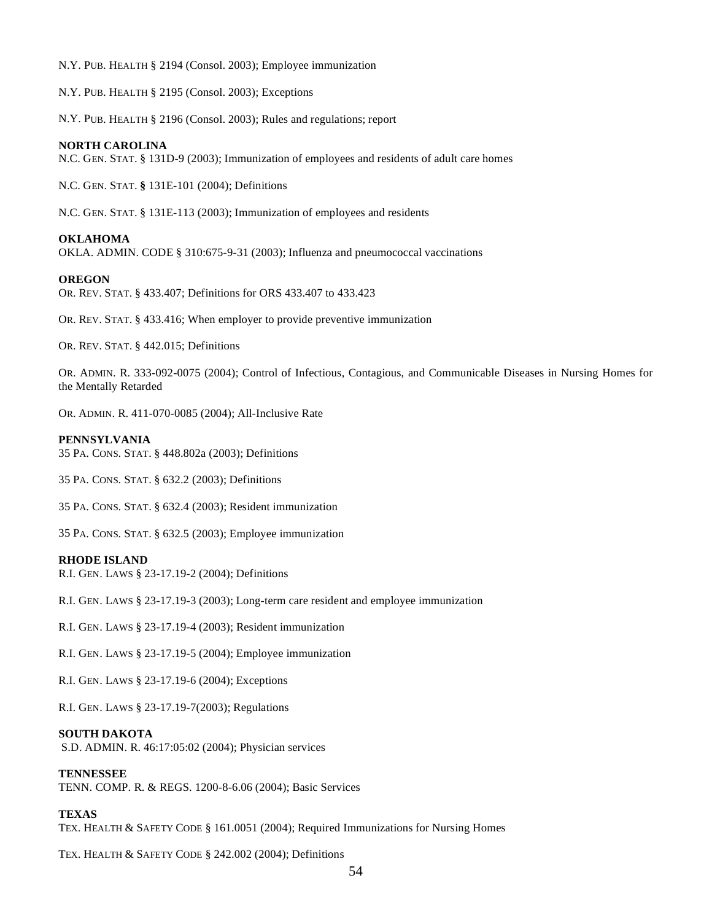N.Y. PUB. HEALTH § 2194 (Consol. 2003); Employee immunization

N.Y. PUB. HEALTH § 2195 (Consol. 2003); Exceptions

N.Y. PUB. HEALTH § 2196 (Consol. 2003); Rules and regulations; report

#### **NORTH CAROLINA**

N.C. GEN. STAT. § 131D-9 (2003); Immunization of employees and residents of adult care homes

N.C. GEN. STAT. **§** 131E-101 (2004); Definitions

N.C. GEN. STAT. § 131E-113 (2003); Immunization of employees and residents

# **OKLAHOMA**

OKLA. ADMIN. CODE § 310:675-9-31 (2003); Influenza and pneumococcal vaccinations

#### **OREGON**

OR. REV. STAT. § 433.407; Definitions for ORS 433.407 to 433.423

OR. REV. STAT. § 433.416; When employer to provide preventive immunization

OR. REV. STAT. § 442.015; Definitions

OR. ADMIN. R. 333-092-0075 (2004); Control of Infectious, Contagious, and Communicable Diseases in Nursing Homes for the Mentally Retarded

OR. ADMIN. R. 411-070-0085 (2004); All-Inclusive Rate

#### **PENNSYLVANIA**

35 PA. CONS. STAT. § 448.802a (2003); Definitions

35 PA. CONS. STAT. § 632.2 (2003); Definitions

35 PA. CONS. STAT. § 632.4 (2003); Resident immunization

35 PA. CONS. STAT. § 632.5 (2003); Employee immunization

#### **RHODE ISLAND**

R.I. GEN. LAWS § 23-17.19-2 (2004); Definitions

R.I. GEN. LAWS § 23-17.19-3 (2003); Long-term care resident and employee immunization

R.I. GEN. LAWS § 23-17.19-4 (2003); Resident immunization

R.I. GEN. LAWS § 23-17.19-5 (2004); Employee immunization

R.I. GEN. LAWS § 23-17.19-6 (2004); Exceptions

R.I. GEN. LAWS § 23-17.19-7(2003); Regulations

#### **SOUTH DAKOTA**

S.D. ADMIN. R. 46:17:05:02 (2004); Physician services

# **TENNESSEE**

TENN. COMP. R. & REGS. 1200-8-6.06 (2004); Basic Services

# **TEXAS**

TEX. HEALTH & SAFETY CODE § 161.0051 (2004); Required Immunizations for Nursing Homes

TEX. HEALTH & SAFETY CODE § 242.002 (2004); Definitions